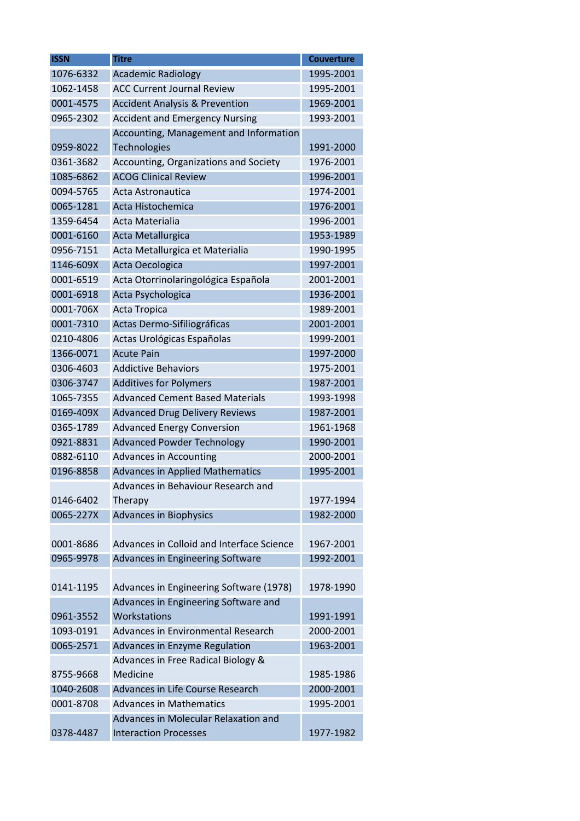| <b>ISSN</b> | <b>Titre</b>                              | <b>Couverture</b> |
|-------------|-------------------------------------------|-------------------|
| 1076-6332   | <b>Academic Radiology</b>                 | 1995-2001         |
| 1062-1458   | <b>ACC Current Journal Review</b>         | 1995-2001         |
| 0001-4575   | <b>Accident Analysis &amp; Prevention</b> | 1969-2001         |
| 0965-2302   | <b>Accident and Emergency Nursing</b>     | 1993-2001         |
|             | Accounting, Management and Information    |                   |
| 0959-8022   | Technologies                              | 1991-2000         |
| 0361-3682   | Accounting, Organizations and Society     | 1976-2001         |
| 1085-6862   | <b>ACOG Clinical Review</b>               | 1996-2001         |
| 0094-5765   | Acta Astronautica                         | 1974-2001         |
| 0065-1281   | Acta Histochemica                         | 1976-2001         |
| 1359-6454   | Acta Materialia                           | 1996-2001         |
| 0001-6160   | Acta Metallurgica                         | 1953-1989         |
| 0956-7151   | Acta Metallurgica et Materialia           | 1990-1995         |
| 1146-609X   | Acta Oecologica                           | 1997-2001         |
| 0001-6519   | Acta Otorrinolaringológica Española       | 2001-2001         |
| 0001-6918   | Acta Psychologica                         | 1936-2001         |
| 0001-706X   | Acta Tropica                              | 1989-2001         |
| 0001-7310   | Actas Dermo-Sifiliográficas               | 2001-2001         |
| 0210-4806   | Actas Urológicas Españolas                | 1999-2001         |
| 1366-0071   | <b>Acute Pain</b>                         | 1997-2000         |
| 0306-4603   | <b>Addictive Behaviors</b>                | 1975-2001         |
| 0306-3747   | <b>Additives for Polymers</b>             | 1987-2001         |
| 1065-7355   | <b>Advanced Cement Based Materials</b>    | 1993-1998         |
| 0169-409X   | <b>Advanced Drug Delivery Reviews</b>     | 1987-2001         |
| 0365-1789   | <b>Advanced Energy Conversion</b>         | 1961-1968         |
| 0921-8831   | <b>Advanced Powder Technology</b>         | 1990-2001         |
| 0882-6110   | Advances in Accounting                    | 2000-2001         |
| 0196-8858   | <b>Advances in Applied Mathematics</b>    | 1995-2001         |
|             | Advances in Behaviour Research and        |                   |
| 0146-6402   | Therapy                                   | 1977-1994         |
| 0065-227X   | <b>Advances in Biophysics</b>             | 1982-2000         |
|             |                                           |                   |
| 0001-8686   | Advances in Colloid and Interface Science | 1967-2001         |
| 0965-9978   | Advances in Engineering Software          | 1992-2001         |
|             |                                           |                   |
| 0141-1195   | Advances in Engineering Software (1978)   | 1978-1990         |
|             | Advances in Engineering Software and      |                   |
| 0961-3552   | Workstations                              | 1991-1991         |
| 1093-0191   | Advances in Environmental Research        | 2000-2001         |
| 0065-2571   | Advances in Enzyme Regulation             | 1963-2001         |
|             | Advances in Free Radical Biology &        |                   |
| 8755-9668   | Medicine                                  | 1985-1986         |
| 1040-2608   | Advances in Life Course Research          | 2000-2001         |
| 0001-8708   | <b>Advances in Mathematics</b>            | 1995-2001         |
|             | Advances in Molecular Relaxation and      |                   |
| 0378-4487   | <b>Interaction Processes</b>              | 1977-1982         |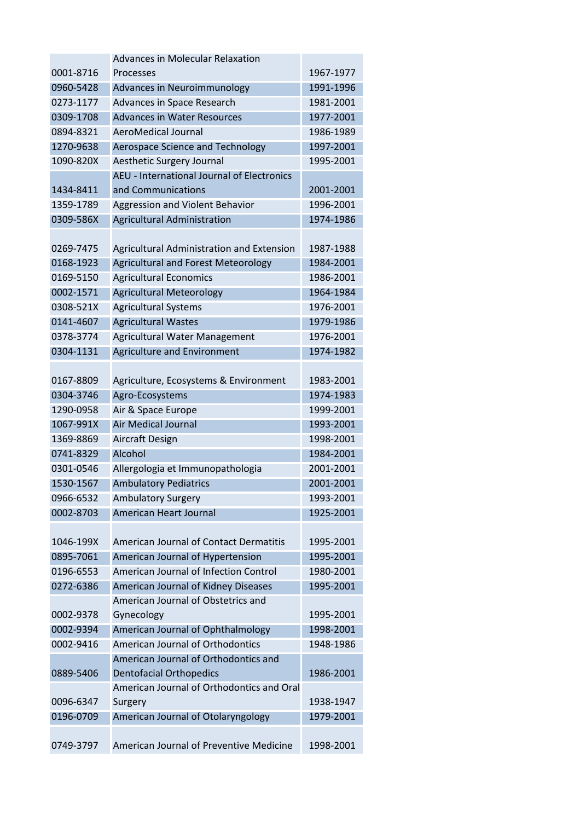|           | <b>Advances in Molecular Relaxation</b>    |           |
|-----------|--------------------------------------------|-----------|
| 0001-8716 | Processes                                  | 1967-1977 |
| 0960-5428 | Advances in Neuroimmunology                | 1991-1996 |
| 0273-1177 | Advances in Space Research                 | 1981-2001 |
| 0309-1708 | <b>Advances in Water Resources</b>         | 1977-2001 |
| 0894-8321 | AeroMedical Journal                        | 1986-1989 |
| 1270-9638 | Aerospace Science and Technology           | 1997-2001 |
| 1090-820X | Aesthetic Surgery Journal                  | 1995-2001 |
|           | AEU - International Journal of Electronics |           |
| 1434-8411 | and Communications                         | 2001-2001 |
| 1359-1789 | Aggression and Violent Behavior            | 1996-2001 |
| 0309-586X | <b>Agricultural Administration</b>         | 1974-1986 |
|           |                                            |           |
| 0269-7475 | Agricultural Administration and Extension  | 1987-1988 |
| 0168-1923 | <b>Agricultural and Forest Meteorology</b> | 1984-2001 |
| 0169-5150 | <b>Agricultural Economics</b>              | 1986-2001 |
| 0002-1571 | <b>Agricultural Meteorology</b>            | 1964-1984 |
| 0308-521X | <b>Agricultural Systems</b>                | 1976-2001 |
| 0141-4607 | <b>Agricultural Wastes</b>                 | 1979-1986 |
| 0378-3774 | Agricultural Water Management              | 1976-2001 |
| 0304-1131 | Agriculture and Environment                | 1974-1982 |
|           |                                            |           |
| 0167-8809 | Agriculture, Ecosystems & Environment      | 1983-2001 |
| 0304-3746 | Agro-Ecosystems                            | 1974-1983 |
| 1290-0958 | Air & Space Europe                         | 1999-2001 |
| 1067-991X | <b>Air Medical Journal</b>                 | 1993-2001 |
| 1369-8869 | Aircraft Design                            | 1998-2001 |
| 0741-8329 | Alcohol                                    | 1984-2001 |
| 0301-0546 | Allergologia et Immunopathologia           | 2001-2001 |
| 1530-1567 | <b>Ambulatory Pediatrics</b>               | 2001-2001 |
| 0966-6532 | <b>Ambulatory Surgery</b>                  | 1993-2001 |
| 0002-8703 | <b>American Heart Journal</b>              | 1925-2001 |
|           |                                            |           |
| 1046-199X | American Journal of Contact Dermatitis     | 1995-2001 |
| 0895-7061 | American Journal of Hypertension           | 1995-2001 |
| 0196-6553 | American Journal of Infection Control      | 1980-2001 |
| 0272-6386 | American Journal of Kidney Diseases        | 1995-2001 |
|           | American Journal of Obstetrics and         |           |
| 0002-9378 | Gynecology                                 | 1995-2001 |
| 0002-9394 | American Journal of Ophthalmology          | 1998-2001 |
| 0002-9416 | American Journal of Orthodontics           | 1948-1986 |
|           | American Journal of Orthodontics and       |           |
| 0889-5406 | <b>Dentofacial Orthopedics</b>             | 1986-2001 |
|           | American Journal of Orthodontics and Oral  |           |
| 0096-6347 | Surgery                                    | 1938-1947 |
| 0196-0709 | American Journal of Otolaryngology         | 1979-2001 |
|           |                                            |           |
| 0749-3797 | American Journal of Preventive Medicine    | 1998-2001 |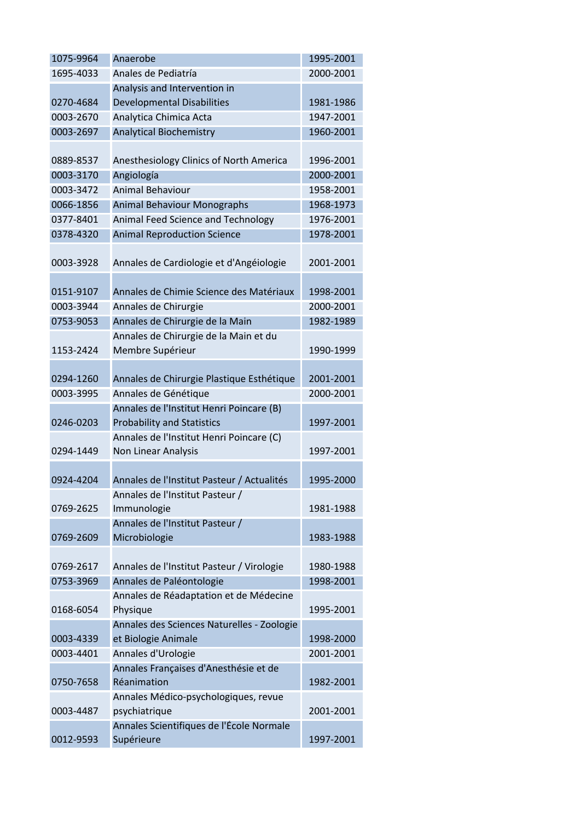| 1075-9964 | Anaerobe                                   | 1995-2001 |
|-----------|--------------------------------------------|-----------|
| 1695-4033 | Anales de Pediatría                        | 2000-2001 |
|           | Analysis and Intervention in               |           |
| 0270-4684 | <b>Developmental Disabilities</b>          | 1981-1986 |
| 0003-2670 | Analytica Chimica Acta                     | 1947-2001 |
| 0003-2697 | <b>Analytical Biochemistry</b>             | 1960-2001 |
|           |                                            |           |
| 0889-8537 | Anesthesiology Clinics of North America    | 1996-2001 |
| 0003-3170 | Angiología                                 | 2000-2001 |
| 0003-3472 | <b>Animal Behaviour</b>                    | 1958-2001 |
| 0066-1856 | <b>Animal Behaviour Monographs</b>         | 1968-1973 |
| 0377-8401 | Animal Feed Science and Technology         | 1976-2001 |
| 0378-4320 | <b>Animal Reproduction Science</b>         | 1978-2001 |
|           |                                            |           |
| 0003-3928 | Annales de Cardiologie et d'Angéiologie    | 2001-2001 |
|           |                                            |           |
| 0151-9107 | Annales de Chimie Science des Matériaux    | 1998-2001 |
| 0003-3944 | Annales de Chirurgie                       | 2000-2001 |
| 0753-9053 | Annales de Chirurgie de la Main            | 1982-1989 |
|           | Annales de Chirurgie de la Main et du      |           |
| 1153-2424 | Membre Supérieur                           | 1990-1999 |
|           |                                            |           |
| 0294-1260 | Annales de Chirurgie Plastique Esthétique  | 2001-2001 |
| 0003-3995 | Annales de Génétique                       | 2000-2001 |
|           | Annales de l'Institut Henri Poincare (B)   |           |
| 0246-0203 | <b>Probability and Statistics</b>          | 1997-2001 |
|           | Annales de l'Institut Henri Poincare (C)   |           |
| 0294-1449 | Non Linear Analysis                        | 1997-2001 |
|           |                                            |           |
| 0924-4204 | Annales de l'Institut Pasteur / Actualités | 1995-2000 |
|           | Annales de l'Institut Pasteur /            |           |
| 0769-2625 | Immunologie                                | 1981-1988 |
|           | Annales de l'Institut Pasteur /            |           |
| 0769-2609 | Microbiologie                              | 1983-1988 |
|           |                                            |           |
| 0769-2617 | Annales de l'Institut Pasteur / Virologie  | 1980-1988 |
| 0753-3969 | Annales de Paléontologie                   | 1998-2001 |
|           | Annales de Réadaptation et de Médecine     |           |
| 0168-6054 | Physique                                   | 1995-2001 |
|           | Annales des Sciences Naturelles - Zoologie |           |
| 0003-4339 | et Biologie Animale                        | 1998-2000 |
| 0003-4401 | Annales d'Urologie                         | 2001-2001 |
|           | Annales Françaises d'Anesthésie et de      |           |
| 0750-7658 | Réanimation                                | 1982-2001 |
|           | Annales Médico-psychologiques, revue       |           |
| 0003-4487 | psychiatrique                              | 2001-2001 |
|           | Annales Scientifiques de l'École Normale   |           |
| 0012-9593 | Supérieure                                 | 1997-2001 |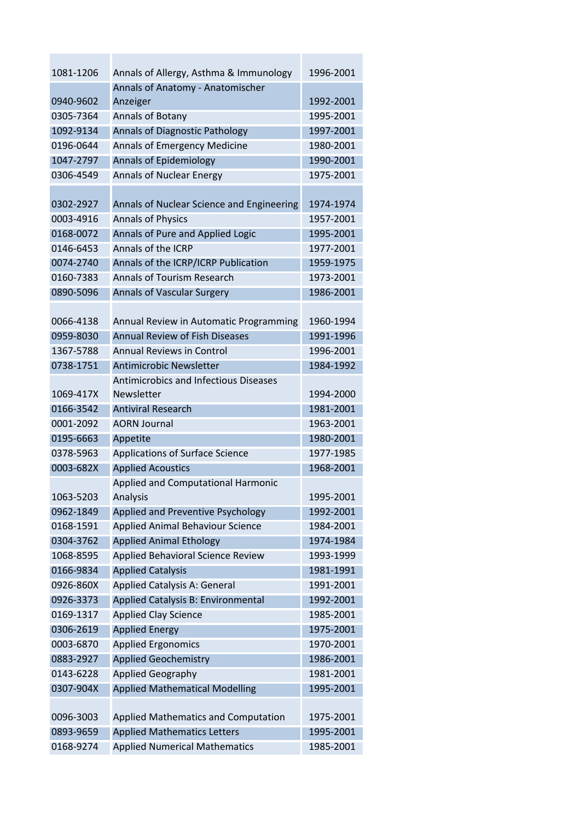| 1081-1206 | Annals of Allergy, Asthma & Immunology       | 1996-2001 |
|-----------|----------------------------------------------|-----------|
|           | Annals of Anatomy - Anatomischer             |           |
| 0940-9602 | Anzeiger                                     | 1992-2001 |
| 0305-7364 | Annals of Botany                             | 1995-2001 |
| 1092-9134 | Annals of Diagnostic Pathology               | 1997-2001 |
| 0196-0644 | Annals of Emergency Medicine                 | 1980-2001 |
| 1047-2797 | <b>Annals of Epidemiology</b>                | 1990-2001 |
| 0306-4549 | <b>Annals of Nuclear Energy</b>              | 1975-2001 |
|           |                                              |           |
| 0302-2927 | Annals of Nuclear Science and Engineering    | 1974-1974 |
| 0003-4916 | <b>Annals of Physics</b>                     | 1957-2001 |
| 0168-0072 | Annals of Pure and Applied Logic             | 1995-2001 |
| 0146-6453 | Annals of the ICRP                           | 1977-2001 |
| 0074-2740 | Annals of the ICRP/ICRP Publication          | 1959-1975 |
| 0160-7383 | <b>Annals of Tourism Research</b>            | 1973-2001 |
| 0890-5096 | <b>Annals of Vascular Surgery</b>            | 1986-2001 |
|           |                                              |           |
| 0066-4138 | Annual Review in Automatic Programming       | 1960-1994 |
| 0959-8030 | <b>Annual Review of Fish Diseases</b>        | 1991-1996 |
| 1367-5788 | <b>Annual Reviews in Control</b>             | 1996-2001 |
| 0738-1751 | <b>Antimicrobic Newsletter</b>               | 1984-1992 |
|           | <b>Antimicrobics and Infectious Diseases</b> |           |
| 1069-417X | Newsletter                                   | 1994-2000 |
| 0166-3542 | <b>Antiviral Research</b>                    | 1981-2001 |
| 0001-2092 | <b>AORN Journal</b>                          | 1963-2001 |
| 0195-6663 | Appetite                                     | 1980-2001 |
| 0378-5963 | <b>Applications of Surface Science</b>       | 1977-1985 |
| 0003-682X | <b>Applied Acoustics</b>                     | 1968-2001 |
|           | Applied and Computational Harmonic           |           |
| 1063-5203 | Analysis                                     | 1995-2001 |
| 0962-1849 | Applied and Preventive Psychology            | 1992-2001 |
| 0168-1591 | Applied Animal Behaviour Science             | 1984-2001 |
| 0304-3762 | <b>Applied Animal Ethology</b>               | 1974-1984 |
| 1068-8595 | Applied Behavioral Science Review            | 1993-1999 |
| 0166-9834 | <b>Applied Catalysis</b>                     | 1981-1991 |
| 0926-860X | Applied Catalysis A: General                 | 1991-2001 |
| 0926-3373 | Applied Catalysis B: Environmental           | 1992-2001 |
| 0169-1317 | <b>Applied Clay Science</b>                  | 1985-2001 |
| 0306-2619 | <b>Applied Energy</b>                        | 1975-2001 |
| 0003-6870 | <b>Applied Ergonomics</b>                    | 1970-2001 |
| 0883-2927 | <b>Applied Geochemistry</b>                  | 1986-2001 |
| 0143-6228 | <b>Applied Geography</b>                     | 1981-2001 |
| 0307-904X | <b>Applied Mathematical Modelling</b>        | 1995-2001 |
|           |                                              |           |
| 0096-3003 | Applied Mathematics and Computation          | 1975-2001 |
| 0893-9659 | <b>Applied Mathematics Letters</b>           | 1995-2001 |
| 0168-9274 | <b>Applied Numerical Mathematics</b>         | 1985-2001 |
|           |                                              |           |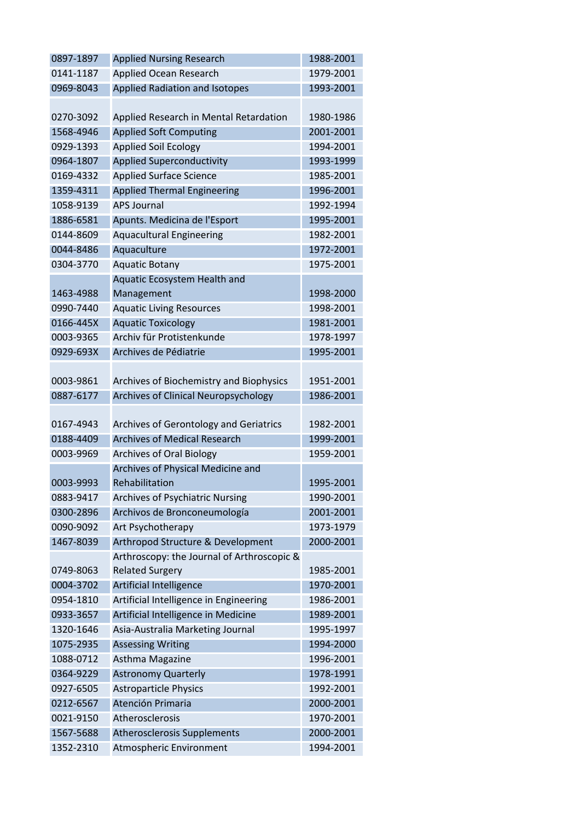| 0897-1897 | <b>Applied Nursing Research</b>             | 1988-2001 |
|-----------|---------------------------------------------|-----------|
| 0141-1187 | Applied Ocean Research                      | 1979-2001 |
| 0969-8043 | Applied Radiation and Isotopes              | 1993-2001 |
|           |                                             |           |
| 0270-3092 | Applied Research in Mental Retardation      | 1980-1986 |
| 1568-4946 | <b>Applied Soft Computing</b>               | 2001-2001 |
| 0929-1393 | <b>Applied Soil Ecology</b>                 | 1994-2001 |
| 0964-1807 | <b>Applied Superconductivity</b>            | 1993-1999 |
| 0169-4332 | <b>Applied Surface Science</b>              | 1985-2001 |
| 1359-4311 | <b>Applied Thermal Engineering</b>          | 1996-2001 |
| 1058-9139 | <b>APS Journal</b>                          | 1992-1994 |
| 1886-6581 | Apunts. Medicina de l'Esport                | 1995-2001 |
| 0144-8609 | <b>Aquacultural Engineering</b>             | 1982-2001 |
| 0044-8486 | Aquaculture                                 | 1972-2001 |
| 0304-3770 | <b>Aquatic Botany</b>                       | 1975-2001 |
|           | Aquatic Ecosystem Health and                |           |
| 1463-4988 | Management                                  | 1998-2000 |
| 0990-7440 |                                             |           |
|           | <b>Aquatic Living Resources</b>             | 1998-2001 |
| 0166-445X | <b>Aquatic Toxicology</b>                   | 1981-2001 |
| 0003-9365 | Archiv für Protistenkunde                   | 1978-1997 |
| 0929-693X | Archives de Pédiatrie                       | 1995-2001 |
|           |                                             |           |
| 0003-9861 | Archives of Biochemistry and Biophysics     | 1951-2001 |
| 0887-6177 | <b>Archives of Clinical Neuropsychology</b> | 1986-2001 |
|           |                                             |           |
| 0167-4943 | Archives of Gerontology and Geriatrics      | 1982-2001 |
| 0188-4409 | <b>Archives of Medical Research</b>         | 1999-2001 |
| 0003-9969 | <b>Archives of Oral Biology</b>             | 1959-2001 |
|           | Archives of Physical Medicine and           |           |
| 0003-9993 | Rehabilitation                              | 1995-2001 |
| 0883-9417 | <b>Archives of Psychiatric Nursing</b>      | 1990-2001 |
| 0300-2896 | Archivos de Bronconeumología                | 2001-2001 |
| 0090-9092 | Art Psychotherapy                           | 1973-1979 |
| 1467-8039 | Arthropod Structure & Development           | 2000-2001 |
|           | Arthroscopy: the Journal of Arthroscopic &  |           |
| 0749-8063 | <b>Related Surgery</b>                      | 1985-2001 |
| 0004-3702 | <b>Artificial Intelligence</b>              | 1970-2001 |
| 0954-1810 | Artificial Intelligence in Engineering      | 1986-2001 |
| 0933-3657 | Artificial Intelligence in Medicine         | 1989-2001 |
| 1320-1646 | Asia-Australia Marketing Journal            | 1995-1997 |
| 1075-2935 | <b>Assessing Writing</b>                    | 1994-2000 |
| 1088-0712 | Asthma Magazine                             | 1996-2001 |
| 0364-9229 | <b>Astronomy Quarterly</b>                  | 1978-1991 |
| 0927-6505 | <b>Astroparticle Physics</b>                | 1992-2001 |
| 0212-6567 | Atención Primaria                           | 2000-2001 |
| 0021-9150 | Atherosclerosis                             | 1970-2001 |
| 1567-5688 | <b>Atherosclerosis Supplements</b>          | 2000-2001 |
| 1352-2310 | Atmospheric Environment                     | 1994-2001 |
|           |                                             |           |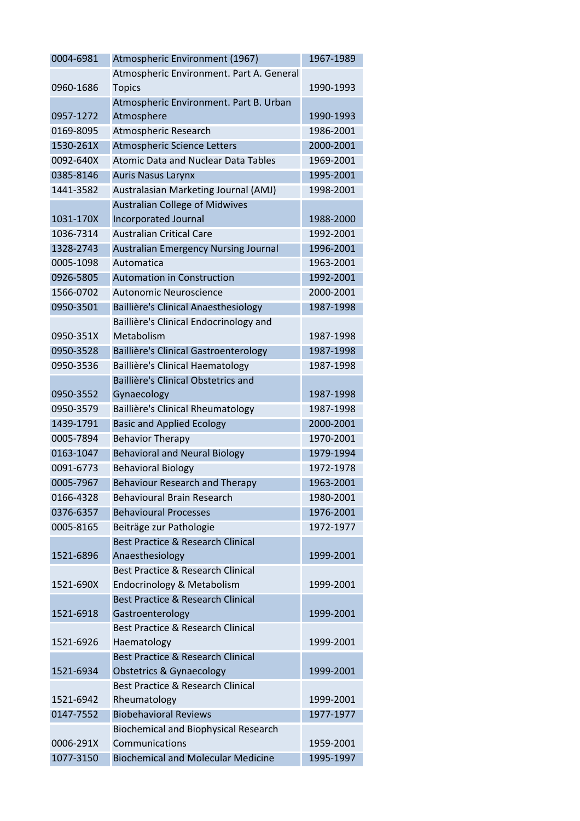| 0004-6981 | Atmospheric Environment (1967)               | 1967-1989 |
|-----------|----------------------------------------------|-----------|
|           | Atmospheric Environment. Part A. General     |           |
| 0960-1686 | <b>Topics</b>                                | 1990-1993 |
|           | Atmospheric Environment. Part B. Urban       |           |
| 0957-1272 | Atmosphere                                   | 1990-1993 |
| 0169-8095 | Atmospheric Research                         | 1986-2001 |
| 1530-261X | Atmospheric Science Letters                  | 2000-2001 |
| 0092-640X | <b>Atomic Data and Nuclear Data Tables</b>   | 1969-2001 |
| 0385-8146 | <b>Auris Nasus Larynx</b>                    | 1995-2001 |
| 1441-3582 | Australasian Marketing Journal (AMJ)         | 1998-2001 |
|           | <b>Australian College of Midwives</b>        |           |
| 1031-170X | Incorporated Journal                         | 1988-2000 |
| 1036-7314 | <b>Australian Critical Care</b>              | 1992-2001 |
| 1328-2743 | <b>Australian Emergency Nursing Journal</b>  | 1996-2001 |
| 0005-1098 | Automatica                                   | 1963-2001 |
| 0926-5805 | <b>Automation in Construction</b>            | 1992-2001 |
| 1566-0702 | Autonomic Neuroscience                       | 2000-2001 |
| 0950-3501 | Baillière's Clinical Anaesthesiology         | 1987-1998 |
|           | Baillière's Clinical Endocrinology and       |           |
| 0950-351X | Metabolism                                   | 1987-1998 |
| 0950-3528 | Baillière's Clinical Gastroenterology        | 1987-1998 |
| 0950-3536 | Baillière's Clinical Haematology             | 1987-1998 |
|           | Baillière's Clinical Obstetrics and          |           |
| 0950-3552 | Gynaecology                                  | 1987-1998 |
| 0950-3579 | Baillière's Clinical Rheumatology            | 1987-1998 |
| 1439-1791 | <b>Basic and Applied Ecology</b>             | 2000-2001 |
| 0005-7894 | <b>Behavior Therapy</b>                      | 1970-2001 |
| 0163-1047 | <b>Behavioral and Neural Biology</b>         | 1979-1994 |
| 0091-6773 | <b>Behavioral Biology</b>                    | 1972-1978 |
| 0005-7967 | <b>Behaviour Research and Therapy</b>        | 1963-2001 |
| 0166-4328 | <b>Behavioural Brain Research</b>            | 1980-2001 |
| 0376-6357 | <b>Behavioural Processes</b>                 | 1976-2001 |
| 0005-8165 | Beiträge zur Pathologie                      | 1972-1977 |
|           | <b>Best Practice &amp; Research Clinical</b> |           |
| 1521-6896 | Anaesthesiology                              | 1999-2001 |
|           | <b>Best Practice &amp; Research Clinical</b> |           |
| 1521-690X | Endocrinology & Metabolism                   | 1999-2001 |
|           | <b>Best Practice &amp; Research Clinical</b> |           |
| 1521-6918 | Gastroenterology                             | 1999-2001 |
|           | <b>Best Practice &amp; Research Clinical</b> |           |
| 1521-6926 | Haematology                                  | 1999-2001 |
|           | <b>Best Practice &amp; Research Clinical</b> |           |
| 1521-6934 | Obstetrics & Gynaecology                     | 1999-2001 |
|           | <b>Best Practice &amp; Research Clinical</b> |           |
| 1521-6942 | Rheumatology                                 | 1999-2001 |
| 0147-7552 | <b>Biobehavioral Reviews</b>                 | 1977-1977 |
|           | <b>Biochemical and Biophysical Research</b>  |           |
| 0006-291X | Communications                               | 1959-2001 |
| 1077-3150 | <b>Biochemical and Molecular Medicine</b>    | 1995-1997 |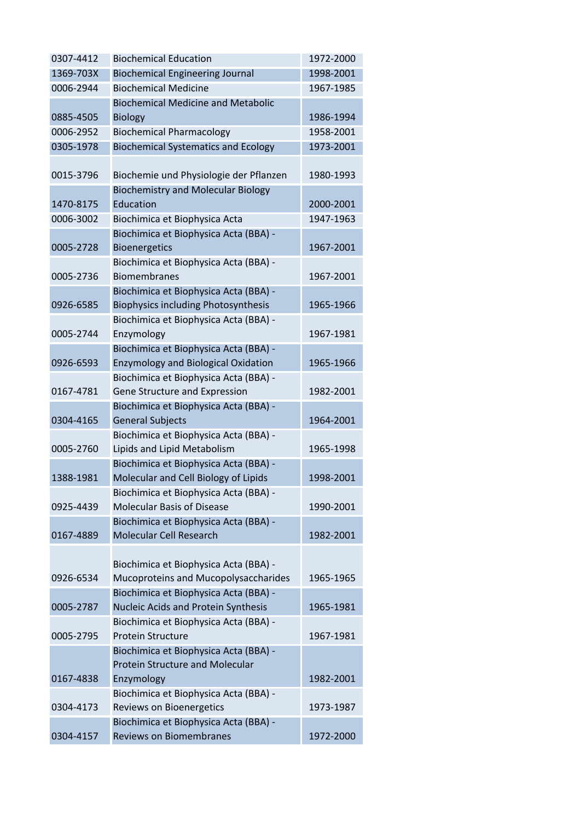| 0307-4412 | <b>Biochemical Education</b>               | 1972-2000 |
|-----------|--------------------------------------------|-----------|
| 1369-703X | <b>Biochemical Engineering Journal</b>     | 1998-2001 |
| 0006-2944 | <b>Biochemical Medicine</b>                | 1967-1985 |
|           | <b>Biochemical Medicine and Metabolic</b>  |           |
| 0885-4505 | <b>Biology</b>                             | 1986-1994 |
| 0006-2952 | <b>Biochemical Pharmacology</b>            | 1958-2001 |
| 0305-1978 | <b>Biochemical Systematics and Ecology</b> | 1973-2001 |
|           |                                            |           |
| 0015-3796 | Biochemie und Physiologie der Pflanzen     | 1980-1993 |
|           | <b>Biochemistry and Molecular Biology</b>  |           |
| 1470-8175 | Education                                  | 2000-2001 |
| 0006-3002 | Biochimica et Biophysica Acta              | 1947-1963 |
|           | Biochimica et Biophysica Acta (BBA) -      |           |
| 0005-2728 | <b>Bioenergetics</b>                       | 1967-2001 |
|           | Biochimica et Biophysica Acta (BBA) -      |           |
| 0005-2736 | <b>Biomembranes</b>                        | 1967-2001 |
|           | Biochimica et Biophysica Acta (BBA) -      |           |
| 0926-6585 | <b>Biophysics including Photosynthesis</b> | 1965-1966 |
|           | Biochimica et Biophysica Acta (BBA) -      |           |
| 0005-2744 |                                            | 1967-1981 |
|           | Enzymology                                 |           |
|           | Biochimica et Biophysica Acta (BBA) -      |           |
| 0926-6593 | <b>Enzymology and Biological Oxidation</b> | 1965-1966 |
|           | Biochimica et Biophysica Acta (BBA) -      |           |
| 0167-4781 | Gene Structure and Expression              | 1982-2001 |
|           | Biochimica et Biophysica Acta (BBA) -      |           |
| 0304-4165 | <b>General Subjects</b>                    | 1964-2001 |
|           | Biochimica et Biophysica Acta (BBA) -      |           |
| 0005-2760 | Lipids and Lipid Metabolism                | 1965-1998 |
|           | Biochimica et Biophysica Acta (BBA) -      |           |
| 1388-1981 | Molecular and Cell Biology of Lipids       | 1998-2001 |
|           | Biochimica et Biophysica Acta (BBA) -      |           |
| 0925-4439 | <b>Molecular Basis of Disease</b>          | 1990-2001 |
|           | Biochimica et Biophysica Acta (BBA) -      |           |
| 0167-4889 | Molecular Cell Research                    | 1982-2001 |
|           |                                            |           |
|           | Biochimica et Biophysica Acta (BBA) -      |           |
| 0926-6534 | Mucoproteins and Mucopolysaccharides       | 1965-1965 |
|           | Biochimica et Biophysica Acta (BBA) -      |           |
| 0005-2787 | Nucleic Acids and Protein Synthesis        | 1965-1981 |
|           | Biochimica et Biophysica Acta (BBA) -      |           |
| 0005-2795 | <b>Protein Structure</b>                   | 1967-1981 |
|           | Biochimica et Biophysica Acta (BBA) -      |           |
|           | <b>Protein Structure and Molecular</b>     |           |
| 0167-4838 | Enzymology                                 | 1982-2001 |
|           | Biochimica et Biophysica Acta (BBA) -      |           |
| 0304-4173 | Reviews on Bioenergetics                   | 1973-1987 |
|           | Biochimica et Biophysica Acta (BBA) -      |           |
| 0304-4157 | <b>Reviews on Biomembranes</b>             | 1972-2000 |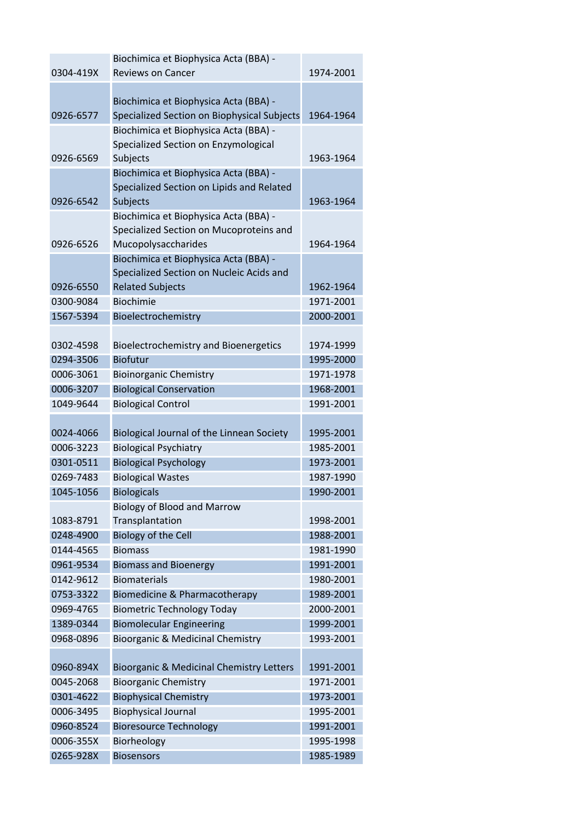|           | Biochimica et Biophysica Acta (BBA) -               |           |
|-----------|-----------------------------------------------------|-----------|
| 0304-419X | <b>Reviews on Cancer</b>                            | 1974-2001 |
|           |                                                     |           |
|           | Biochimica et Biophysica Acta (BBA) -               |           |
| 0926-6577 | Specialized Section on Biophysical Subjects         | 1964-1964 |
|           | Biochimica et Biophysica Acta (BBA) -               |           |
|           | Specialized Section on Enzymological                |           |
| 0926-6569 | Subjects                                            | 1963-1964 |
|           | Biochimica et Biophysica Acta (BBA) -               |           |
|           | Specialized Section on Lipids and Related           |           |
| 0926-6542 | Subjects                                            | 1963-1964 |
|           | Biochimica et Biophysica Acta (BBA) -               |           |
|           | Specialized Section on Mucoproteins and             |           |
| 0926-6526 | Mucopolysaccharides                                 | 1964-1964 |
|           | Biochimica et Biophysica Acta (BBA) -               |           |
|           | Specialized Section on Nucleic Acids and            |           |
| 0926-6550 | <b>Related Subjects</b>                             | 1962-1964 |
| 0300-9084 | <b>Biochimie</b>                                    | 1971-2001 |
| 1567-5394 | Bioelectrochemistry                                 | 2000-2001 |
|           |                                                     |           |
| 0302-4598 | Bioelectrochemistry and Bioenergetics               | 1974-1999 |
| 0294-3506 | <b>Biofutur</b>                                     | 1995-2000 |
| 0006-3061 | <b>Bioinorganic Chemistry</b>                       | 1971-1978 |
| 0006-3207 | <b>Biological Conservation</b>                      | 1968-2001 |
| 1049-9644 | <b>Biological Control</b>                           | 1991-2001 |
|           |                                                     |           |
| 0024-4066 | Biological Journal of the Linnean Society           | 1995-2001 |
| 0006-3223 | <b>Biological Psychiatry</b>                        | 1985-2001 |
| 0301-0511 | <b>Biological Psychology</b>                        | 1973-2001 |
| 0269-7483 | <b>Biological Wastes</b>                            | 1987-1990 |
| 1045-1056 | <b>Biologicals</b>                                  | 1990-2001 |
|           | <b>Biology of Blood and Marrow</b>                  |           |
| 1083-8791 | Transplantation                                     | 1998-2001 |
| 0248-4900 | <b>Biology of the Cell</b>                          | 1988-2001 |
| 0144-4565 | <b>Biomass</b>                                      | 1981-1990 |
| 0961-9534 | <b>Biomass and Bioenergy</b>                        | 1991-2001 |
| 0142-9612 | <b>Biomaterials</b>                                 | 1980-2001 |
| 0753-3322 | Biomedicine & Pharmacotherapy                       | 1989-2001 |
| 0969-4765 |                                                     | 2000-2001 |
|           | <b>Biometric Technology Today</b>                   |           |
| 1389-0344 | <b>Biomolecular Engineering</b>                     | 1999-2001 |
| 0968-0896 | <b>Bioorganic &amp; Medicinal Chemistry</b>         | 1993-2001 |
| 0960-894X | <b>Bioorganic &amp; Medicinal Chemistry Letters</b> | 1991-2001 |
| 0045-2068 | <b>Bioorganic Chemistry</b>                         | 1971-2001 |
| 0301-4622 | <b>Biophysical Chemistry</b>                        | 1973-2001 |
| 0006-3495 | <b>Biophysical Journal</b>                          | 1995-2001 |
| 0960-8524 | <b>Bioresource Technology</b>                       | 1991-2001 |
|           |                                                     |           |
| 0006-355X | Biorheology                                         | 1995-1998 |
| 0265-928X | <b>Biosensors</b>                                   | 1985-1989 |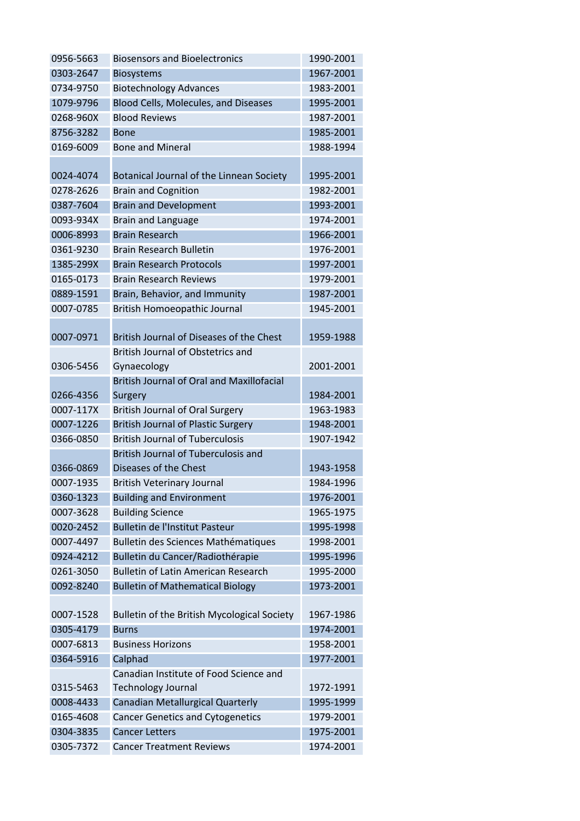| 0956-5663 | <b>Biosensors and Bioelectronics</b>             | 1990-2001 |
|-----------|--------------------------------------------------|-----------|
| 0303-2647 | <b>Biosystems</b>                                | 1967-2001 |
| 0734-9750 | <b>Biotechnology Advances</b>                    | 1983-2001 |
| 1079-9796 | Blood Cells, Molecules, and Diseases             | 1995-2001 |
| 0268-960X | <b>Blood Reviews</b>                             | 1987-2001 |
| 8756-3282 | <b>Bone</b>                                      | 1985-2001 |
| 0169-6009 | <b>Bone and Mineral</b>                          | 1988-1994 |
|           |                                                  |           |
| 0024-4074 | Botanical Journal of the Linnean Society         | 1995-2001 |
| 0278-2626 | <b>Brain and Cognition</b>                       | 1982-2001 |
| 0387-7604 | <b>Brain and Development</b>                     | 1993-2001 |
| 0093-934X | <b>Brain and Language</b>                        | 1974-2001 |
| 0006-8993 | <b>Brain Research</b>                            | 1966-2001 |
| 0361-9230 | <b>Brain Research Bulletin</b>                   | 1976-2001 |
| 1385-299X | <b>Brain Research Protocols</b>                  | 1997-2001 |
| 0165-0173 | <b>Brain Research Reviews</b>                    | 1979-2001 |
| 0889-1591 | Brain, Behavior, and Immunity                    | 1987-2001 |
| 0007-0785 | <b>British Homoeopathic Journal</b>              | 1945-2001 |
|           |                                                  |           |
| 0007-0971 | British Journal of Diseases of the Chest         | 1959-1988 |
|           | <b>British Journal of Obstetrics and</b>         |           |
| 0306-5456 | Gynaecology                                      | 2001-2001 |
|           | <b>British Journal of Oral and Maxillofacial</b> |           |
| 0266-4356 | Surgery                                          | 1984-2001 |
| 0007-117X | <b>British Journal of Oral Surgery</b>           | 1963-1983 |
| 0007-1226 | <b>British Journal of Plastic Surgery</b>        | 1948-2001 |
| 0366-0850 | <b>British Journal of Tuberculosis</b>           | 1907-1942 |
|           | <b>British Journal of Tuberculosis and</b>       |           |
| 0366-0869 | Diseases of the Chest                            | 1943-1958 |
| 0007-1935 | <b>British Veterinary Journal</b>                | 1984-1996 |
| 0360-1323 | <b>Building and Environment</b>                  | 1976-2001 |
| 0007-3628 | <b>Building Science</b>                          | 1965-1975 |
| 0020-2452 | <b>Bulletin de l'Institut Pasteur</b>            | 1995-1998 |
| 0007-4497 | Bulletin des Sciences Mathématiques              | 1998-2001 |
| 0924-4212 | Bulletin du Cancer/Radiothérapie                 | 1995-1996 |
| 0261-3050 | <b>Bulletin of Latin American Research</b>       | 1995-2000 |
| 0092-8240 | <b>Bulletin of Mathematical Biology</b>          | 1973-2001 |
|           |                                                  |           |
| 0007-1528 | Bulletin of the British Mycological Society      | 1967-1986 |
| 0305-4179 | <b>Burns</b>                                     | 1974-2001 |
| 0007-6813 | <b>Business Horizons</b>                         | 1958-2001 |
| 0364-5916 | Calphad                                          | 1977-2001 |
|           | Canadian Institute of Food Science and           |           |
| 0315-5463 | <b>Technology Journal</b>                        | 1972-1991 |
| 0008-4433 | Canadian Metallurgical Quarterly                 | 1995-1999 |
| 0165-4608 | <b>Cancer Genetics and Cytogenetics</b>          | 1979-2001 |
| 0304-3835 | <b>Cancer Letters</b>                            | 1975-2001 |
| 0305-7372 | <b>Cancer Treatment Reviews</b>                  | 1974-2001 |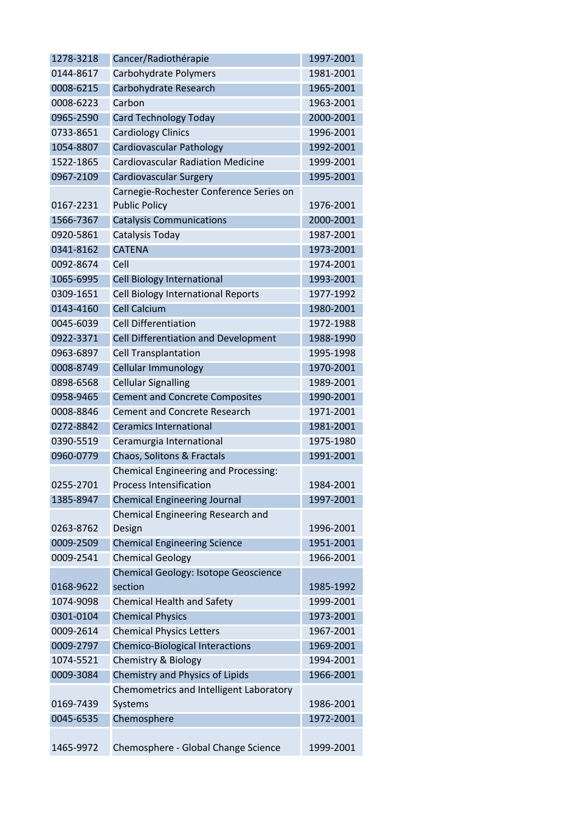| 1278-3218 | Cancer/Radiothérapie                        | 1997-2001 |
|-----------|---------------------------------------------|-----------|
| 0144-8617 | Carbohydrate Polymers                       | 1981-2001 |
| 0008-6215 | Carbohydrate Research                       | 1965-2001 |
| 0008-6223 | Carbon                                      | 1963-2001 |
| 0965-2590 | <b>Card Technology Today</b>                | 2000-2001 |
| 0733-8651 | <b>Cardiology Clinics</b>                   | 1996-2001 |
| 1054-8807 | Cardiovascular Pathology                    | 1992-2001 |
| 1522-1865 | <b>Cardiovascular Radiation Medicine</b>    | 1999-2001 |
| 0967-2109 | Cardiovascular Surgery                      | 1995-2001 |
|           | Carnegie-Rochester Conference Series on     |           |
| 0167-2231 | <b>Public Policy</b>                        | 1976-2001 |
| 1566-7367 | <b>Catalysis Communications</b>             | 2000-2001 |
| 0920-5861 | Catalysis Today                             | 1987-2001 |
| 0341-8162 | <b>CATENA</b>                               | 1973-2001 |
| 0092-8674 | Cell                                        | 1974-2001 |
| 1065-6995 | Cell Biology International                  | 1993-2001 |
| 0309-1651 | Cell Biology International Reports          | 1977-1992 |
| 0143-4160 | <b>Cell Calcium</b>                         | 1980-2001 |
| 0045-6039 | <b>Cell Differentiation</b>                 | 1972-1988 |
| 0922-3371 | Cell Differentiation and Development        | 1988-1990 |
| 0963-6897 | <b>Cell Transplantation</b>                 | 1995-1998 |
| 0008-8749 | Cellular Immunology                         | 1970-2001 |
| 0898-6568 | <b>Cellular Signalling</b>                  | 1989-2001 |
| 0958-9465 | <b>Cement and Concrete Composites</b>       | 1990-2001 |
| 0008-8846 | <b>Cement and Concrete Research</b>         | 1971-2001 |
| 0272-8842 | <b>Ceramics International</b>               | 1981-2001 |
| 0390-5519 | Ceramurgia International                    | 1975-1980 |
| 0960-0779 | Chaos, Solitons & Fractals                  | 1991-2001 |
|           | <b>Chemical Engineering and Processing:</b> |           |
| 0255-2701 | <b>Process Intensification</b>              | 1984-2001 |
| 1385-8947 | <b>Chemical Engineering Journal</b>         | 1997-2001 |
|           | Chemical Engineering Research and           |           |
| 0263-8762 | Design                                      | 1996-2001 |
| 0009-2509 | <b>Chemical Engineering Science</b>         | 1951-2001 |
| 0009-2541 | <b>Chemical Geology</b>                     | 1966-2001 |
|           | Chemical Geology: Isotope Geoscience        |           |
| 0168-9622 | section                                     | 1985-1992 |
| 1074-9098 | <b>Chemical Health and Safety</b>           | 1999-2001 |
| 0301-0104 | <b>Chemical Physics</b>                     | 1973-2001 |
| 0009-2614 | <b>Chemical Physics Letters</b>             | 1967-2001 |
| 0009-2797 | <b>Chemico-Biological Interactions</b>      | 1969-2001 |
| 1074-5521 | Chemistry & Biology                         | 1994-2001 |
| 0009-3084 | Chemistry and Physics of Lipids             | 1966-2001 |
|           | Chemometrics and Intelligent Laboratory     |           |
| 0169-7439 | Systems                                     | 1986-2001 |
| 0045-6535 | Chemosphere                                 | 1972-2001 |
|           |                                             |           |
| 1465-9972 | Chemosphere - Global Change Science         | 1999-2001 |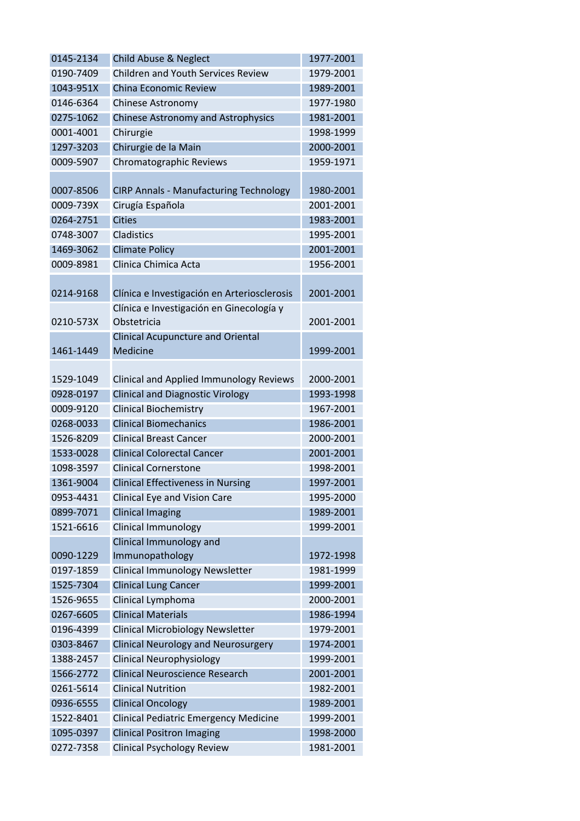| 0145-2134 | Child Abuse & Neglect                         | 1977-2001 |
|-----------|-----------------------------------------------|-----------|
| 0190-7409 | <b>Children and Youth Services Review</b>     | 1979-2001 |
| 1043-951X | China Economic Review                         | 1989-2001 |
| 0146-6364 | Chinese Astronomy                             | 1977-1980 |
| 0275-1062 | <b>Chinese Astronomy and Astrophysics</b>     | 1981-2001 |
| 0001-4001 | Chirurgie                                     | 1998-1999 |
| 1297-3203 | Chirurgie de la Main                          | 2000-2001 |
| 0009-5907 | Chromatographic Reviews                       | 1959-1971 |
|           |                                               |           |
| 0007-8506 | <b>CIRP Annals - Manufacturing Technology</b> | 1980-2001 |
| 0009-739X | Cirugía Española                              | 2001-2001 |
| 0264-2751 | <b>Cities</b>                                 | 1983-2001 |
| 0748-3007 | Cladistics                                    | 1995-2001 |
| 1469-3062 | <b>Climate Policy</b>                         | 2001-2001 |
| 0009-8981 | Clinica Chimica Acta                          | 1956-2001 |
|           |                                               |           |
| 0214-9168 | Clínica e Investigación en Arteriosclerosis   | 2001-2001 |
|           | Clínica e Investigación en Ginecología y      |           |
| 0210-573X | Obstetricia                                   | 2001-2001 |
|           | <b>Clinical Acupuncture and Oriental</b>      |           |
| 1461-1449 | Medicine                                      | 1999-2001 |
|           |                                               |           |
| 1529-1049 | Clinical and Applied Immunology Reviews       | 2000-2001 |
| 0928-0197 | <b>Clinical and Diagnostic Virology</b>       | 1993-1998 |
| 0009-9120 | <b>Clinical Biochemistry</b>                  | 1967-2001 |
| 0268-0033 | <b>Clinical Biomechanics</b>                  | 1986-2001 |
| 1526-8209 | <b>Clinical Breast Cancer</b>                 | 2000-2001 |
| 1533-0028 | <b>Clinical Colorectal Cancer</b>             | 2001-2001 |
| 1098-3597 | <b>Clinical Cornerstone</b>                   | 1998-2001 |
| 1361-9004 | <b>Clinical Effectiveness in Nursing</b>      | 1997-2001 |
| 0953-4431 | <b>Clinical Eye and Vision Care</b>           | 1995-2000 |
| 0899-7071 | <b>Clinical Imaging</b>                       | 1989-2001 |
| 1521-6616 | <b>Clinical Immunology</b>                    | 1999-2001 |
|           | Clinical Immunology and                       |           |
| 0090-1229 | Immunopathology                               | 1972-1998 |
| 0197-1859 | Clinical Immunology Newsletter                | 1981-1999 |
| 1525-7304 | <b>Clinical Lung Cancer</b>                   | 1999-2001 |
| 1526-9655 | Clinical Lymphoma                             | 2000-2001 |
| 0267-6605 | <b>Clinical Materials</b>                     | 1986-1994 |
| 0196-4399 | <b>Clinical Microbiology Newsletter</b>       | 1979-2001 |
| 0303-8467 | <b>Clinical Neurology and Neurosurgery</b>    | 1974-2001 |
| 1388-2457 | <b>Clinical Neurophysiology</b>               | 1999-2001 |
| 1566-2772 | <b>Clinical Neuroscience Research</b>         | 2001-2001 |
| 0261-5614 | <b>Clinical Nutrition</b>                     | 1982-2001 |
| 0936-6555 | <b>Clinical Oncology</b>                      | 1989-2001 |
| 1522-8401 | <b>Clinical Pediatric Emergency Medicine</b>  | 1999-2001 |
| 1095-0397 | <b>Clinical Positron Imaging</b>              | 1998-2000 |
| 0272-7358 | <b>Clinical Psychology Review</b>             | 1981-2001 |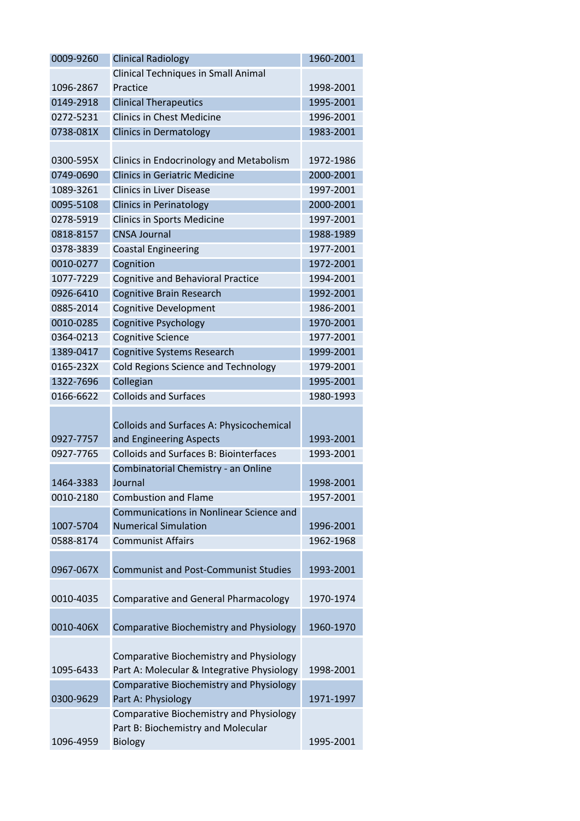| 0009-9260 | <b>Clinical Radiology</b>                      | 1960-2001 |
|-----------|------------------------------------------------|-----------|
|           | <b>Clinical Techniques in Small Animal</b>     |           |
| 1096-2867 | Practice                                       | 1998-2001 |
| 0149-2918 | <b>Clinical Therapeutics</b>                   | 1995-2001 |
| 0272-5231 | <b>Clinics in Chest Medicine</b>               | 1996-2001 |
| 0738-081X | <b>Clinics in Dermatology</b>                  | 1983-2001 |
|           |                                                |           |
| 0300-595X | Clinics in Endocrinology and Metabolism        | 1972-1986 |
| 0749-0690 | <b>Clinics in Geriatric Medicine</b>           | 2000-2001 |
| 1089-3261 | <b>Clinics in Liver Disease</b>                | 1997-2001 |
| 0095-5108 | <b>Clinics in Perinatology</b>                 | 2000-2001 |
| 0278-5919 | <b>Clinics in Sports Medicine</b>              | 1997-2001 |
| 0818-8157 | <b>CNSA Journal</b>                            | 1988-1989 |
| 0378-3839 | <b>Coastal Engineering</b>                     | 1977-2001 |
| 0010-0277 | Cognition                                      | 1972-2001 |
| 1077-7229 | <b>Cognitive and Behavioral Practice</b>       | 1994-2001 |
| 0926-6410 | <b>Cognitive Brain Research</b>                | 1992-2001 |
| 0885-2014 | <b>Cognitive Development</b>                   | 1986-2001 |
| 0010-0285 | <b>Cognitive Psychology</b>                    | 1970-2001 |
| 0364-0213 | <b>Cognitive Science</b>                       | 1977-2001 |
| 1389-0417 | <b>Cognitive Systems Research</b>              | 1999-2001 |
| 0165-232X | <b>Cold Regions Science and Technology</b>     | 1979-2001 |
| 1322-7696 | Collegian                                      | 1995-2001 |
| 0166-6622 | <b>Colloids and Surfaces</b>                   | 1980-1993 |
|           |                                                |           |
|           | Colloids and Surfaces A: Physicochemical       |           |
| 0927-7757 | and Engineering Aspects                        | 1993-2001 |
| 0927-7765 | <b>Colloids and Surfaces B: Biointerfaces</b>  | 1993-2001 |
|           | Combinatorial Chemistry - an Online            |           |
| 1464-3383 | Journal                                        | 1998-2001 |
| 0010-2180 | <b>Combustion and Flame</b>                    | 1957-2001 |
|           | Communications in Nonlinear Science and        |           |
| 1007-5704 | <b>Numerical Simulation</b>                    | 1996-2001 |
| 0588-8174 | <b>Communist Affairs</b>                       | 1962-1968 |
|           |                                                |           |
| 0967-067X | <b>Communist and Post-Communist Studies</b>    | 1993-2001 |
|           |                                                |           |
| 0010-4035 | <b>Comparative and General Pharmacology</b>    | 1970-1974 |
|           |                                                |           |
| 0010-406X | <b>Comparative Biochemistry and Physiology</b> | 1960-1970 |
|           |                                                |           |
|           | <b>Comparative Biochemistry and Physiology</b> |           |
| 1095-6433 | Part A: Molecular & Integrative Physiology     | 1998-2001 |
|           | <b>Comparative Biochemistry and Physiology</b> |           |
| 0300-9629 | Part A: Physiology                             | 1971-1997 |
|           | <b>Comparative Biochemistry and Physiology</b> |           |
|           | Part B: Biochemistry and Molecular             |           |
| 1096-4959 | <b>Biology</b>                                 | 1995-2001 |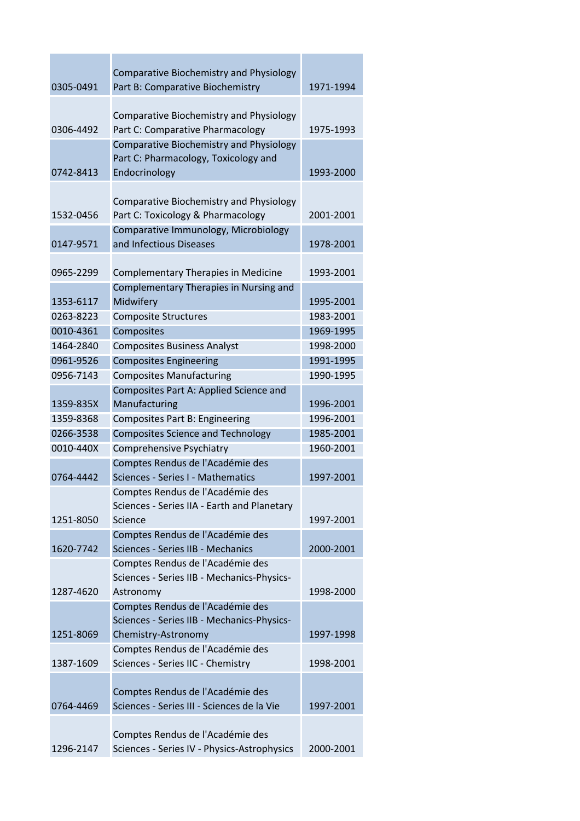| 0305-0491 | <b>Comparative Biochemistry and Physiology</b><br>Part B: Comparative Biochemistry                      | 1971-1994 |
|-----------|---------------------------------------------------------------------------------------------------------|-----------|
| 0306-4492 | <b>Comparative Biochemistry and Physiology</b><br>Part C: Comparative Pharmacology                      | 1975-1993 |
| 0742-8413 | <b>Comparative Biochemistry and Physiology</b><br>Part C: Pharmacology, Toxicology and<br>Endocrinology | 1993-2000 |
| 1532-0456 | <b>Comparative Biochemistry and Physiology</b><br>Part C: Toxicology & Pharmacology                     | 2001-2001 |
| 0147-9571 | Comparative Immunology, Microbiology<br>and Infectious Diseases                                         | 1978-2001 |
| 0965-2299 | Complementary Therapies in Medicine                                                                     | 1993-2001 |
| 1353-6117 | Complementary Therapies in Nursing and<br>Midwifery                                                     | 1995-2001 |
| 0263-8223 | <b>Composite Structures</b>                                                                             | 1983-2001 |
| 0010-4361 | Composites                                                                                              | 1969-1995 |
| 1464-2840 | <b>Composites Business Analyst</b>                                                                      | 1998-2000 |
| 0961-9526 | <b>Composites Engineering</b>                                                                           | 1991-1995 |
| 0956-7143 | <b>Composites Manufacturing</b>                                                                         | 1990-1995 |
|           | Composites Part A: Applied Science and                                                                  |           |
| 1359-835X | Manufacturing                                                                                           | 1996-2001 |
| 1359-8368 | <b>Composites Part B: Engineering</b>                                                                   | 1996-2001 |
| 0266-3538 | <b>Composites Science and Technology</b>                                                                | 1985-2001 |
| 0010-440X | <b>Comprehensive Psychiatry</b>                                                                         | 1960-2001 |
|           | Comptes Rendus de l'Académie des                                                                        |           |
| 0764-4442 | Sciences - Series I - Mathematics                                                                       | 1997-2001 |
| 1251-8050 | Comptes Rendus de l'Académie des<br>Sciences - Series IIA - Earth and Planetary<br>Science              | 1997-2001 |
| 1620-7742 | Comptes Rendus de l'Académie des<br>Sciences - Series IIB - Mechanics                                   | 2000-2001 |
| 1287-4620 | Comptes Rendus de l'Académie des<br>Sciences - Series IIB - Mechanics-Physics-                          | 1998-2000 |
|           | Astronomy                                                                                               |           |
|           | Comptes Rendus de l'Académie des<br>Sciences - Series IIB - Mechanics-Physics-                          |           |
| 1251-8069 | Chemistry-Astronomy                                                                                     | 1997-1998 |
|           | Comptes Rendus de l'Académie des                                                                        |           |
| 1387-1609 | Sciences - Series IIC - Chemistry                                                                       | 1998-2001 |
|           |                                                                                                         |           |
|           | Comptes Rendus de l'Académie des                                                                        |           |
| 0764-4469 | Sciences - Series III - Sciences de la Vie                                                              | 1997-2001 |
| 1296-2147 | Comptes Rendus de l'Académie des<br>Sciences - Series IV - Physics-Astrophysics                         | 2000-2001 |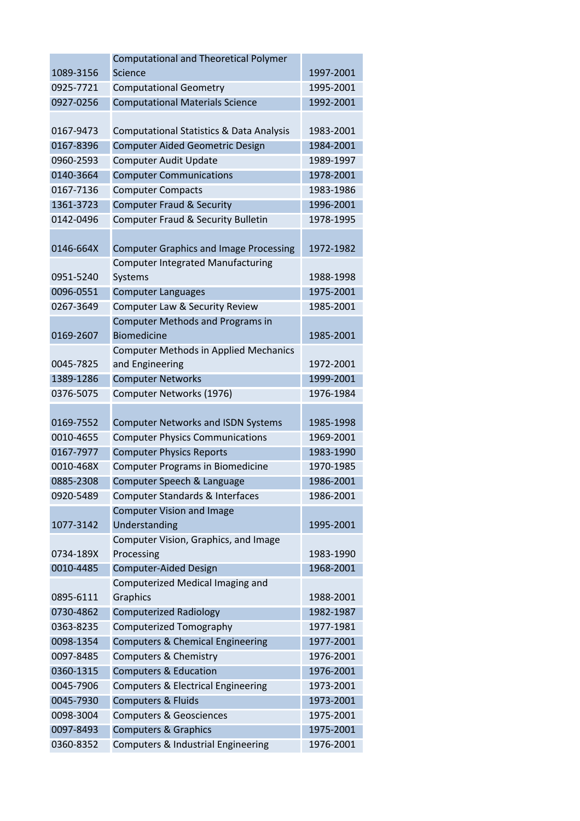|           | <b>Computational and Theoretical Polymer</b>        |           |
|-----------|-----------------------------------------------------|-----------|
| 1089-3156 | Science                                             | 1997-2001 |
| 0925-7721 | <b>Computational Geometry</b>                       | 1995-2001 |
| 0927-0256 | <b>Computational Materials Science</b>              | 1992-2001 |
|           |                                                     |           |
| 0167-9473 | <b>Computational Statistics &amp; Data Analysis</b> | 1983-2001 |
| 0167-8396 | <b>Computer Aided Geometric Design</b>              | 1984-2001 |
| 0960-2593 | <b>Computer Audit Update</b>                        | 1989-1997 |
| 0140-3664 | <b>Computer Communications</b>                      | 1978-2001 |
| 0167-7136 | <b>Computer Compacts</b>                            | 1983-1986 |
| 1361-3723 | <b>Computer Fraud &amp; Security</b>                | 1996-2001 |
| 0142-0496 | Computer Fraud & Security Bulletin                  | 1978-1995 |
|           |                                                     |           |
| 0146-664X | <b>Computer Graphics and Image Processing</b>       | 1972-1982 |
|           | <b>Computer Integrated Manufacturing</b>            |           |
| 0951-5240 | Systems                                             | 1988-1998 |
| 0096-0551 | <b>Computer Languages</b>                           | 1975-2001 |
| 0267-3649 | Computer Law & Security Review                      | 1985-2001 |
|           | <b>Computer Methods and Programs in</b>             |           |
| 0169-2607 | <b>Biomedicine</b>                                  | 1985-2001 |
|           | <b>Computer Methods in Applied Mechanics</b>        |           |
| 0045-7825 | and Engineering                                     | 1972-2001 |
| 1389-1286 | <b>Computer Networks</b>                            | 1999-2001 |
| 0376-5075 | Computer Networks (1976)                            | 1976-1984 |
|           |                                                     |           |
| 0169-7552 | <b>Computer Networks and ISDN Systems</b>           | 1985-1998 |
| 0010-4655 | <b>Computer Physics Communications</b>              | 1969-2001 |
| 0167-7977 | <b>Computer Physics Reports</b>                     | 1983-1990 |
| 0010-468X | <b>Computer Programs in Biomedicine</b>             | 1970-1985 |
| 0885-2308 | Computer Speech & Language                          | 1986-2001 |
| 0920-5489 | Computer Standards & Interfaces                     | 1986-2001 |
|           | <b>Computer Vision and Image</b>                    |           |
| 1077-3142 | Understanding                                       | 1995-2001 |
|           | Computer Vision, Graphics, and Image                |           |
| 0734-189X | Processing                                          | 1983-1990 |
| 0010-4485 | <b>Computer-Aided Design</b>                        | 1968-2001 |
|           | Computerized Medical Imaging and                    |           |
| 0895-6111 | Graphics                                            | 1988-2001 |
| 0730-4862 | <b>Computerized Radiology</b>                       | 1982-1987 |
| 0363-8235 | Computerized Tomography                             | 1977-1981 |
| 0098-1354 | <b>Computers &amp; Chemical Engineering</b>         | 1977-2001 |
| 0097-8485 | <b>Computers &amp; Chemistry</b>                    | 1976-2001 |
| 0360-1315 | <b>Computers &amp; Education</b>                    | 1976-2001 |
| 0045-7906 | Computers & Electrical Engineering                  | 1973-2001 |
| 0045-7930 | <b>Computers &amp; Fluids</b>                       | 1973-2001 |
| 0098-3004 | <b>Computers &amp; Geosciences</b>                  | 1975-2001 |
| 0097-8493 | <b>Computers &amp; Graphics</b>                     | 1975-2001 |
| 0360-8352 | Computers & Industrial Engineering                  | 1976-2001 |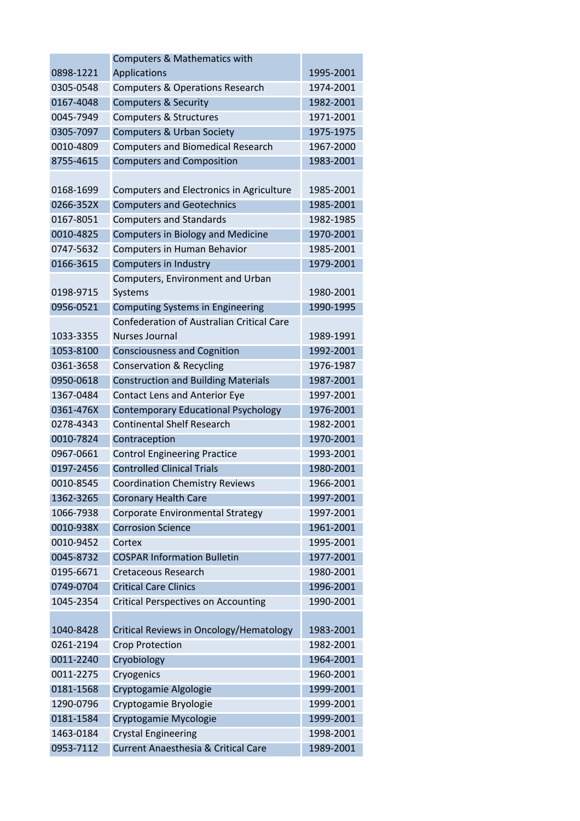|           | <b>Computers &amp; Mathematics with</b>          |           |
|-----------|--------------------------------------------------|-----------|
| 0898-1221 | Applications                                     | 1995-2001 |
| 0305-0548 | <b>Computers &amp; Operations Research</b>       | 1974-2001 |
| 0167-4048 | <b>Computers &amp; Security</b>                  | 1982-2001 |
| 0045-7949 | <b>Computers &amp; Structures</b>                | 1971-2001 |
| 0305-7097 | <b>Computers &amp; Urban Society</b>             | 1975-1975 |
| 0010-4809 | <b>Computers and Biomedical Research</b>         | 1967-2000 |
| 8755-4615 | <b>Computers and Composition</b>                 | 1983-2001 |
|           |                                                  |           |
| 0168-1699 | Computers and Electronics in Agriculture         | 1985-2001 |
| 0266-352X | <b>Computers and Geotechnics</b>                 | 1985-2001 |
| 0167-8051 | <b>Computers and Standards</b>                   | 1982-1985 |
| 0010-4825 | <b>Computers in Biology and Medicine</b>         | 1970-2001 |
| 0747-5632 | Computers in Human Behavior                      | 1985-2001 |
| 0166-3615 | Computers in Industry                            | 1979-2001 |
|           | Computers, Environment and Urban                 |           |
| 0198-9715 | Systems                                          | 1980-2001 |
| 0956-0521 | <b>Computing Systems in Engineering</b>          | 1990-1995 |
|           | <b>Confederation of Australian Critical Care</b> |           |
| 1033-3355 | <b>Nurses Journal</b>                            | 1989-1991 |
| 1053-8100 | <b>Consciousness and Cognition</b>               | 1992-2001 |
| 0361-3658 | <b>Conservation &amp; Recycling</b>              | 1976-1987 |
| 0950-0618 | <b>Construction and Building Materials</b>       | 1987-2001 |
| 1367-0484 | <b>Contact Lens and Anterior Eye</b>             | 1997-2001 |
| 0361-476X | <b>Contemporary Educational Psychology</b>       | 1976-2001 |
| 0278-4343 | <b>Continental Shelf Research</b>                | 1982-2001 |
| 0010-7824 | Contraception                                    | 1970-2001 |
| 0967-0661 | <b>Control Engineering Practice</b>              | 1993-2001 |
| 0197-2456 | <b>Controlled Clinical Trials</b>                | 1980-2001 |
| 0010-8545 | <b>Coordination Chemistry Reviews</b>            | 1966-2001 |
| 1362-3265 | <b>Coronary Health Care</b>                      | 1997-2001 |
| 1066-7938 | Corporate Environmental Strategy                 | 1997-2001 |
| 0010-938X | <b>Corrosion Science</b>                         | 1961-2001 |
| 0010-9452 | Cortex                                           | 1995-2001 |
| 0045-8732 | <b>COSPAR Information Bulletin</b>               | 1977-2001 |
| 0195-6671 | <b>Cretaceous Research</b>                       | 1980-2001 |
| 0749-0704 | <b>Critical Care Clinics</b>                     | 1996-2001 |
| 1045-2354 | <b>Critical Perspectives on Accounting</b>       | 1990-2001 |
|           |                                                  |           |
| 1040-8428 | Critical Reviews in Oncology/Hematology          | 1983-2001 |
| 0261-2194 | <b>Crop Protection</b>                           | 1982-2001 |
| 0011-2240 | Cryobiology                                      | 1964-2001 |
| 0011-2275 | Cryogenics                                       | 1960-2001 |
| 0181-1568 | Cryptogamie Algologie                            | 1999-2001 |
| 1290-0796 | Cryptogamie Bryologie                            | 1999-2001 |
| 0181-1584 | Cryptogamie Mycologie                            | 1999-2001 |
| 1463-0184 | <b>Crystal Engineering</b>                       | 1998-2001 |
| 0953-7112 | <b>Current Anaesthesia &amp; Critical Care</b>   | 1989-2001 |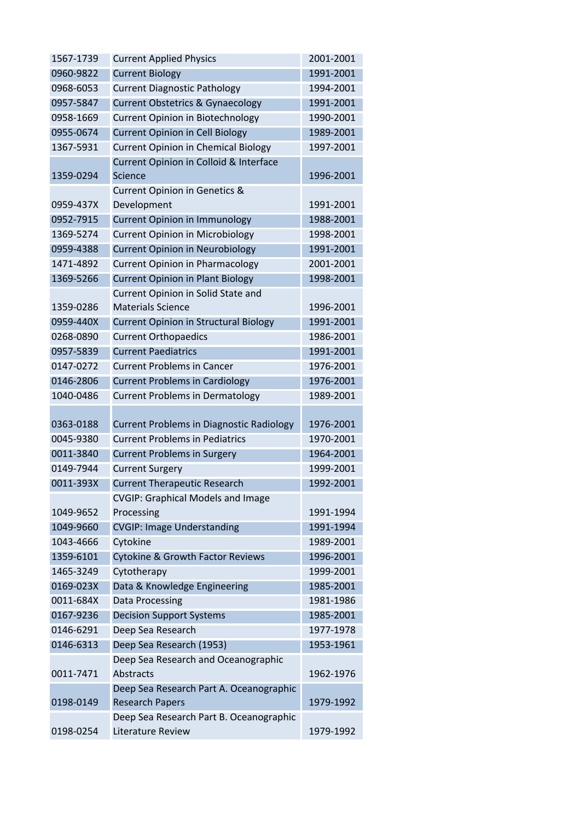| 1567-1739 | <b>Current Applied Physics</b>                               | 2001-2001 |
|-----------|--------------------------------------------------------------|-----------|
| 0960-9822 | <b>Current Biology</b>                                       | 1991-2001 |
| 0968-6053 | <b>Current Diagnostic Pathology</b>                          | 1994-2001 |
| 0957-5847 | <b>Current Obstetrics &amp; Gynaecology</b>                  | 1991-2001 |
| 0958-1669 | <b>Current Opinion in Biotechnology</b>                      | 1990-2001 |
| 0955-0674 | <b>Current Opinion in Cell Biology</b>                       | 1989-2001 |
| 1367-5931 | <b>Current Opinion in Chemical Biology</b>                   | 1997-2001 |
|           | Current Opinion in Colloid & Interface                       |           |
| 1359-0294 | <b>Science</b>                                               | 1996-2001 |
|           | <b>Current Opinion in Genetics &amp;</b>                     |           |
| 0959-437X | Development                                                  | 1991-2001 |
| 0952-7915 | <b>Current Opinion in Immunology</b>                         | 1988-2001 |
| 1369-5274 | <b>Current Opinion in Microbiology</b>                       | 1998-2001 |
| 0959-4388 | <b>Current Opinion in Neurobiology</b>                       | 1991-2001 |
| 1471-4892 | <b>Current Opinion in Pharmacology</b>                       | 2001-2001 |
| 1369-5266 | <b>Current Opinion in Plant Biology</b>                      | 1998-2001 |
|           | Current Opinion in Solid State and                           |           |
| 1359-0286 | <b>Materials Science</b>                                     | 1996-2001 |
| 0959-440X | <b>Current Opinion in Structural Biology</b>                 | 1991-2001 |
| 0268-0890 | <b>Current Orthopaedics</b>                                  | 1986-2001 |
| 0957-5839 | <b>Current Paediatrics</b>                                   | 1991-2001 |
| 0147-0272 | <b>Current Problems in Cancer</b>                            | 1976-2001 |
| 0146-2806 | <b>Current Problems in Cardiology</b>                        | 1976-2001 |
| 1040-0486 | <b>Current Problems in Dermatology</b>                       | 1989-2001 |
|           |                                                              |           |
| 0363-0188 | <b>Current Problems in Diagnostic Radiology</b>              | 1976-2001 |
| 0045-9380 | <b>Current Problems in Pediatrics</b>                        | 1970-2001 |
| 0011-3840 | <b>Current Problems in Surgery</b>                           | 1964-2001 |
| 0149-7944 | <b>Current Surgery</b>                                       | 1999-2001 |
| 0011-393X | <b>Current Therapeutic Research</b>                          | 1992-2001 |
|           | <b>CVGIP: Graphical Models and Image</b>                     |           |
| 1049-9652 | Processing                                                   | 1991-1994 |
| 1049-9660 | <b>CVGIP: Image Understanding</b>                            | 1991-1994 |
| 1043-4666 | Cytokine                                                     | 1989-2001 |
| 1359-6101 | <b>Cytokine &amp; Growth Factor Reviews</b>                  | 1996-2001 |
| 1465-3249 | Cytotherapy                                                  | 1999-2001 |
| 0169-023X | Data & Knowledge Engineering                                 | 1985-2001 |
| 0011-684X | <b>Data Processing</b>                                       | 1981-1986 |
| 0167-9236 | <b>Decision Support Systems</b>                              | 1985-2001 |
| 0146-6291 | Deep Sea Research                                            | 1977-1978 |
| 0146-6313 | Deep Sea Research (1953)                                     | 1953-1961 |
|           | Deep Sea Research and Oceanographic                          |           |
| 0011-7471 | <b>Abstracts</b>                                             | 1962-1976 |
|           | Deep Sea Research Part A. Oceanographic                      |           |
| 0198-0149 | <b>Research Papers</b>                                       | 1979-1992 |
|           |                                                              |           |
| 0198-0254 | Deep Sea Research Part B. Oceanographic<br>Literature Review | 1979-1992 |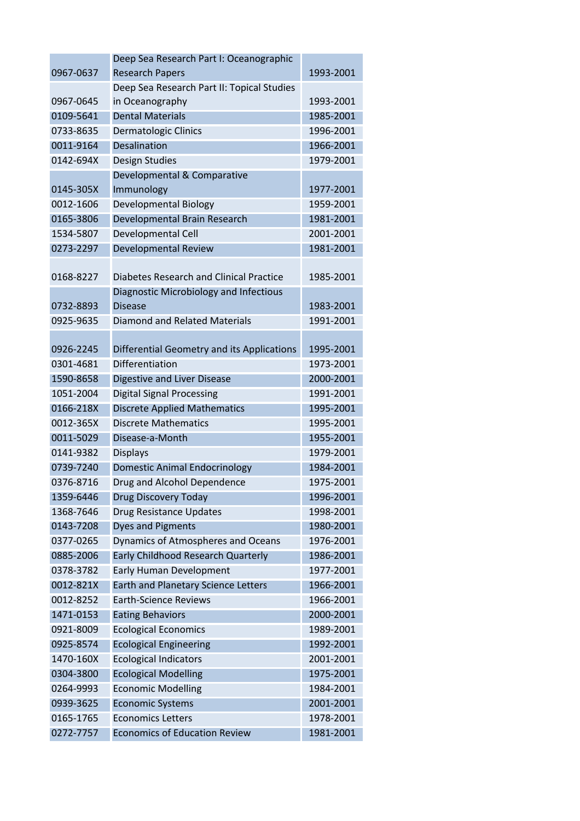|           | Deep Sea Research Part I: Oceanographic        |           |
|-----------|------------------------------------------------|-----------|
| 0967-0637 | <b>Research Papers</b>                         | 1993-2001 |
|           | Deep Sea Research Part II: Topical Studies     |           |
| 0967-0645 | in Oceanography                                | 1993-2001 |
| 0109-5641 | <b>Dental Materials</b>                        | 1985-2001 |
| 0733-8635 | <b>Dermatologic Clinics</b>                    | 1996-2001 |
| 0011-9164 | <b>Desalination</b>                            | 1966-2001 |
| 0142-694X | <b>Design Studies</b>                          | 1979-2001 |
|           | Developmental & Comparative                    |           |
| 0145-305X | Immunology                                     | 1977-2001 |
| 0012-1606 | Developmental Biology                          | 1959-2001 |
| 0165-3806 | Developmental Brain Research                   | 1981-2001 |
| 1534-5807 | Developmental Cell                             | 2001-2001 |
| 0273-2297 | <b>Developmental Review</b>                    | 1981-2001 |
|           |                                                |           |
| 0168-8227 | <b>Diabetes Research and Clinical Practice</b> | 1985-2001 |
|           | Diagnostic Microbiology and Infectious         |           |
| 0732-8893 | <b>Disease</b>                                 | 1983-2001 |
| 0925-9635 | <b>Diamond and Related Materials</b>           | 1991-2001 |
|           |                                                |           |
| 0926-2245 | Differential Geometry and its Applications     | 1995-2001 |
| 0301-4681 | Differentiation                                | 1973-2001 |
| 1590-8658 | <b>Digestive and Liver Disease</b>             | 2000-2001 |
| 1051-2004 | <b>Digital Signal Processing</b>               | 1991-2001 |
| 0166-218X | <b>Discrete Applied Mathematics</b>            | 1995-2001 |
| 0012-365X | <b>Discrete Mathematics</b>                    | 1995-2001 |
| 0011-5029 | Disease-a-Month                                | 1955-2001 |
| 0141-9382 | <b>Displays</b>                                | 1979-2001 |
| 0739-7240 | <b>Domestic Animal Endocrinology</b>           | 1984-2001 |
| 0376-8716 | Drug and Alcohol Dependence                    | 1975-2001 |
| 1359-6446 | Drug Discovery Today                           | 1996-2001 |
| 1368-7646 | Drug Resistance Updates                        | 1998-2001 |
| 0143-7208 | <b>Dyes and Pigments</b>                       | 1980-2001 |
| 0377-0265 | Dynamics of Atmospheres and Oceans             | 1976-2001 |
| 0885-2006 | Early Childhood Research Quarterly             | 1986-2001 |
| 0378-3782 | <b>Early Human Development</b>                 | 1977-2001 |
| 0012-821X | Earth and Planetary Science Letters            | 1966-2001 |
| 0012-8252 | <b>Earth-Science Reviews</b>                   | 1966-2001 |
| 1471-0153 | <b>Eating Behaviors</b>                        | 2000-2001 |
| 0921-8009 | <b>Ecological Economics</b>                    | 1989-2001 |
| 0925-8574 | <b>Ecological Engineering</b>                  | 1992-2001 |
| 1470-160X | <b>Ecological Indicators</b>                   | 2001-2001 |
| 0304-3800 | <b>Ecological Modelling</b>                    | 1975-2001 |
| 0264-9993 | <b>Economic Modelling</b>                      | 1984-2001 |
| 0939-3625 | <b>Economic Systems</b>                        | 2001-2001 |
| 0165-1765 | <b>Economics Letters</b>                       | 1978-2001 |
| 0272-7757 | <b>Economics of Education Review</b>           | 1981-2001 |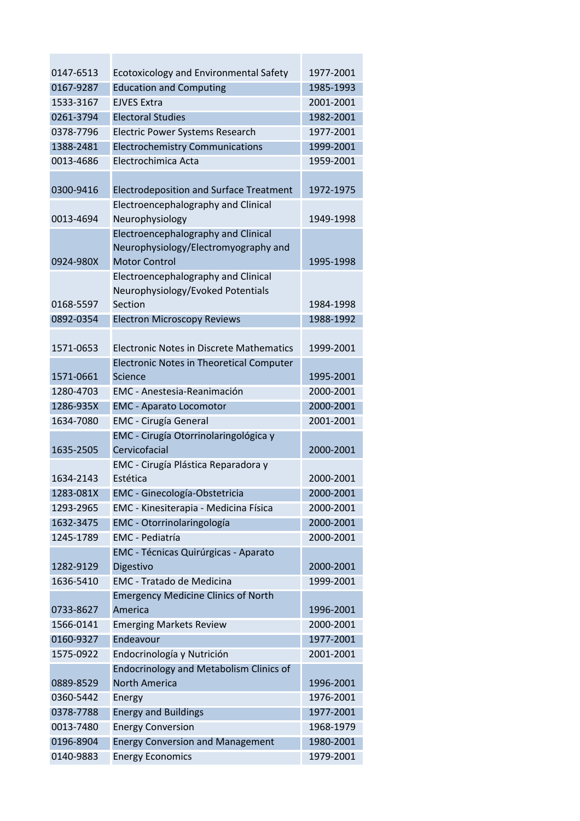| 0147-6513 | <b>Ecotoxicology and Environmental Safety</b>   | 1977-2001 |
|-----------|-------------------------------------------------|-----------|
| 0167-9287 | <b>Education and Computing</b>                  | 1985-1993 |
| 1533-3167 | <b>EJVES Extra</b>                              | 2001-2001 |
| 0261-3794 | <b>Electoral Studies</b>                        | 1982-2001 |
| 0378-7796 | Electric Power Systems Research                 | 1977-2001 |
| 1388-2481 | <b>Electrochemistry Communications</b>          | 1999-2001 |
| 0013-4686 | Electrochimica Acta                             | 1959-2001 |
|           |                                                 |           |
| 0300-9416 | <b>Electrodeposition and Surface Treatment</b>  | 1972-1975 |
|           | Electroencephalography and Clinical             |           |
| 0013-4694 | Neurophysiology                                 | 1949-1998 |
|           | Electroencephalography and Clinical             |           |
|           | Neurophysiology/Electromyography and            |           |
| 0924-980X | <b>Motor Control</b>                            | 1995-1998 |
|           | Electroencephalography and Clinical             |           |
|           | Neurophysiology/Evoked Potentials               |           |
| 0168-5597 | Section                                         | 1984-1998 |
| 0892-0354 | <b>Electron Microscopy Reviews</b>              | 1988-1992 |
|           |                                                 |           |
| 1571-0653 | <b>Electronic Notes in Discrete Mathematics</b> | 1999-2001 |
|           | <b>Electronic Notes in Theoretical Computer</b> |           |
| 1571-0661 | Science                                         | 1995-2001 |
| 1280-4703 | EMC - Anestesia-Reanimación                     | 2000-2001 |
| 1286-935X | <b>EMC - Aparato Locomotor</b>                  | 2000-2001 |
| 1634-7080 | <b>EMC</b> - Cirugía General                    | 2001-2001 |
|           | EMC - Cirugía Otorrinolaringológica y           |           |
| 1635-2505 | Cervicofacial                                   | 2000-2001 |
|           | EMC - Cirugía Plástica Reparadora y             |           |
| 1634-2143 | Estética                                        | 2000-2001 |
| 1283-081X | EMC - Ginecología-Obstetricia                   | 2000-2001 |
| 1293-2965 | EMC - Kinesiterapia - Medicina Física           | 2000-2001 |
|           |                                                 |           |
| 1632-3475 | EMC - Otorrinolaringología                      | 2000-2001 |
| 1245-1789 | <b>EMC</b> - Pediatría                          | 2000-2001 |
|           | <b>EMC</b> - Técnicas Quirúrgicas - Aparato     |           |
| 1282-9129 | Digestivo                                       | 2000-2001 |
| 1636-5410 | <b>EMC - Tratado de Medicina</b>                | 1999-2001 |
|           | <b>Emergency Medicine Clinics of North</b>      |           |
| 0733-8627 | America                                         | 1996-2001 |
| 1566-0141 | <b>Emerging Markets Review</b>                  | 2000-2001 |
| 0160-9327 | Endeavour                                       | 1977-2001 |
| 1575-0922 | Endocrinología y Nutrición                      | 2001-2001 |
|           | <b>Endocrinology and Metabolism Clinics of</b>  |           |
| 0889-8529 | North America                                   | 1996-2001 |
| 0360-5442 | Energy                                          | 1976-2001 |
| 0378-7788 | <b>Energy and Buildings</b>                     | 1977-2001 |
| 0013-7480 | <b>Energy Conversion</b>                        | 1968-1979 |
| 0196-8904 | <b>Energy Conversion and Management</b>         | 1980-2001 |
| 0140-9883 | <b>Energy Economics</b>                         | 1979-2001 |
|           |                                                 |           |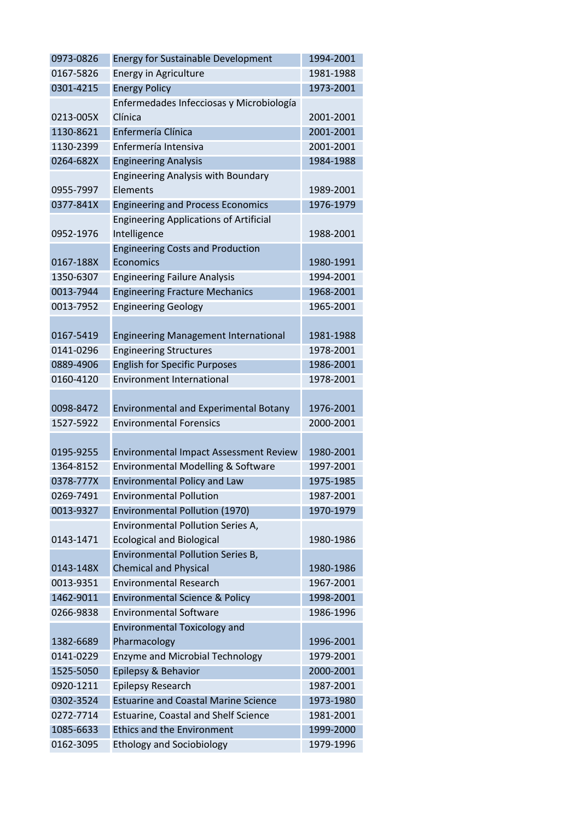| 0973-0826 | <b>Energy for Sustainable Development</b>     | 1994-2001 |
|-----------|-----------------------------------------------|-----------|
| 0167-5826 | <b>Energy in Agriculture</b>                  | 1981-1988 |
| 0301-4215 | <b>Energy Policy</b>                          | 1973-2001 |
|           | Enfermedades Infecciosas y Microbiología      |           |
| 0213-005X | Clínica                                       | 2001-2001 |
| 1130-8621 | Enfermería Clínica                            | 2001-2001 |
| 1130-2399 | Enfermería Intensiva                          | 2001-2001 |
| 0264-682X | <b>Engineering Analysis</b>                   | 1984-1988 |
|           | <b>Engineering Analysis with Boundary</b>     |           |
| 0955-7997 | Elements                                      | 1989-2001 |
| 0377-841X | <b>Engineering and Process Economics</b>      | 1976-1979 |
|           | <b>Engineering Applications of Artificial</b> |           |
| 0952-1976 | Intelligence                                  | 1988-2001 |
|           | <b>Engineering Costs and Production</b>       |           |
| 0167-188X | Economics                                     | 1980-1991 |
| 1350-6307 | <b>Engineering Failure Analysis</b>           | 1994-2001 |
| 0013-7944 | <b>Engineering Fracture Mechanics</b>         | 1968-2001 |
| 0013-7952 | <b>Engineering Geology</b>                    | 1965-2001 |
|           |                                               |           |
| 0167-5419 | <b>Engineering Management International</b>   | 1981-1988 |
| 0141-0296 | <b>Engineering Structures</b>                 | 1978-2001 |
| 0889-4906 | <b>English for Specific Purposes</b>          | 1986-2001 |
| 0160-4120 | <b>Environment International</b>              | 1978-2001 |
|           |                                               |           |
| 0098-8472 | <b>Environmental and Experimental Botany</b>  | 1976-2001 |
| 1527-5922 | <b>Environmental Forensics</b>                | 2000-2001 |
|           |                                               |           |
| 0195-9255 | <b>Environmental Impact Assessment Review</b> | 1980-2001 |
| 1364-8152 | Environmental Modelling & Software            | 1997-2001 |
| 0378-777X | <b>Environmental Policy and Law</b>           | 1975-1985 |
| 0269-7491 | <b>Environmental Pollution</b>                | 1987-2001 |
| 0013-9327 | Environmental Pollution (1970)                | 1970-1979 |
|           | Environmental Pollution Series A,             |           |
| 0143-1471 | <b>Ecological and Biological</b>              | 1980-1986 |
|           | <b>Environmental Pollution Series B,</b>      |           |
| 0143-148X | <b>Chemical and Physical</b>                  | 1980-1986 |
| 0013-9351 | <b>Environmental Research</b>                 | 1967-2001 |
| 1462-9011 | <b>Environmental Science &amp; Policy</b>     | 1998-2001 |
| 0266-9838 | <b>Environmental Software</b>                 | 1986-1996 |
|           | <b>Environmental Toxicology and</b>           |           |
| 1382-6689 | Pharmacology                                  | 1996-2001 |
| 0141-0229 | <b>Enzyme and Microbial Technology</b>        | 1979-2001 |
| 1525-5050 | Epilepsy & Behavior                           | 2000-2001 |
| 0920-1211 | <b>Epilepsy Research</b>                      | 1987-2001 |
| 0302-3524 | <b>Estuarine and Coastal Marine Science</b>   | 1973-1980 |
| 0272-7714 | <b>Estuarine, Coastal and Shelf Science</b>   | 1981-2001 |
| 1085-6633 | <b>Ethics and the Environment</b>             | 1999-2000 |
| 0162-3095 | <b>Ethology and Sociobiology</b>              | 1979-1996 |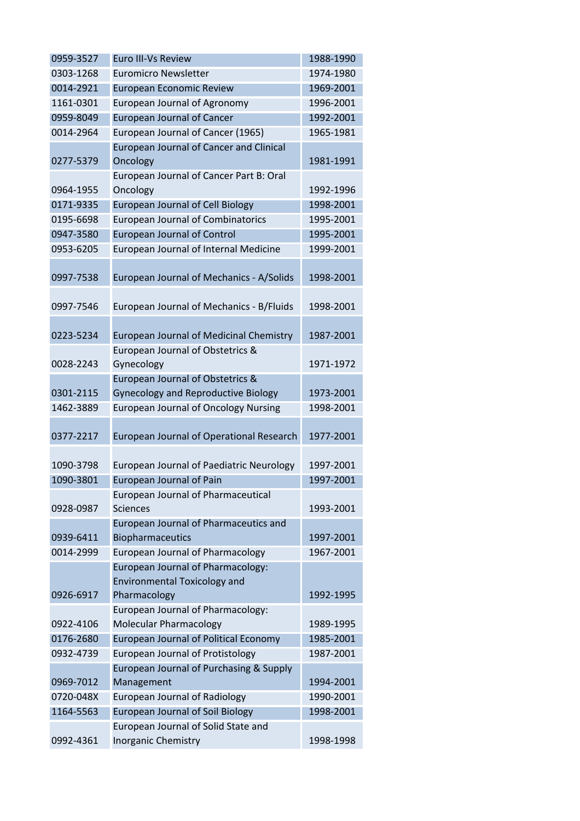| 0959-3527 | <b>Euro III-Vs Review</b>                       | 1988-1990 |
|-----------|-------------------------------------------------|-----------|
| 0303-1268 | <b>Euromicro Newsletter</b>                     | 1974-1980 |
| 0014-2921 | <b>European Economic Review</b>                 | 1969-2001 |
| 1161-0301 | European Journal of Agronomy                    | 1996-2001 |
| 0959-8049 | <b>European Journal of Cancer</b>               | 1992-2001 |
| 0014-2964 | European Journal of Cancer (1965)               | 1965-1981 |
|           | European Journal of Cancer and Clinical         |           |
| 0277-5379 | Oncology                                        | 1981-1991 |
|           | European Journal of Cancer Part B: Oral         |           |
| 0964-1955 | Oncology                                        | 1992-1996 |
| 0171-9335 | <b>European Journal of Cell Biology</b>         | 1998-2001 |
| 0195-6698 | <b>European Journal of Combinatorics</b>        | 1995-2001 |
| 0947-3580 | <b>European Journal of Control</b>              | 1995-2001 |
| 0953-6205 | European Journal of Internal Medicine           | 1999-2001 |
|           |                                                 |           |
| 0997-7538 | European Journal of Mechanics - A/Solids        | 1998-2001 |
|           |                                                 |           |
| 0997-7546 | European Journal of Mechanics - B/Fluids        | 1998-2001 |
|           |                                                 |           |
| 0223-5234 | <b>European Journal of Medicinal Chemistry</b>  | 1987-2001 |
|           | European Journal of Obstetrics &                |           |
| 0028-2243 | Gynecology                                      | 1971-1972 |
|           | European Journal of Obstetrics &                |           |
| 0301-2115 | <b>Gynecology and Reproductive Biology</b>      | 1973-2001 |
| 1462-3889 | <b>European Journal of Oncology Nursing</b>     | 1998-2001 |
|           |                                                 |           |
| 0377-2217 | European Journal of Operational Research        | 1977-2001 |
|           |                                                 |           |
| 1090-3798 | <b>European Journal of Paediatric Neurology</b> | 1997-2001 |
| 1090-3801 | <b>European Journal of Pain</b>                 | 1997-2001 |
|           | <b>European Journal of Pharmaceutical</b>       |           |
| 0928-0987 | <b>Sciences</b>                                 | 1993-2001 |
|           | European Journal of Pharmaceutics and           |           |
| 0939-6411 | Biopharmaceutics                                | 1997-2001 |
| 0014-2999 | <b>European Journal of Pharmacology</b>         | 1967-2001 |
|           | European Journal of Pharmacology:               |           |
|           | <b>Environmental Toxicology and</b>             |           |
| 0926-6917 | Pharmacology                                    | 1992-1995 |
|           | European Journal of Pharmacology:               |           |
| 0922-4106 | <b>Molecular Pharmacology</b>                   | 1989-1995 |
| 0176-2680 | <b>European Journal of Political Economy</b>    | 1985-2001 |
| 0932-4739 | <b>European Journal of Protistology</b>         | 1987-2001 |
|           | European Journal of Purchasing & Supply         |           |
| 0969-7012 | Management                                      | 1994-2001 |
| 0720-048X | European Journal of Radiology                   | 1990-2001 |
| 1164-5563 | <b>European Journal of Soil Biology</b>         | 1998-2001 |
|           | European Journal of Solid State and             |           |
| 0992-4361 | Inorganic Chemistry                             | 1998-1998 |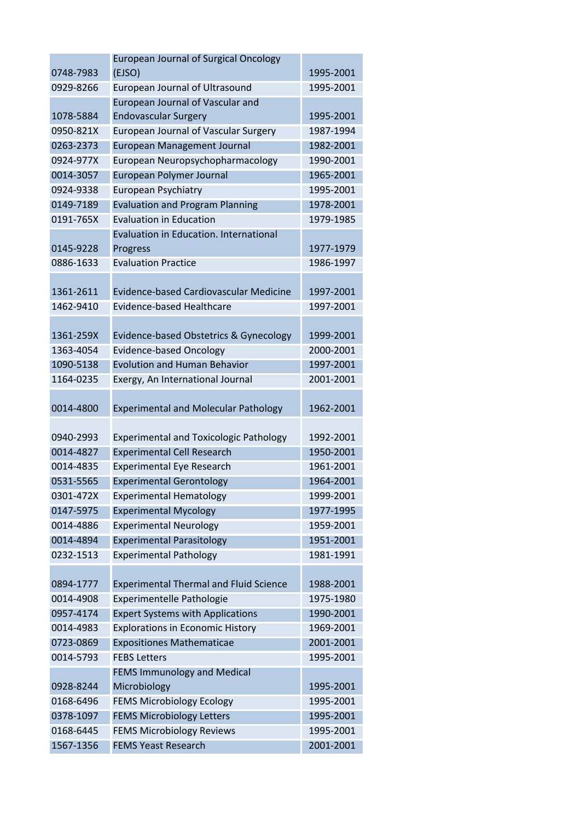|           | <b>European Journal of Surgical Oncology</b>  |           |
|-----------|-----------------------------------------------|-----------|
| 0748-7983 | (EJSO)                                        | 1995-2001 |
| 0929-8266 | European Journal of Ultrasound                | 1995-2001 |
|           | European Journal of Vascular and              |           |
| 1078-5884 | <b>Endovascular Surgery</b>                   | 1995-2001 |
| 0950-821X | <b>European Journal of Vascular Surgery</b>   | 1987-1994 |
| 0263-2373 | <b>European Management Journal</b>            | 1982-2001 |
| 0924-977X | European Neuropsychopharmacology              | 1990-2001 |
| 0014-3057 | European Polymer Journal                      | 1965-2001 |
| 0924-9338 | European Psychiatry                           | 1995-2001 |
| 0149-7189 | <b>Evaluation and Program Planning</b>        | 1978-2001 |
| 0191-765X | <b>Evaluation in Education</b>                | 1979-1985 |
|           | Evaluation in Education. International        |           |
| 0145-9228 | Progress                                      | 1977-1979 |
| 0886-1633 | <b>Evaluation Practice</b>                    | 1986-1997 |
|           |                                               |           |
| 1361-2611 | Evidence-based Cardiovascular Medicine        | 1997-2001 |
| 1462-9410 | Evidence-based Healthcare                     | 1997-2001 |
|           |                                               |           |
| 1361-259X | Evidence-based Obstetrics & Gynecology        | 1999-2001 |
| 1363-4054 | <b>Evidence-based Oncology</b>                | 2000-2001 |
| 1090-5138 | <b>Evolution and Human Behavior</b>           | 1997-2001 |
| 1164-0235 | Exergy, An International Journal              | 2001-2001 |
|           |                                               |           |
| 0014-4800 | <b>Experimental and Molecular Pathology</b>   | 1962-2001 |
|           |                                               |           |
| 0940-2993 | <b>Experimental and Toxicologic Pathology</b> | 1992-2001 |
| 0014-4827 | <b>Experimental Cell Research</b>             | 1950-2001 |
| 0014-4835 | <b>Experimental Eye Research</b>              | 1961-2001 |
| 0531-5565 | <b>Experimental Gerontology</b>               | 1964-2001 |
| 0301-472X | <b>Experimental Hematology</b>                | 1999-2001 |
| 0147-5975 | <b>Experimental Mycology</b>                  | 1977-1995 |
| 0014-4886 | <b>Experimental Neurology</b>                 | 1959-2001 |
| 0014-4894 | <b>Experimental Parasitology</b>              | 1951-2001 |
| 0232-1513 | <b>Experimental Pathology</b>                 | 1981-1991 |
|           |                                               |           |
| 0894-1777 | <b>Experimental Thermal and Fluid Science</b> | 1988-2001 |
| 0014-4908 | Experimentelle Pathologie                     | 1975-1980 |
| 0957-4174 | <b>Expert Systems with Applications</b>       | 1990-2001 |
| 0014-4983 | <b>Explorations in Economic History</b>       | 1969-2001 |
| 0723-0869 | <b>Expositiones Mathematicae</b>              | 2001-2001 |
| 0014-5793 | <b>FEBS Letters</b>                           | 1995-2001 |
|           | <b>FEMS Immunology and Medical</b>            |           |
| 0928-8244 | Microbiology                                  | 1995-2001 |
| 0168-6496 | <b>FEMS Microbiology Ecology</b>              | 1995-2001 |
| 0378-1097 | <b>FEMS Microbiology Letters</b>              | 1995-2001 |
| 0168-6445 | <b>FEMS Microbiology Reviews</b>              | 1995-2001 |
| 1567-1356 | <b>FEMS Yeast Research</b>                    | 2001-2001 |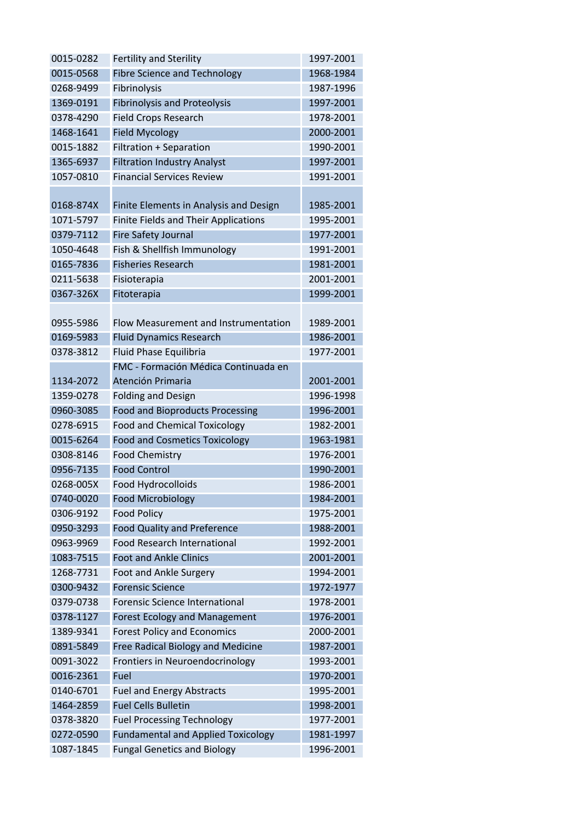| 0015-0282 | <b>Fertility and Sterility</b>            | 1997-2001 |
|-----------|-------------------------------------------|-----------|
| 0015-0568 | <b>Fibre Science and Technology</b>       | 1968-1984 |
| 0268-9499 | Fibrinolysis                              | 1987-1996 |
| 1369-0191 | <b>Fibrinolysis and Proteolysis</b>       | 1997-2001 |
| 0378-4290 | <b>Field Crops Research</b>               | 1978-2001 |
| 1468-1641 | <b>Field Mycology</b>                     | 2000-2001 |
| 0015-1882 | <b>Filtration + Separation</b>            | 1990-2001 |
| 1365-6937 | <b>Filtration Industry Analyst</b>        | 1997-2001 |
| 1057-0810 | <b>Financial Services Review</b>          | 1991-2001 |
|           |                                           |           |
| 0168-874X | Finite Elements in Analysis and Design    | 1985-2001 |
| 1071-5797 | Finite Fields and Their Applications      | 1995-2001 |
| 0379-7112 | <b>Fire Safety Journal</b>                | 1977-2001 |
| 1050-4648 | Fish & Shellfish Immunology               | 1991-2001 |
| 0165-7836 | <b>Fisheries Research</b>                 | 1981-2001 |
| 0211-5638 | Fisioterapia                              | 2001-2001 |
| 0367-326X | Fitoterapia                               | 1999-2001 |
|           |                                           |           |
| 0955-5986 | Flow Measurement and Instrumentation      | 1989-2001 |
| 0169-5983 | <b>Fluid Dynamics Research</b>            | 1986-2001 |
| 0378-3812 | Fluid Phase Equilibria                    | 1977-2001 |
|           | FMC - Formación Médica Continuada en      |           |
| 1134-2072 | Atención Primaria                         | 2001-2001 |
| 1359-0278 | <b>Folding and Design</b>                 | 1996-1998 |
| 0960-3085 | <b>Food and Bioproducts Processing</b>    | 1996-2001 |
| 0278-6915 | <b>Food and Chemical Toxicology</b>       | 1982-2001 |
| 0015-6264 | <b>Food and Cosmetics Toxicology</b>      | 1963-1981 |
| 0308-8146 | <b>Food Chemistry</b>                     | 1976-2001 |
| 0956-7135 | <b>Food Control</b>                       | 1990-2001 |
| 0268-005X | Food Hydrocolloids                        | 1986-2001 |
| 0740-0020 | <b>Food Microbiology</b>                  | 1984-2001 |
| 0306-9192 | <b>Food Policy</b>                        | 1975-2001 |
| 0950-3293 | <b>Food Quality and Preference</b>        | 1988-2001 |
| 0963-9969 | <b>Food Research International</b>        | 1992-2001 |
| 1083-7515 | <b>Foot and Ankle Clinics</b>             | 2001-2001 |
| 1268-7731 | Foot and Ankle Surgery                    | 1994-2001 |
| 0300-9432 | <b>Forensic Science</b>                   | 1972-1977 |
| 0379-0738 | <b>Forensic Science International</b>     | 1978-2001 |
| 0378-1127 | <b>Forest Ecology and Management</b>      | 1976-2001 |
| 1389-9341 | <b>Forest Policy and Economics</b>        | 2000-2001 |
| 0891-5849 | Free Radical Biology and Medicine         | 1987-2001 |
| 0091-3022 | Frontiers in Neuroendocrinology           | 1993-2001 |
| 0016-2361 | Fuel                                      | 1970-2001 |
| 0140-6701 | <b>Fuel and Energy Abstracts</b>          | 1995-2001 |
| 1464-2859 | <b>Fuel Cells Bulletin</b>                | 1998-2001 |
| 0378-3820 | <b>Fuel Processing Technology</b>         | 1977-2001 |
| 0272-0590 | <b>Fundamental and Applied Toxicology</b> | 1981-1997 |
| 1087-1845 | <b>Fungal Genetics and Biology</b>        | 1996-2001 |
|           |                                           |           |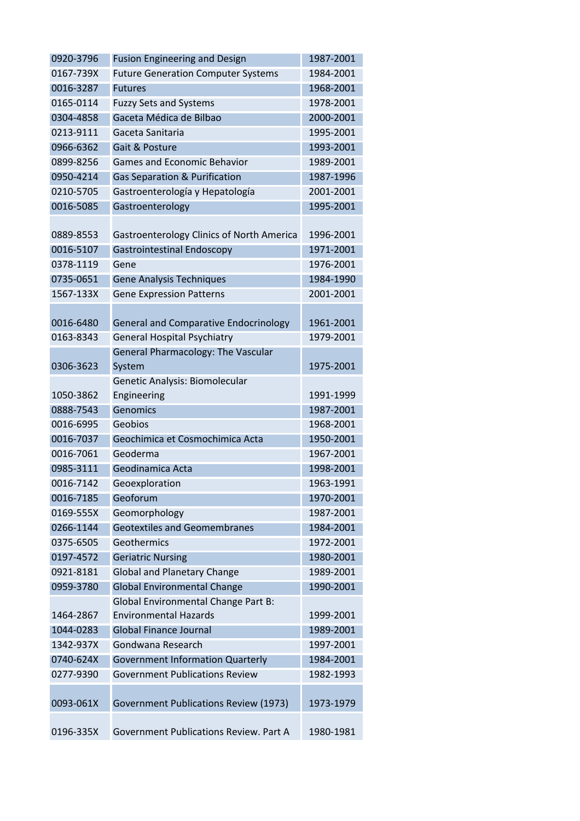| 0920-3796 | <b>Fusion Engineering and Design</b>             | 1987-2001 |
|-----------|--------------------------------------------------|-----------|
| 0167-739X | <b>Future Generation Computer Systems</b>        | 1984-2001 |
| 0016-3287 | <b>Futures</b>                                   | 1968-2001 |
| 0165-0114 | <b>Fuzzy Sets and Systems</b>                    | 1978-2001 |
| 0304-4858 | Gaceta Médica de Bilbao                          | 2000-2001 |
| 0213-9111 | Gaceta Sanitaria                                 | 1995-2001 |
| 0966-6362 | Gait & Posture                                   | 1993-2001 |
| 0899-8256 | <b>Games and Economic Behavior</b>               | 1989-2001 |
| 0950-4214 | Gas Separation & Purification                    | 1987-1996 |
| 0210-5705 | Gastroenterología y Hepatología                  | 2001-2001 |
| 0016-5085 | Gastroenterology                                 | 1995-2001 |
|           |                                                  |           |
| 0889-8553 | <b>Gastroenterology Clinics of North America</b> | 1996-2001 |
| 0016-5107 | <b>Gastrointestinal Endoscopy</b>                | 1971-2001 |
| 0378-1119 | Gene                                             | 1976-2001 |
| 0735-0651 | <b>Gene Analysis Techniques</b>                  | 1984-1990 |
| 1567-133X | <b>Gene Expression Patterns</b>                  | 2001-2001 |
|           |                                                  |           |
| 0016-6480 | <b>General and Comparative Endocrinology</b>     | 1961-2001 |
| 0163-8343 | <b>General Hospital Psychiatry</b>               | 1979-2001 |
|           | General Pharmacology: The Vascular               |           |
| 0306-3623 | System                                           | 1975-2001 |
|           | Genetic Analysis: Biomolecular                   |           |
| 1050-3862 | Engineering                                      | 1991-1999 |
| 0888-7543 | Genomics                                         | 1987-2001 |
| 0016-6995 | Geobios                                          | 1968-2001 |
| 0016-7037 | Geochimica et Cosmochimica Acta                  | 1950-2001 |
| 0016-7061 | Geoderma                                         | 1967-2001 |
| 0985-3111 | Geodinamica Acta                                 | 1998-2001 |
| 0016-7142 | Geoexploration                                   | 1963-1991 |
| 0016-7185 | Geoforum                                         | 1970-2001 |
| 0169-555X | Geomorphology                                    | 1987-2001 |
| 0266-1144 | <b>Geotextiles and Geomembranes</b>              | 1984-2001 |
| 0375-6505 | Geothermics                                      | 1972-2001 |
| 0197-4572 | <b>Geriatric Nursing</b>                         | 1980-2001 |
| 0921-8181 | <b>Global and Planetary Change</b>               | 1989-2001 |
| 0959-3780 | <b>Global Environmental Change</b>               | 1990-2001 |
|           | Global Environmental Change Part B:              |           |
| 1464-2867 | <b>Environmental Hazards</b>                     | 1999-2001 |
| 1044-0283 | <b>Global Finance Journal</b>                    | 1989-2001 |
| 1342-937X | Gondwana Research                                | 1997-2001 |
| 0740-624X | <b>Government Information Quarterly</b>          | 1984-2001 |
| 0277-9390 | <b>Government Publications Review</b>            | 1982-1993 |
| 0093-061X | <b>Government Publications Review (1973)</b>     | 1973-1979 |
|           |                                                  |           |
| 0196-335X | Government Publications Review. Part A           | 1980-1981 |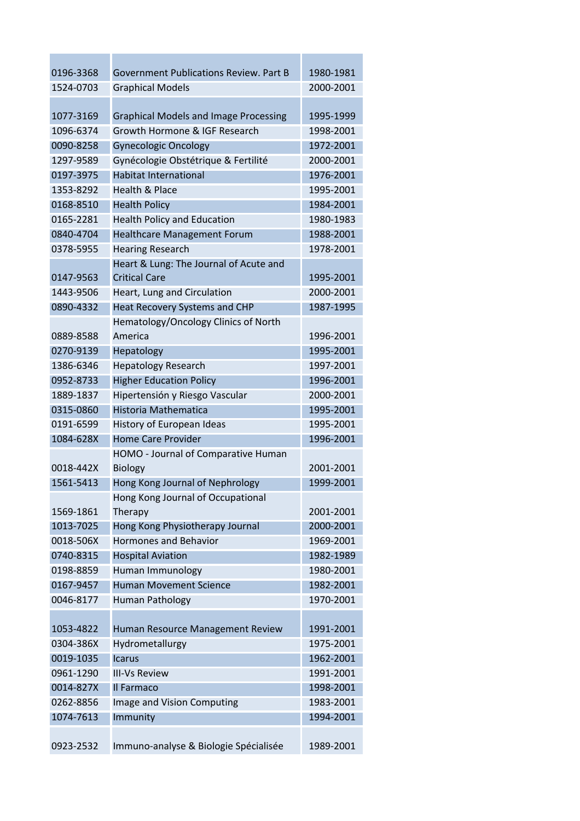| 0196-3368 | <b>Government Publications Review. Part B</b> | 1980-1981 |
|-----------|-----------------------------------------------|-----------|
| 1524-0703 |                                               | 2000-2001 |
|           | <b>Graphical Models</b>                       |           |
| 1077-3169 | <b>Graphical Models and Image Processing</b>  | 1995-1999 |
| 1096-6374 | Growth Hormone & IGF Research                 | 1998-2001 |
| 0090-8258 | <b>Gynecologic Oncology</b>                   | 1972-2001 |
| 1297-9589 | Gynécologie Obstétrique & Fertilité           | 2000-2001 |
| 0197-3975 | <b>Habitat International</b>                  | 1976-2001 |
| 1353-8292 | <b>Health &amp; Place</b>                     | 1995-2001 |
| 0168-8510 | <b>Health Policy</b>                          | 1984-2001 |
| 0165-2281 | <b>Health Policy and Education</b>            | 1980-1983 |
| 0840-4704 | <b>Healthcare Management Forum</b>            | 1988-2001 |
| 0378-5955 | <b>Hearing Research</b>                       | 1978-2001 |
|           | Heart & Lung: The Journal of Acute and        |           |
| 0147-9563 | <b>Critical Care</b>                          | 1995-2001 |
| 1443-9506 | Heart, Lung and Circulation                   | 2000-2001 |
| 0890-4332 | Heat Recovery Systems and CHP                 | 1987-1995 |
|           | Hematology/Oncology Clinics of North          |           |
| 0889-8588 | America                                       | 1996-2001 |
| 0270-9139 | Hepatology                                    | 1995-2001 |
| 1386-6346 | <b>Hepatology Research</b>                    | 1997-2001 |
| 0952-8733 | <b>Higher Education Policy</b>                | 1996-2001 |
| 1889-1837 | Hipertensión y Riesgo Vascular                | 2000-2001 |
| 0315-0860 | <b>Historia Mathematica</b>                   | 1995-2001 |
| 0191-6599 | History of European Ideas                     | 1995-2001 |
| 1084-628X | <b>Home Care Provider</b>                     | 1996-2001 |
|           | HOMO - Journal of Comparative Human           |           |
| 0018-442X | <b>Biology</b>                                | 2001-2001 |
| 1561-5413 | Hong Kong Journal of Nephrology               | 1999-2001 |
|           | Hong Kong Journal of Occupational             |           |
| 1569-1861 | Therapy                                       | 2001-2001 |
| 1013-7025 | Hong Kong Physiotherapy Journal               | 2000-2001 |
| 0018-506X | <b>Hormones and Behavior</b>                  | 1969-2001 |
| 0740-8315 | <b>Hospital Aviation</b>                      | 1982-1989 |
| 0198-8859 | Human Immunology                              | 1980-2001 |
| 0167-9457 | <b>Human Movement Science</b>                 | 1982-2001 |
| 0046-8177 | Human Pathology                               | 1970-2001 |
|           |                                               |           |
| 1053-4822 | Human Resource Management Review              | 1991-2001 |
| 0304-386X | Hydrometallurgy                               | 1975-2001 |
| 0019-1035 | <b>Icarus</b>                                 | 1962-2001 |
| 0961-1290 | <b>III-Vs Review</b>                          | 1991-2001 |
| 0014-827X | Il Farmaco                                    | 1998-2001 |
| 0262-8856 | Image and Vision Computing                    | 1983-2001 |
| 1074-7613 | Immunity                                      | 1994-2001 |
|           |                                               |           |
| 0923-2532 | Immuno-analyse & Biologie Spécialisée         | 1989-2001 |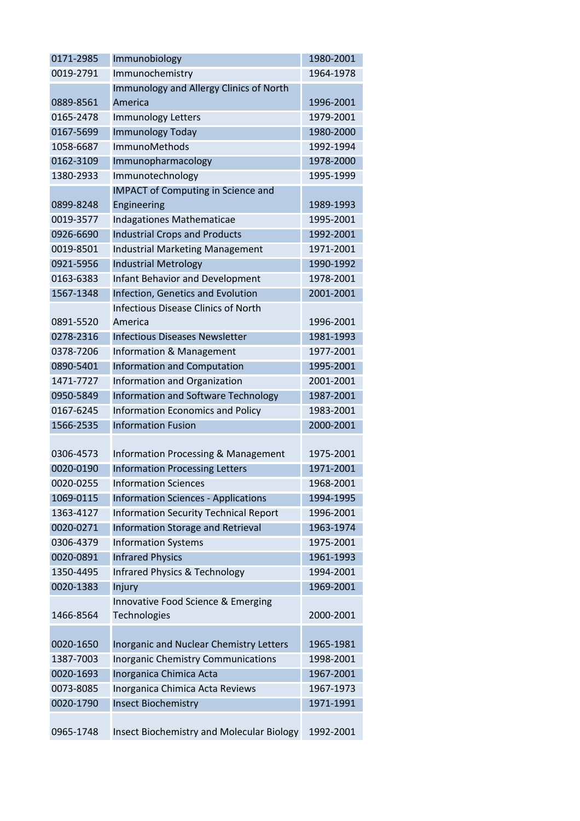| 0171-2985 | Immunobiology                                | 1980-2001 |
|-----------|----------------------------------------------|-----------|
| 0019-2791 | Immunochemistry                              | 1964-1978 |
|           | Immunology and Allergy Clinics of North      |           |
| 0889-8561 | America                                      | 1996-2001 |
| 0165-2478 | <b>Immunology Letters</b>                    | 1979-2001 |
| 0167-5699 | Immunology Today                             | 1980-2000 |
| 1058-6687 | ImmunoMethods                                | 1992-1994 |
| 0162-3109 | Immunopharmacology                           | 1978-2000 |
| 1380-2933 | Immunotechnology                             | 1995-1999 |
|           | <b>IMPACT of Computing in Science and</b>    |           |
| 0899-8248 | Engineering                                  | 1989-1993 |
| 0019-3577 | Indagationes Mathematicae                    | 1995-2001 |
| 0926-6690 | <b>Industrial Crops and Products</b>         | 1992-2001 |
| 0019-8501 | <b>Industrial Marketing Management</b>       | 1971-2001 |
| 0921-5956 | <b>Industrial Metrology</b>                  | 1990-1992 |
| 0163-6383 | <b>Infant Behavior and Development</b>       | 1978-2001 |
| 1567-1348 | Infection, Genetics and Evolution            | 2001-2001 |
|           | Infectious Disease Clinics of North          |           |
| 0891-5520 | America                                      | 1996-2001 |
| 0278-2316 | <b>Infectious Diseases Newsletter</b>        | 1981-1993 |
| 0378-7206 | Information & Management                     | 1977-2001 |
| 0890-5401 | <b>Information and Computation</b>           | 1995-2001 |
| 1471-7727 | Information and Organization                 | 2001-2001 |
| 0950-5849 | Information and Software Technology          | 1987-2001 |
| 0167-6245 | <b>Information Economics and Policy</b>      | 1983-2001 |
| 1566-2535 | <b>Information Fusion</b>                    | 2000-2001 |
|           |                                              |           |
| 0306-4573 | Information Processing & Management          | 1975-2001 |
| 0020-0190 | <b>Information Processing Letters</b>        | 1971-2001 |
| 0020-0255 | <b>Information Sciences</b>                  | 1968-2001 |
| 1069-0115 | <b>Information Sciences - Applications</b>   | 1994-1995 |
| 1363-4127 | <b>Information Security Technical Report</b> | 1996-2001 |
| 0020-0271 | <b>Information Storage and Retrieval</b>     | 1963-1974 |
| 0306-4379 | <b>Information Systems</b>                   | 1975-2001 |
| 0020-0891 | <b>Infrared Physics</b>                      | 1961-1993 |
| 1350-4495 | Infrared Physics & Technology                | 1994-2001 |
| 0020-1383 | Injury                                       | 1969-2001 |
|           | Innovative Food Science & Emerging           |           |
| 1466-8564 | Technologies                                 | 2000-2001 |
|           |                                              |           |
| 0020-1650 | Inorganic and Nuclear Chemistry Letters      | 1965-1981 |
| 1387-7003 | <b>Inorganic Chemistry Communications</b>    | 1998-2001 |
| 0020-1693 | Inorganica Chimica Acta                      | 1967-2001 |
| 0073-8085 | Inorganica Chimica Acta Reviews              | 1967-1973 |
| 0020-1790 | <b>Insect Biochemistry</b>                   | 1971-1991 |
|           |                                              |           |
| 0965-1748 | Insect Biochemistry and Molecular Biology    | 1992-2001 |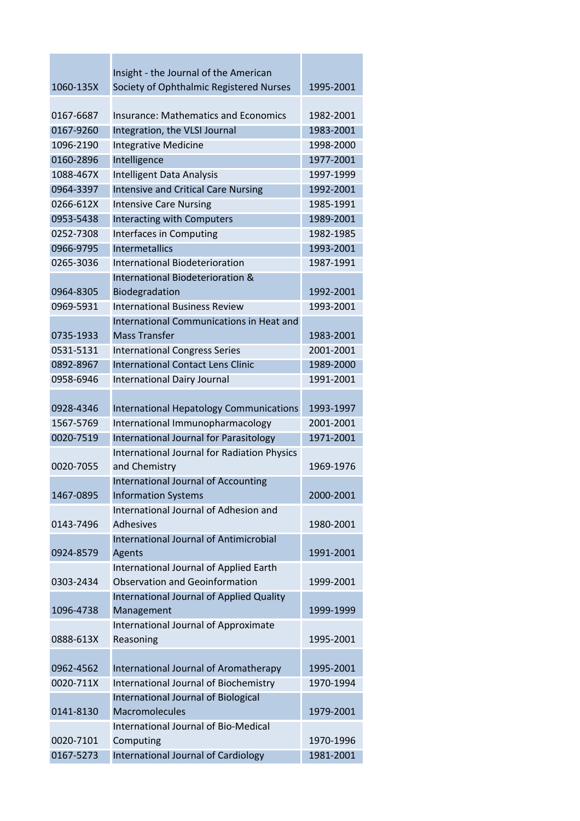| 1060-135X | Insight - the Journal of the American              | 1995-2001 |
|-----------|----------------------------------------------------|-----------|
|           | Society of Ophthalmic Registered Nurses            |           |
| 0167-6687 | <b>Insurance: Mathematics and Economics</b>        | 1982-2001 |
| 0167-9260 | Integration, the VLSI Journal                      | 1983-2001 |
| 1096-2190 | <b>Integrative Medicine</b>                        | 1998-2000 |
| 0160-2896 | Intelligence                                       | 1977-2001 |
| 1088-467X | <b>Intelligent Data Analysis</b>                   | 1997-1999 |
| 0964-3397 | <b>Intensive and Critical Care Nursing</b>         | 1992-2001 |
| 0266-612X | <b>Intensive Care Nursing</b>                      | 1985-1991 |
| 0953-5438 | Interacting with Computers                         | 1989-2001 |
| 0252-7308 | Interfaces in Computing                            | 1982-1985 |
| 0966-9795 | <b>Intermetallics</b>                              | 1993-2001 |
| 0265-3036 | <b>International Biodeterioration</b>              | 1987-1991 |
|           | International Biodeterioration &                   |           |
| 0964-8305 | Biodegradation                                     | 1992-2001 |
| 0969-5931 | <b>International Business Review</b>               | 1993-2001 |
|           | International Communications in Heat and           |           |
| 0735-1933 | <b>Mass Transfer</b>                               | 1983-2001 |
| 0531-5131 | <b>International Congress Series</b>               | 2001-2001 |
| 0892-8967 | <b>International Contact Lens Clinic</b>           | 1989-2000 |
| 0958-6946 | International Dairy Journal                        | 1991-2001 |
|           |                                                    |           |
| 0928-4346 | International Hepatology Communications            | 1993-1997 |
| 1567-5769 | International Immunopharmacology                   | 2001-2001 |
| 0020-7519 | International Journal for Parasitology             | 1971-2001 |
|           | <b>International Journal for Radiation Physics</b> |           |
| 0020-7055 | and Chemistry                                      | 1969-1976 |
|           | <b>International Journal of Accounting</b>         |           |
| 1467-0895 | <b>Information Systems</b>                         | 2000-2001 |
|           | International Journal of Adhesion and              |           |
| 0143-7496 | <b>Adhesives</b>                                   | 1980-2001 |
|           | <b>International Journal of Antimicrobial</b>      |           |
| 0924-8579 | Agents                                             | 1991-2001 |
|           | International Journal of Applied Earth             |           |
| 0303-2434 | <b>Observation and Geoinformation</b>              | 1999-2001 |
|           | International Journal of Applied Quality           |           |
| 1096-4738 | Management                                         | 1999-1999 |
|           | International Journal of Approximate               |           |
| 0888-613X | Reasoning                                          | 1995-2001 |
| 0962-4562 | International Journal of Aromatherapy              | 1995-2001 |
| 0020-711X | International Journal of Biochemistry              | 1970-1994 |
|           | <b>International Journal of Biological</b>         |           |
| 0141-8130 | <b>Macromolecules</b>                              | 1979-2001 |
|           | <b>International Journal of Bio-Medical</b>        |           |
| 0020-7101 | Computing                                          | 1970-1996 |
| 0167-5273 | International Journal of Cardiology                | 1981-2001 |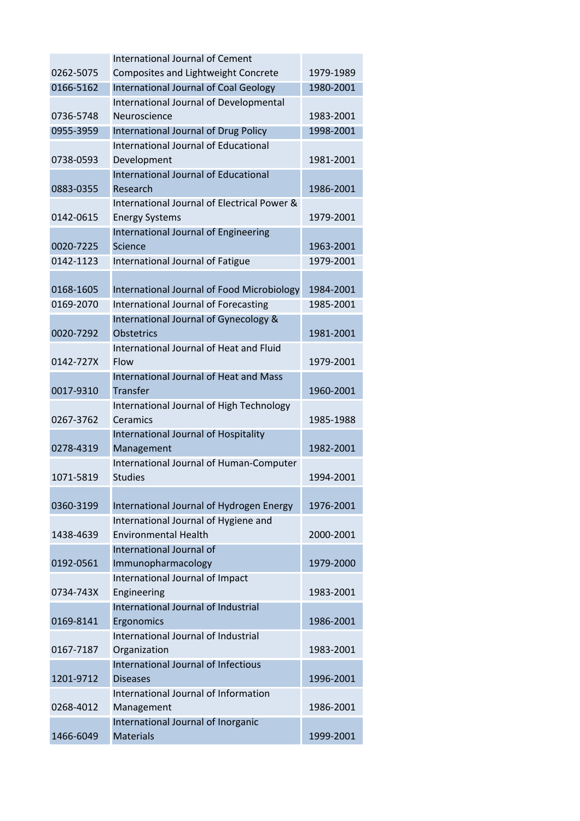|           | <b>International Journal of Cement</b>                     |           |
|-----------|------------------------------------------------------------|-----------|
| 0262-5075 | Composites and Lightweight Concrete                        | 1979-1989 |
| 0166-5162 | International Journal of Coal Geology                      | 1980-2001 |
|           | International Journal of Developmental                     |           |
| 0736-5748 | Neuroscience                                               | 1983-2001 |
| 0955-3959 | International Journal of Drug Policy                       | 1998-2001 |
|           | International Journal of Educational                       |           |
| 0738-0593 | Development                                                | 1981-2001 |
|           | International Journal of Educational                       |           |
| 0883-0355 | Research                                                   | 1986-2001 |
|           | International Journal of Electrical Power &                |           |
| 0142-0615 | <b>Energy Systems</b>                                      | 1979-2001 |
|           | International Journal of Engineering                       |           |
| 0020-7225 | Science                                                    | 1963-2001 |
| 0142-1123 | International Journal of Fatigue                           | 1979-2001 |
|           |                                                            |           |
| 0168-1605 | International Journal of Food Microbiology                 | 1984-2001 |
| 0169-2070 | International Journal of Forecasting                       | 1985-2001 |
|           |                                                            |           |
| 0020-7292 | International Journal of Gynecology &<br><b>Obstetrics</b> | 1981-2001 |
|           |                                                            |           |
|           | International Journal of Heat and Fluid                    |           |
| 0142-727X | Flow                                                       | 1979-2001 |
|           | International Journal of Heat and Mass                     |           |
| 0017-9310 | <b>Transfer</b>                                            | 1960-2001 |
|           | International Journal of High Technology                   |           |
| 0267-3762 | Ceramics                                                   | 1985-1988 |
|           | International Journal of Hospitality                       |           |
| 0278-4319 | Management                                                 | 1982-2001 |
|           | International Journal of Human-Computer                    |           |
| 1071-5819 | <b>Studies</b>                                             | 1994-2001 |
|           |                                                            |           |
| 0360-3199 | International Journal of Hydrogen Energy                   | 1976-2001 |
|           | International Journal of Hygiene and                       |           |
| 1438-4639 | <b>Environmental Health</b>                                | 2000-2001 |
|           | International Journal of                                   |           |
| 0192-0561 | Immunopharmacology                                         | 1979-2000 |
|           | International Journal of Impact                            |           |
| 0734-743X | Engineering                                                | 1983-2001 |
|           | International Journal of Industrial                        |           |
| 0169-8141 | Ergonomics                                                 | 1986-2001 |
|           | International Journal of Industrial                        |           |
| 0167-7187 | Organization                                               | 1983-2001 |
|           | International Journal of Infectious                        |           |
| 1201-9712 | <b>Diseases</b>                                            | 1996-2001 |
|           | International Journal of Information                       |           |
| 0268-4012 | Management                                                 | 1986-2001 |
|           | International Journal of Inorganic                         |           |
| 1466-6049 | <b>Materials</b>                                           | 1999-2001 |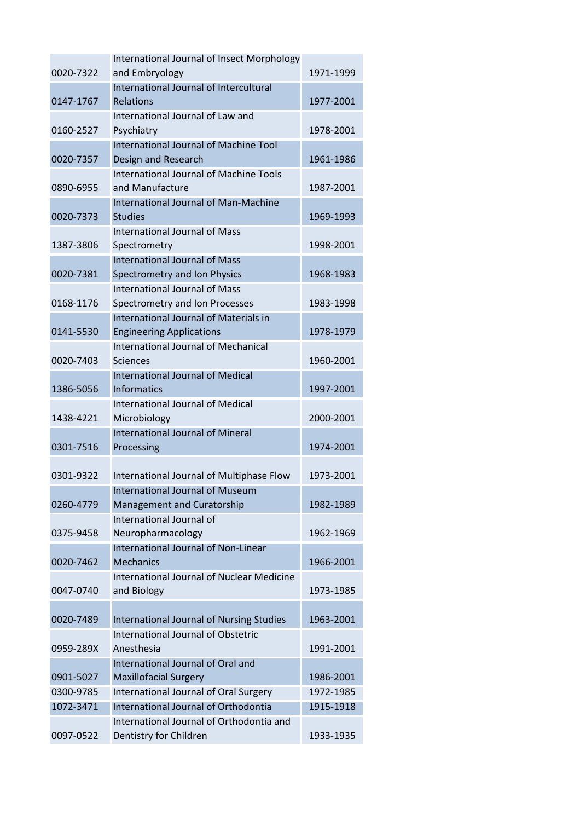|           | International Journal of Insect Morphology                                    |           |
|-----------|-------------------------------------------------------------------------------|-----------|
| 0020-7322 | and Embryology                                                                | 1971-1999 |
|           | International Journal of Intercultural                                        |           |
| 0147-1767 | Relations                                                                     | 1977-2001 |
|           | International Journal of Law and                                              |           |
| 0160-2527 | Psychiatry                                                                    | 1978-2001 |
|           | International Journal of Machine Tool                                         |           |
| 0020-7357 | Design and Research                                                           | 1961-1986 |
|           | International Journal of Machine Tools                                        |           |
| 0890-6955 | and Manufacture                                                               | 1987-2001 |
|           | <b>International Journal of Man-Machine</b>                                   |           |
| 0020-7373 | <b>Studies</b>                                                                | 1969-1993 |
|           | <b>International Journal of Mass</b>                                          |           |
| 1387-3806 | Spectrometry                                                                  | 1998-2001 |
|           | <b>International Journal of Mass</b>                                          |           |
| 0020-7381 | Spectrometry and Ion Physics                                                  | 1968-1983 |
|           | <b>International Journal of Mass</b>                                          |           |
| 0168-1176 | Spectrometry and Ion Processes                                                | 1983-1998 |
|           | International Journal of Materials in                                         |           |
| 0141-5530 |                                                                               | 1978-1979 |
|           | <b>Engineering Applications</b><br><b>International Journal of Mechanical</b> |           |
| 0020-7403 | <b>Sciences</b>                                                               | 1960-2001 |
|           | <b>International Journal of Medical</b>                                       |           |
| 1386-5056 | <b>Informatics</b>                                                            | 1997-2001 |
|           | <b>International Journal of Medical</b>                                       |           |
|           |                                                                               |           |
| 1438-4221 | Microbiology                                                                  | 2000-2001 |
|           | <b>International Journal of Mineral</b>                                       |           |
| 0301-7516 | Processing                                                                    | 1974-2001 |
|           |                                                                               |           |
| 0301-9322 | International Journal of Multiphase Flow                                      | 1973-2001 |
|           | International Journal of Museum                                               |           |
| 0260-4779 | Management and Curatorship                                                    | 1982-1989 |
|           | International Journal of                                                      |           |
| 0375-9458 | Neuropharmacology                                                             | 1962-1969 |
|           | International Journal of Non-Linear                                           |           |
| 0020-7462 | <b>Mechanics</b>                                                              | 1966-2001 |
|           | <b>International Journal of Nuclear Medicine</b>                              |           |
| 0047-0740 | and Biology                                                                   | 1973-1985 |
|           |                                                                               |           |
| 0020-7489 | International Journal of Nursing Studies                                      | 1963-2001 |
|           | <b>International Journal of Obstetric</b>                                     |           |
| 0959-289X | Anesthesia                                                                    | 1991-2001 |
|           | International Journal of Oral and                                             |           |
| 0901-5027 | <b>Maxillofacial Surgery</b>                                                  | 1986-2001 |
| 0300-9785 | International Journal of Oral Surgery                                         | 1972-1985 |
| 1072-3471 | International Journal of Orthodontia                                          | 1915-1918 |
|           | International Journal of Orthodontia and                                      |           |
| 0097-0522 | Dentistry for Children                                                        | 1933-1935 |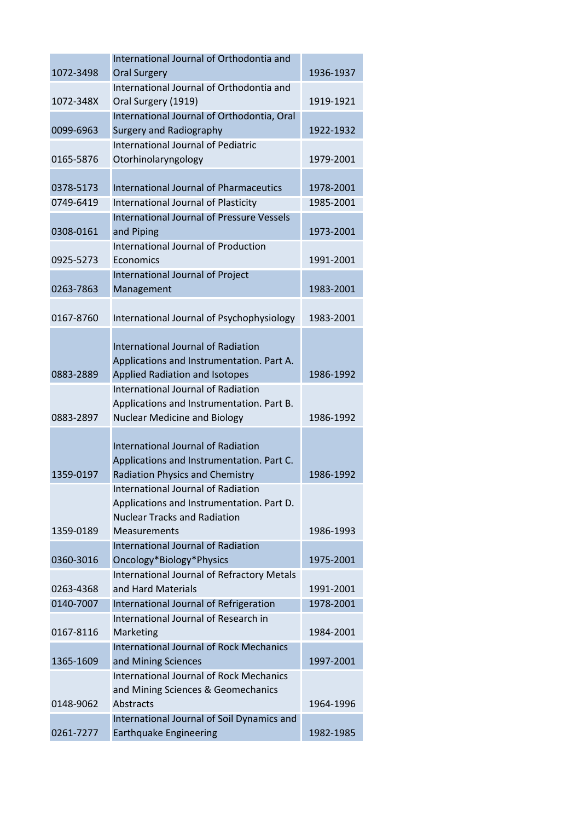|           | International Journal of Orthodontia and                         |           |
|-----------|------------------------------------------------------------------|-----------|
| 1072-3498 | <b>Oral Surgery</b>                                              | 1936-1937 |
|           | International Journal of Orthodontia and                         |           |
| 1072-348X | Oral Surgery (1919)                                              | 1919-1921 |
|           | International Journal of Orthodontia, Oral                       |           |
| 0099-6963 | <b>Surgery and Radiography</b>                                   | 1922-1932 |
|           | International Journal of Pediatric                               |           |
| 0165-5876 | Otorhinolaryngology                                              | 1979-2001 |
|           |                                                                  |           |
| 0378-5173 | <b>International Journal of Pharmaceutics</b>                    | 1978-2001 |
| 0749-6419 | International Journal of Plasticity                              | 1985-2001 |
|           | <b>International Journal of Pressure Vessels</b>                 |           |
| 0308-0161 | and Piping                                                       | 1973-2001 |
|           | International Journal of Production                              |           |
| 0925-5273 | Economics                                                        | 1991-2001 |
|           | International Journal of Project                                 |           |
| 0263-7863 | Management                                                       | 1983-2001 |
|           |                                                                  |           |
| 0167-8760 | International Journal of Psychophysiology                        | 1983-2001 |
|           |                                                                  |           |
|           | International Journal of Radiation                               |           |
|           | Applications and Instrumentation. Part A.                        |           |
| 0883-2889 | <b>Applied Radiation and Isotopes</b>                            | 1986-1992 |
|           | <b>International Journal of Radiation</b>                        |           |
|           | Applications and Instrumentation. Part B.                        |           |
| 0883-2897 | <b>Nuclear Medicine and Biology</b>                              | 1986-1992 |
|           |                                                                  |           |
|           | <b>International Journal of Radiation</b>                        |           |
|           | Applications and Instrumentation. Part C.                        |           |
| 1359-0197 | <b>Radiation Physics and Chemistry</b>                           | 1986-1992 |
|           | International Journal of Radiation                               |           |
|           | Applications and Instrumentation. Part D.                        |           |
|           | <b>Nuclear Tracks and Radiation</b>                              |           |
| 1359-0189 | Measurements                                                     | 1986-1993 |
|           | <b>International Journal of Radiation</b>                        |           |
| 0360-3016 | Oncology*Biology*Physics                                         | 1975-2001 |
|           | International Journal of Refractory Metals<br>and Hard Materials |           |
| 0263-4368 |                                                                  | 1991-2001 |
| 0140-7007 | International Journal of Refrigeration                           | 1978-2001 |
| 0167-8116 | International Journal of Research in                             | 1984-2001 |
|           | Marketing<br><b>International Journal of Rock Mechanics</b>      |           |
|           |                                                                  |           |
| 1365-1609 | and Mining Sciences<br>International Journal of Rock Mechanics   | 1997-2001 |
|           |                                                                  |           |
| 0148-9062 | and Mining Sciences & Geomechanics<br>Abstracts                  | 1964-1996 |
|           | International Journal of Soil Dynamics and                       |           |
| 0261-7277 | <b>Earthquake Engineering</b>                                    | 1982-1985 |
|           |                                                                  |           |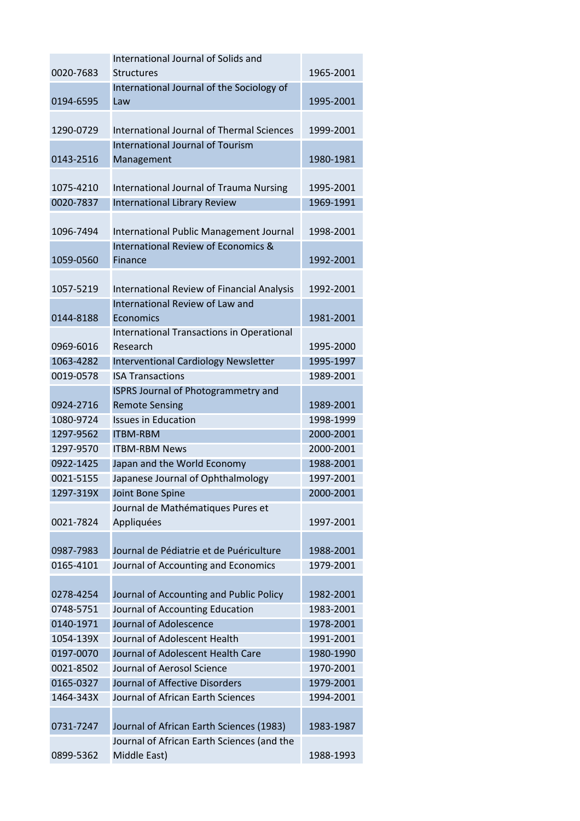| 0020-7683<br>1965-2001<br><b>Structures</b><br>International Journal of the Sociology of<br>0194-6595<br>1995-2001<br>Law<br>International Journal of Thermal Sciences<br>1290-0729<br>1999-2001<br>International Journal of Tourism<br>0143-2516<br>1980-1981<br>Management<br>1075-4210<br><b>International Journal of Trauma Nursing</b><br>1995-2001<br>0020-7837<br><b>International Library Review</b><br>1969-1991<br>1096-7494<br>International Public Management Journal<br>1998-2001<br><b>International Review of Economics &amp;</b><br>1059-0560<br>1992-2001<br>Finance<br>International Review of Financial Analysis<br>1057-5219<br>1992-2001<br>International Review of Law and<br>0144-8188<br>Economics<br>1981-2001<br>International Transactions in Operational<br>Research<br>1995-2000<br>0969-6016<br>1063-4282<br>Interventional Cardiology Newsletter<br>1995-1997<br>0019-0578<br><b>ISA Transactions</b><br>1989-2001<br><b>ISPRS Journal of Photogrammetry and</b><br><b>Remote Sensing</b><br>0924-2716<br>1989-2001<br><b>Issues in Education</b><br>1080-9724<br>1998-1999<br>1297-9562<br><b>ITBM-RBM</b><br>2000-2001<br>1297-9570<br><b>ITBM-RBM News</b><br>2000-2001<br>0922-1425<br>Japan and the World Economy<br>1988-2001<br>Japanese Journal of Ophthalmology<br>0021-5155<br>1997-2001<br>1297-319X<br>Joint Bone Spine<br>2000-2001<br>Journal de Mathématiques Pures et<br>0021-7824<br>Appliquées<br>1997-2001<br>Journal de Pédiatrie et de Puériculture<br>0987-7983<br>1988-2001<br>0165-4101<br>Journal of Accounting and Economics<br>1979-2001<br>Journal of Accounting and Public Policy<br>0278-4254<br>1982-2001<br>Journal of Accounting Education<br>0748-5751<br>1983-2001<br>Journal of Adolescence<br>0140-1971<br>1978-2001<br>Journal of Adolescent Health<br>1054-139X<br>1991-2001<br>Journal of Adolescent Health Care<br>0197-0070<br>1980-1990<br>Journal of Aerosol Science<br>0021-8502<br>1970-2001<br>Journal of Affective Disorders<br>0165-0327<br>1979-2001<br>1464-343X<br>Journal of African Earth Sciences<br>1994-2001<br>0731-7247<br>Journal of African Earth Sciences (1983)<br>1983-1987 | International Journal of Solids and        |  |
|----------------------------------------------------------------------------------------------------------------------------------------------------------------------------------------------------------------------------------------------------------------------------------------------------------------------------------------------------------------------------------------------------------------------------------------------------------------------------------------------------------------------------------------------------------------------------------------------------------------------------------------------------------------------------------------------------------------------------------------------------------------------------------------------------------------------------------------------------------------------------------------------------------------------------------------------------------------------------------------------------------------------------------------------------------------------------------------------------------------------------------------------------------------------------------------------------------------------------------------------------------------------------------------------------------------------------------------------------------------------------------------------------------------------------------------------------------------------------------------------------------------------------------------------------------------------------------------------------------------------------------------------------------------------------------------------------------------------------------------------------------------------------------------------------------------------------------------------------------------------------------------------------------------------------------------------------------------------------------------------------------------------------------------------------------------------------------------------------------------------------------------------------------------------------|--------------------------------------------|--|
|                                                                                                                                                                                                                                                                                                                                                                                                                                                                                                                                                                                                                                                                                                                                                                                                                                                                                                                                                                                                                                                                                                                                                                                                                                                                                                                                                                                                                                                                                                                                                                                                                                                                                                                                                                                                                                                                                                                                                                                                                                                                                                                                                                            |                                            |  |
|                                                                                                                                                                                                                                                                                                                                                                                                                                                                                                                                                                                                                                                                                                                                                                                                                                                                                                                                                                                                                                                                                                                                                                                                                                                                                                                                                                                                                                                                                                                                                                                                                                                                                                                                                                                                                                                                                                                                                                                                                                                                                                                                                                            |                                            |  |
|                                                                                                                                                                                                                                                                                                                                                                                                                                                                                                                                                                                                                                                                                                                                                                                                                                                                                                                                                                                                                                                                                                                                                                                                                                                                                                                                                                                                                                                                                                                                                                                                                                                                                                                                                                                                                                                                                                                                                                                                                                                                                                                                                                            |                                            |  |
|                                                                                                                                                                                                                                                                                                                                                                                                                                                                                                                                                                                                                                                                                                                                                                                                                                                                                                                                                                                                                                                                                                                                                                                                                                                                                                                                                                                                                                                                                                                                                                                                                                                                                                                                                                                                                                                                                                                                                                                                                                                                                                                                                                            |                                            |  |
|                                                                                                                                                                                                                                                                                                                                                                                                                                                                                                                                                                                                                                                                                                                                                                                                                                                                                                                                                                                                                                                                                                                                                                                                                                                                                                                                                                                                                                                                                                                                                                                                                                                                                                                                                                                                                                                                                                                                                                                                                                                                                                                                                                            |                                            |  |
|                                                                                                                                                                                                                                                                                                                                                                                                                                                                                                                                                                                                                                                                                                                                                                                                                                                                                                                                                                                                                                                                                                                                                                                                                                                                                                                                                                                                                                                                                                                                                                                                                                                                                                                                                                                                                                                                                                                                                                                                                                                                                                                                                                            |                                            |  |
|                                                                                                                                                                                                                                                                                                                                                                                                                                                                                                                                                                                                                                                                                                                                                                                                                                                                                                                                                                                                                                                                                                                                                                                                                                                                                                                                                                                                                                                                                                                                                                                                                                                                                                                                                                                                                                                                                                                                                                                                                                                                                                                                                                            |                                            |  |
|                                                                                                                                                                                                                                                                                                                                                                                                                                                                                                                                                                                                                                                                                                                                                                                                                                                                                                                                                                                                                                                                                                                                                                                                                                                                                                                                                                                                                                                                                                                                                                                                                                                                                                                                                                                                                                                                                                                                                                                                                                                                                                                                                                            |                                            |  |
|                                                                                                                                                                                                                                                                                                                                                                                                                                                                                                                                                                                                                                                                                                                                                                                                                                                                                                                                                                                                                                                                                                                                                                                                                                                                                                                                                                                                                                                                                                                                                                                                                                                                                                                                                                                                                                                                                                                                                                                                                                                                                                                                                                            |                                            |  |
|                                                                                                                                                                                                                                                                                                                                                                                                                                                                                                                                                                                                                                                                                                                                                                                                                                                                                                                                                                                                                                                                                                                                                                                                                                                                                                                                                                                                                                                                                                                                                                                                                                                                                                                                                                                                                                                                                                                                                                                                                                                                                                                                                                            |                                            |  |
|                                                                                                                                                                                                                                                                                                                                                                                                                                                                                                                                                                                                                                                                                                                                                                                                                                                                                                                                                                                                                                                                                                                                                                                                                                                                                                                                                                                                                                                                                                                                                                                                                                                                                                                                                                                                                                                                                                                                                                                                                                                                                                                                                                            |                                            |  |
|                                                                                                                                                                                                                                                                                                                                                                                                                                                                                                                                                                                                                                                                                                                                                                                                                                                                                                                                                                                                                                                                                                                                                                                                                                                                                                                                                                                                                                                                                                                                                                                                                                                                                                                                                                                                                                                                                                                                                                                                                                                                                                                                                                            |                                            |  |
|                                                                                                                                                                                                                                                                                                                                                                                                                                                                                                                                                                                                                                                                                                                                                                                                                                                                                                                                                                                                                                                                                                                                                                                                                                                                                                                                                                                                                                                                                                                                                                                                                                                                                                                                                                                                                                                                                                                                                                                                                                                                                                                                                                            |                                            |  |
|                                                                                                                                                                                                                                                                                                                                                                                                                                                                                                                                                                                                                                                                                                                                                                                                                                                                                                                                                                                                                                                                                                                                                                                                                                                                                                                                                                                                                                                                                                                                                                                                                                                                                                                                                                                                                                                                                                                                                                                                                                                                                                                                                                            |                                            |  |
|                                                                                                                                                                                                                                                                                                                                                                                                                                                                                                                                                                                                                                                                                                                                                                                                                                                                                                                                                                                                                                                                                                                                                                                                                                                                                                                                                                                                                                                                                                                                                                                                                                                                                                                                                                                                                                                                                                                                                                                                                                                                                                                                                                            |                                            |  |
|                                                                                                                                                                                                                                                                                                                                                                                                                                                                                                                                                                                                                                                                                                                                                                                                                                                                                                                                                                                                                                                                                                                                                                                                                                                                                                                                                                                                                                                                                                                                                                                                                                                                                                                                                                                                                                                                                                                                                                                                                                                                                                                                                                            |                                            |  |
|                                                                                                                                                                                                                                                                                                                                                                                                                                                                                                                                                                                                                                                                                                                                                                                                                                                                                                                                                                                                                                                                                                                                                                                                                                                                                                                                                                                                                                                                                                                                                                                                                                                                                                                                                                                                                                                                                                                                                                                                                                                                                                                                                                            |                                            |  |
|                                                                                                                                                                                                                                                                                                                                                                                                                                                                                                                                                                                                                                                                                                                                                                                                                                                                                                                                                                                                                                                                                                                                                                                                                                                                                                                                                                                                                                                                                                                                                                                                                                                                                                                                                                                                                                                                                                                                                                                                                                                                                                                                                                            |                                            |  |
|                                                                                                                                                                                                                                                                                                                                                                                                                                                                                                                                                                                                                                                                                                                                                                                                                                                                                                                                                                                                                                                                                                                                                                                                                                                                                                                                                                                                                                                                                                                                                                                                                                                                                                                                                                                                                                                                                                                                                                                                                                                                                                                                                                            |                                            |  |
|                                                                                                                                                                                                                                                                                                                                                                                                                                                                                                                                                                                                                                                                                                                                                                                                                                                                                                                                                                                                                                                                                                                                                                                                                                                                                                                                                                                                                                                                                                                                                                                                                                                                                                                                                                                                                                                                                                                                                                                                                                                                                                                                                                            |                                            |  |
|                                                                                                                                                                                                                                                                                                                                                                                                                                                                                                                                                                                                                                                                                                                                                                                                                                                                                                                                                                                                                                                                                                                                                                                                                                                                                                                                                                                                                                                                                                                                                                                                                                                                                                                                                                                                                                                                                                                                                                                                                                                                                                                                                                            |                                            |  |
|                                                                                                                                                                                                                                                                                                                                                                                                                                                                                                                                                                                                                                                                                                                                                                                                                                                                                                                                                                                                                                                                                                                                                                                                                                                                                                                                                                                                                                                                                                                                                                                                                                                                                                                                                                                                                                                                                                                                                                                                                                                                                                                                                                            |                                            |  |
|                                                                                                                                                                                                                                                                                                                                                                                                                                                                                                                                                                                                                                                                                                                                                                                                                                                                                                                                                                                                                                                                                                                                                                                                                                                                                                                                                                                                                                                                                                                                                                                                                                                                                                                                                                                                                                                                                                                                                                                                                                                                                                                                                                            |                                            |  |
|                                                                                                                                                                                                                                                                                                                                                                                                                                                                                                                                                                                                                                                                                                                                                                                                                                                                                                                                                                                                                                                                                                                                                                                                                                                                                                                                                                                                                                                                                                                                                                                                                                                                                                                                                                                                                                                                                                                                                                                                                                                                                                                                                                            |                                            |  |
|                                                                                                                                                                                                                                                                                                                                                                                                                                                                                                                                                                                                                                                                                                                                                                                                                                                                                                                                                                                                                                                                                                                                                                                                                                                                                                                                                                                                                                                                                                                                                                                                                                                                                                                                                                                                                                                                                                                                                                                                                                                                                                                                                                            |                                            |  |
|                                                                                                                                                                                                                                                                                                                                                                                                                                                                                                                                                                                                                                                                                                                                                                                                                                                                                                                                                                                                                                                                                                                                                                                                                                                                                                                                                                                                                                                                                                                                                                                                                                                                                                                                                                                                                                                                                                                                                                                                                                                                                                                                                                            |                                            |  |
|                                                                                                                                                                                                                                                                                                                                                                                                                                                                                                                                                                                                                                                                                                                                                                                                                                                                                                                                                                                                                                                                                                                                                                                                                                                                                                                                                                                                                                                                                                                                                                                                                                                                                                                                                                                                                                                                                                                                                                                                                                                                                                                                                                            |                                            |  |
|                                                                                                                                                                                                                                                                                                                                                                                                                                                                                                                                                                                                                                                                                                                                                                                                                                                                                                                                                                                                                                                                                                                                                                                                                                                                                                                                                                                                                                                                                                                                                                                                                                                                                                                                                                                                                                                                                                                                                                                                                                                                                                                                                                            |                                            |  |
|                                                                                                                                                                                                                                                                                                                                                                                                                                                                                                                                                                                                                                                                                                                                                                                                                                                                                                                                                                                                                                                                                                                                                                                                                                                                                                                                                                                                                                                                                                                                                                                                                                                                                                                                                                                                                                                                                                                                                                                                                                                                                                                                                                            |                                            |  |
|                                                                                                                                                                                                                                                                                                                                                                                                                                                                                                                                                                                                                                                                                                                                                                                                                                                                                                                                                                                                                                                                                                                                                                                                                                                                                                                                                                                                                                                                                                                                                                                                                                                                                                                                                                                                                                                                                                                                                                                                                                                                                                                                                                            |                                            |  |
|                                                                                                                                                                                                                                                                                                                                                                                                                                                                                                                                                                                                                                                                                                                                                                                                                                                                                                                                                                                                                                                                                                                                                                                                                                                                                                                                                                                                                                                                                                                                                                                                                                                                                                                                                                                                                                                                                                                                                                                                                                                                                                                                                                            |                                            |  |
|                                                                                                                                                                                                                                                                                                                                                                                                                                                                                                                                                                                                                                                                                                                                                                                                                                                                                                                                                                                                                                                                                                                                                                                                                                                                                                                                                                                                                                                                                                                                                                                                                                                                                                                                                                                                                                                                                                                                                                                                                                                                                                                                                                            |                                            |  |
|                                                                                                                                                                                                                                                                                                                                                                                                                                                                                                                                                                                                                                                                                                                                                                                                                                                                                                                                                                                                                                                                                                                                                                                                                                                                                                                                                                                                                                                                                                                                                                                                                                                                                                                                                                                                                                                                                                                                                                                                                                                                                                                                                                            |                                            |  |
|                                                                                                                                                                                                                                                                                                                                                                                                                                                                                                                                                                                                                                                                                                                                                                                                                                                                                                                                                                                                                                                                                                                                                                                                                                                                                                                                                                                                                                                                                                                                                                                                                                                                                                                                                                                                                                                                                                                                                                                                                                                                                                                                                                            |                                            |  |
|                                                                                                                                                                                                                                                                                                                                                                                                                                                                                                                                                                                                                                                                                                                                                                                                                                                                                                                                                                                                                                                                                                                                                                                                                                                                                                                                                                                                                                                                                                                                                                                                                                                                                                                                                                                                                                                                                                                                                                                                                                                                                                                                                                            |                                            |  |
|                                                                                                                                                                                                                                                                                                                                                                                                                                                                                                                                                                                                                                                                                                                                                                                                                                                                                                                                                                                                                                                                                                                                                                                                                                                                                                                                                                                                                                                                                                                                                                                                                                                                                                                                                                                                                                                                                                                                                                                                                                                                                                                                                                            |                                            |  |
|                                                                                                                                                                                                                                                                                                                                                                                                                                                                                                                                                                                                                                                                                                                                                                                                                                                                                                                                                                                                                                                                                                                                                                                                                                                                                                                                                                                                                                                                                                                                                                                                                                                                                                                                                                                                                                                                                                                                                                                                                                                                                                                                                                            |                                            |  |
|                                                                                                                                                                                                                                                                                                                                                                                                                                                                                                                                                                                                                                                                                                                                                                                                                                                                                                                                                                                                                                                                                                                                                                                                                                                                                                                                                                                                                                                                                                                                                                                                                                                                                                                                                                                                                                                                                                                                                                                                                                                                                                                                                                            |                                            |  |
|                                                                                                                                                                                                                                                                                                                                                                                                                                                                                                                                                                                                                                                                                                                                                                                                                                                                                                                                                                                                                                                                                                                                                                                                                                                                                                                                                                                                                                                                                                                                                                                                                                                                                                                                                                                                                                                                                                                                                                                                                                                                                                                                                                            |                                            |  |
|                                                                                                                                                                                                                                                                                                                                                                                                                                                                                                                                                                                                                                                                                                                                                                                                                                                                                                                                                                                                                                                                                                                                                                                                                                                                                                                                                                                                                                                                                                                                                                                                                                                                                                                                                                                                                                                                                                                                                                                                                                                                                                                                                                            |                                            |  |
|                                                                                                                                                                                                                                                                                                                                                                                                                                                                                                                                                                                                                                                                                                                                                                                                                                                                                                                                                                                                                                                                                                                                                                                                                                                                                                                                                                                                                                                                                                                                                                                                                                                                                                                                                                                                                                                                                                                                                                                                                                                                                                                                                                            |                                            |  |
|                                                                                                                                                                                                                                                                                                                                                                                                                                                                                                                                                                                                                                                                                                                                                                                                                                                                                                                                                                                                                                                                                                                                                                                                                                                                                                                                                                                                                                                                                                                                                                                                                                                                                                                                                                                                                                                                                                                                                                                                                                                                                                                                                                            |                                            |  |
|                                                                                                                                                                                                                                                                                                                                                                                                                                                                                                                                                                                                                                                                                                                                                                                                                                                                                                                                                                                                                                                                                                                                                                                                                                                                                                                                                                                                                                                                                                                                                                                                                                                                                                                                                                                                                                                                                                                                                                                                                                                                                                                                                                            |                                            |  |
|                                                                                                                                                                                                                                                                                                                                                                                                                                                                                                                                                                                                                                                                                                                                                                                                                                                                                                                                                                                                                                                                                                                                                                                                                                                                                                                                                                                                                                                                                                                                                                                                                                                                                                                                                                                                                                                                                                                                                                                                                                                                                                                                                                            |                                            |  |
|                                                                                                                                                                                                                                                                                                                                                                                                                                                                                                                                                                                                                                                                                                                                                                                                                                                                                                                                                                                                                                                                                                                                                                                                                                                                                                                                                                                                                                                                                                                                                                                                                                                                                                                                                                                                                                                                                                                                                                                                                                                                                                                                                                            | Journal of African Earth Sciences (and the |  |
| 0899-5362<br>Middle East)<br>1988-1993                                                                                                                                                                                                                                                                                                                                                                                                                                                                                                                                                                                                                                                                                                                                                                                                                                                                                                                                                                                                                                                                                                                                                                                                                                                                                                                                                                                                                                                                                                                                                                                                                                                                                                                                                                                                                                                                                                                                                                                                                                                                                                                                     |                                            |  |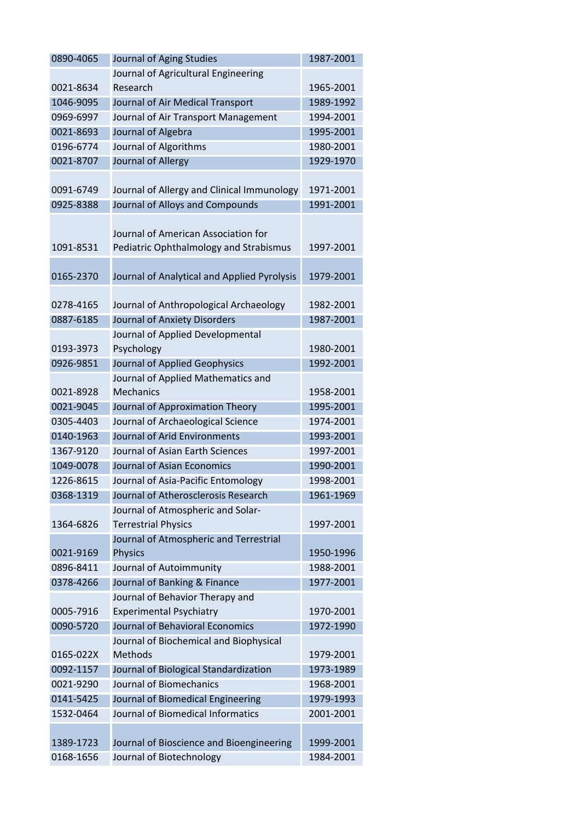| 0890-4065 | Journal of Aging Studies                    | 1987-2001 |
|-----------|---------------------------------------------|-----------|
|           | Journal of Agricultural Engineering         |           |
| 0021-8634 | Research                                    | 1965-2001 |
| 1046-9095 | Journal of Air Medical Transport            | 1989-1992 |
| 0969-6997 | Journal of Air Transport Management         | 1994-2001 |
| 0021-8693 | Journal of Algebra                          | 1995-2001 |
| 0196-6774 | Journal of Algorithms                       | 1980-2001 |
| 0021-8707 | Journal of Allergy                          | 1929-1970 |
|           |                                             |           |
| 0091-6749 | Journal of Allergy and Clinical Immunology  | 1971-2001 |
| 0925-8388 | Journal of Alloys and Compounds             | 1991-2001 |
|           |                                             |           |
|           | Journal of American Association for         |           |
| 1091-8531 | Pediatric Ophthalmology and Strabismus      | 1997-2001 |
|           |                                             |           |
| 0165-2370 | Journal of Analytical and Applied Pyrolysis | 1979-2001 |
|           |                                             |           |
| 0278-4165 | Journal of Anthropological Archaeology      | 1982-2001 |
| 0887-6185 | Journal of Anxiety Disorders                | 1987-2001 |
|           | Journal of Applied Developmental            |           |
| 0193-3973 | Psychology                                  | 1980-2001 |
| 0926-9851 | Journal of Applied Geophysics               | 1992-2001 |
|           | Journal of Applied Mathematics and          |           |
| 0021-8928 | <b>Mechanics</b>                            | 1958-2001 |
| 0021-9045 | Journal of Approximation Theory             | 1995-2001 |
| 0305-4403 | Journal of Archaeological Science           | 1974-2001 |
| 0140-1963 | Journal of Arid Environments                | 1993-2001 |
| 1367-9120 | Journal of Asian Earth Sciences             | 1997-2001 |
| 1049-0078 | Journal of Asian Economics                  | 1990-2001 |
| 1226-8615 | Journal of Asia-Pacific Entomology          | 1998-2001 |
| 0368-1319 | Journal of Atherosclerosis Research         | 1961-1969 |
|           | Journal of Atmospheric and Solar-           |           |
| 1364-6826 | <b>Terrestrial Physics</b>                  | 1997-2001 |
|           | Journal of Atmospheric and Terrestrial      |           |
| 0021-9169 | <b>Physics</b>                              | 1950-1996 |
| 0896-8411 | Journal of Autoimmunity                     | 1988-2001 |
| 0378-4266 | Journal of Banking & Finance                | 1977-2001 |
|           | Journal of Behavior Therapy and             |           |
| 0005-7916 | <b>Experimental Psychiatry</b>              | 1970-2001 |
| 0090-5720 | Journal of Behavioral Economics             | 1972-1990 |
|           | Journal of Biochemical and Biophysical      |           |
| 0165-022X | Methods                                     | 1979-2001 |
| 0092-1157 | Journal of Biological Standardization       | 1973-1989 |
| 0021-9290 | Journal of Biomechanics                     | 1968-2001 |
| 0141-5425 | Journal of Biomedical Engineering           | 1979-1993 |
| 1532-0464 | Journal of Biomedical Informatics           | 2001-2001 |
|           |                                             |           |
| 1389-1723 | Journal of Bioscience and Bioengineering    | 1999-2001 |
| 0168-1656 | Journal of Biotechnology                    | 1984-2001 |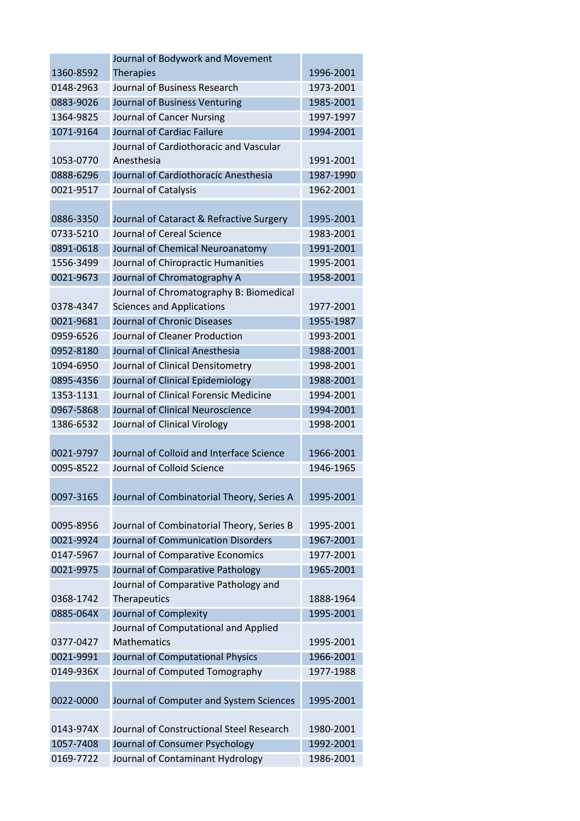|           | Journal of Bodywork and Movement          |           |
|-----------|-------------------------------------------|-----------|
| 1360-8592 | <b>Therapies</b>                          | 1996-2001 |
| 0148-2963 | Journal of Business Research              | 1973-2001 |
| 0883-9026 | Journal of Business Venturing             | 1985-2001 |
| 1364-9825 | Journal of Cancer Nursing                 | 1997-1997 |
| 1071-9164 | Journal of Cardiac Failure                | 1994-2001 |
|           | Journal of Cardiothoracic and Vascular    |           |
| 1053-0770 | Anesthesia                                | 1991-2001 |
| 0888-6296 | Journal of Cardiothoracic Anesthesia      | 1987-1990 |
| 0021-9517 | Journal of Catalysis                      | 1962-2001 |
|           |                                           |           |
| 0886-3350 | Journal of Cataract & Refractive Surgery  | 1995-2001 |
| 0733-5210 | Journal of Cereal Science                 | 1983-2001 |
| 0891-0618 | Journal of Chemical Neuroanatomy          | 1991-2001 |
| 1556-3499 | Journal of Chiropractic Humanities        | 1995-2001 |
| 0021-9673 | Journal of Chromatography A               | 1958-2001 |
|           | Journal of Chromatography B: Biomedical   |           |
| 0378-4347 | <b>Sciences and Applications</b>          | 1977-2001 |
| 0021-9681 | Journal of Chronic Diseases               | 1955-1987 |
| 0959-6526 | Journal of Cleaner Production             | 1993-2001 |
| 0952-8180 | Journal of Clinical Anesthesia            | 1988-2001 |
| 1094-6950 | Journal of Clinical Densitometry          | 1998-2001 |
| 0895-4356 | Journal of Clinical Epidemiology          | 1988-2001 |
| 1353-1131 | Journal of Clinical Forensic Medicine     | 1994-2001 |
| 0967-5868 | Journal of Clinical Neuroscience          | 1994-2001 |
| 1386-6532 | Journal of Clinical Virology              | 1998-2001 |
|           |                                           |           |
| 0021-9797 | Journal of Colloid and Interface Science  | 1966-2001 |
| 0095-8522 | Journal of Colloid Science                | 1946-1965 |
|           |                                           |           |
| 0097-3165 | Journal of Combinatorial Theory, Series A | 1995-2001 |
|           |                                           |           |
| 0095-8956 | Journal of Combinatorial Theory, Series B | 1995-2001 |
| 0021-9924 | Journal of Communication Disorders        | 1967-2001 |
| 0147-5967 | Journal of Comparative Economics          | 1977-2001 |
| 0021-9975 | Journal of Comparative Pathology          | 1965-2001 |
|           | Journal of Comparative Pathology and      |           |
| 0368-1742 | Therapeutics                              | 1888-1964 |
| 0885-064X | Journal of Complexity                     | 1995-2001 |
|           | Journal of Computational and Applied      |           |
| 0377-0427 | <b>Mathematics</b>                        | 1995-2001 |
| 0021-9991 | Journal of Computational Physics          | 1966-2001 |
| 0149-936X | Journal of Computed Tomography            | 1977-1988 |
|           |                                           |           |
| 0022-0000 | Journal of Computer and System Sciences   | 1995-2001 |
|           |                                           |           |
| 0143-974X | Journal of Constructional Steel Research  | 1980-2001 |
| 1057-7408 | Journal of Consumer Psychology            | 1992-2001 |
| 0169-7722 | Journal of Contaminant Hydrology          | 1986-2001 |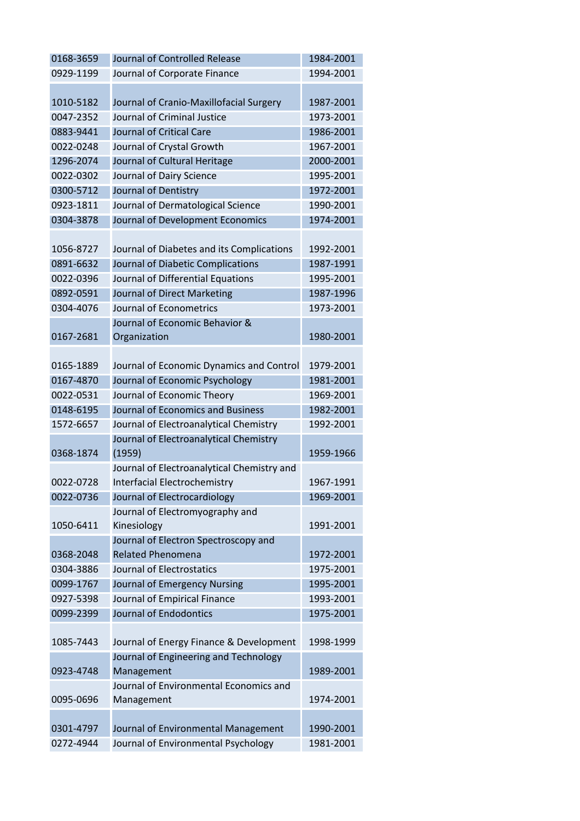| 0168-3659 | Journal of Controlled Release              | 1984-2001 |
|-----------|--------------------------------------------|-----------|
| 0929-1199 | Journal of Corporate Finance               | 1994-2001 |
|           |                                            |           |
| 1010-5182 | Journal of Cranio-Maxillofacial Surgery    | 1987-2001 |
| 0047-2352 | Journal of Criminal Justice                | 1973-2001 |
| 0883-9441 | Journal of Critical Care                   | 1986-2001 |
| 0022-0248 | Journal of Crystal Growth                  | 1967-2001 |
| 1296-2074 | Journal of Cultural Heritage               | 2000-2001 |
| 0022-0302 | Journal of Dairy Science                   | 1995-2001 |
| 0300-5712 | Journal of Dentistry                       | 1972-2001 |
| 0923-1811 | Journal of Dermatological Science          | 1990-2001 |
| 0304-3878 | Journal of Development Economics           | 1974-2001 |
|           |                                            |           |
| 1056-8727 | Journal of Diabetes and its Complications  | 1992-2001 |
| 0891-6632 | Journal of Diabetic Complications          | 1987-1991 |
| 0022-0396 | Journal of Differential Equations          | 1995-2001 |
| 0892-0591 | Journal of Direct Marketing                | 1987-1996 |
| 0304-4076 | Journal of Econometrics                    | 1973-2001 |
|           | Journal of Economic Behavior &             |           |
| 0167-2681 | Organization                               | 1980-2001 |
|           |                                            |           |
| 0165-1889 | Journal of Economic Dynamics and Control   | 1979-2001 |
| 0167-4870 | Journal of Economic Psychology             | 1981-2001 |
| 0022-0531 | Journal of Economic Theory                 | 1969-2001 |
| 0148-6195 | Journal of Economics and Business          | 1982-2001 |
| 1572-6657 | Journal of Electroanalytical Chemistry     | 1992-2001 |
|           | Journal of Electroanalytical Chemistry     |           |
| 0368-1874 | (1959)                                     | 1959-1966 |
|           | Journal of Electroanalytical Chemistry and |           |
| 0022-0728 | <b>Interfacial Electrochemistry</b>        | 1967-1991 |
| 0022-0736 | Journal of Electrocardiology               | 1969-2001 |
|           | Journal of Electromyography and            |           |
| 1050-6411 | Kinesiology                                | 1991-2001 |
|           | Journal of Electron Spectroscopy and       |           |
| 0368-2048 | <b>Related Phenomena</b>                   | 1972-2001 |
| 0304-3886 | Journal of Electrostatics                  | 1975-2001 |
| 0099-1767 | Journal of Emergency Nursing               | 1995-2001 |
| 0927-5398 | Journal of Empirical Finance               | 1993-2001 |
| 0099-2399 | Journal of Endodontics                     | 1975-2001 |
|           |                                            |           |
| 1085-7443 | Journal of Energy Finance & Development    | 1998-1999 |
|           | Journal of Engineering and Technology      |           |
| 0923-4748 | Management                                 | 1989-2001 |
|           | Journal of Environmental Economics and     |           |
| 0095-0696 | Management                                 | 1974-2001 |
|           |                                            |           |
| 0301-4797 | Journal of Environmental Management        | 1990-2001 |
| 0272-4944 | Journal of Environmental Psychology        | 1981-2001 |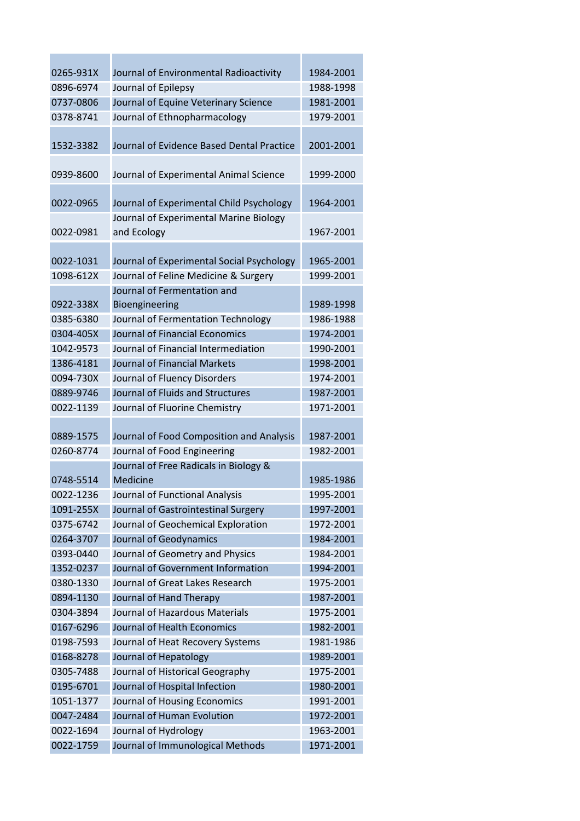| 0265-931X | Journal of Environmental Radioactivity                | 1984-2001 |
|-----------|-------------------------------------------------------|-----------|
| 0896-6974 | Journal of Epilepsy                                   | 1988-1998 |
| 0737-0806 | Journal of Equine Veterinary Science                  | 1981-2001 |
| 0378-8741 | Journal of Ethnopharmacology                          | 1979-2001 |
|           |                                                       |           |
| 1532-3382 | Journal of Evidence Based Dental Practice             | 2001-2001 |
| 0939-8600 | Journal of Experimental Animal Science                | 1999-2000 |
| 0022-0965 | Journal of Experimental Child Psychology              | 1964-2001 |
| 0022-0981 | Journal of Experimental Marine Biology<br>and Ecology | 1967-2001 |
| 0022-1031 | Journal of Experimental Social Psychology             | 1965-2001 |
| 1098-612X | Journal of Feline Medicine & Surgery                  | 1999-2001 |
|           | Journal of Fermentation and                           |           |
| 0922-338X | Bioengineering                                        | 1989-1998 |
| 0385-6380 | Journal of Fermentation Technology                    | 1986-1988 |
| 0304-405X | Journal of Financial Economics                        | 1974-2001 |
| 1042-9573 | Journal of Financial Intermediation                   | 1990-2001 |
| 1386-4181 | <b>Journal of Financial Markets</b>                   | 1998-2001 |
| 0094-730X | Journal of Fluency Disorders                          | 1974-2001 |
| 0889-9746 | Journal of Fluids and Structures                      | 1987-2001 |
| 0022-1139 | Journal of Fluorine Chemistry                         | 1971-2001 |
|           |                                                       |           |
| 0889-1575 | Journal of Food Composition and Analysis              | 1987-2001 |
| 0260-8774 | Journal of Food Engineering                           | 1982-2001 |
|           | Journal of Free Radicals in Biology &                 |           |
| 0748-5514 | Medicine                                              | 1985-1986 |
| 0022-1236 | Journal of Functional Analysis                        | 1995-2001 |
| 1091-255X | Journal of Gastrointestinal Surgery                   | 1997-2001 |
| 0375-6742 | Journal of Geochemical Exploration                    | 1972-2001 |
| 0264-3707 | Journal of Geodynamics                                | 1984-2001 |
| 0393-0440 | Journal of Geometry and Physics                       | 1984-2001 |
| 1352-0237 | Journal of Government Information                     | 1994-2001 |
| 0380-1330 | Journal of Great Lakes Research                       | 1975-2001 |
| 0894-1130 | Journal of Hand Therapy                               | 1987-2001 |
| 0304-3894 | Journal of Hazardous Materials                        | 1975-2001 |
| 0167-6296 | Journal of Health Economics                           | 1982-2001 |
| 0198-7593 | Journal of Heat Recovery Systems                      | 1981-1986 |
| 0168-8278 | Journal of Hepatology                                 | 1989-2001 |
| 0305-7488 | Journal of Historical Geography                       | 1975-2001 |
| 0195-6701 | Journal of Hospital Infection                         | 1980-2001 |
| 1051-1377 | Journal of Housing Economics                          | 1991-2001 |
| 0047-2484 | Journal of Human Evolution                            | 1972-2001 |
| 0022-1694 | Journal of Hydrology                                  | 1963-2001 |
| 0022-1759 | Journal of Immunological Methods                      | 1971-2001 |
|           |                                                       |           |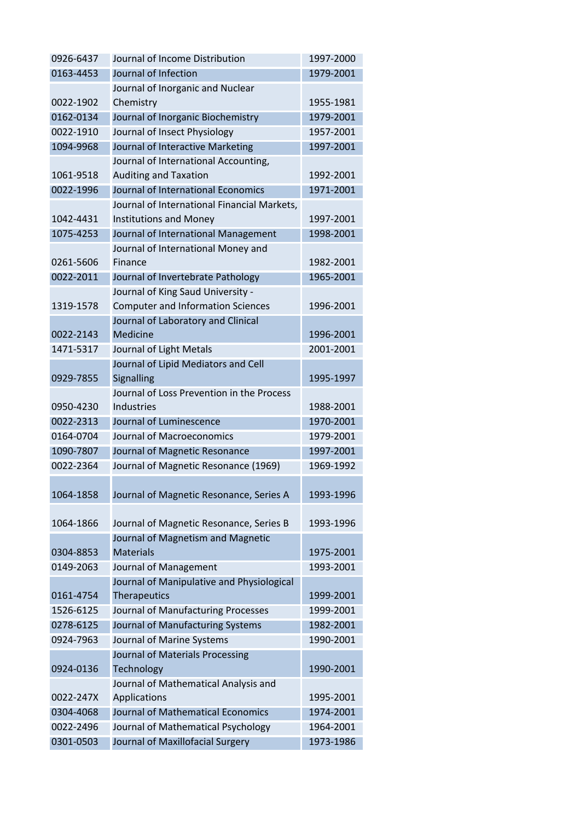| 0926-6437 | Journal of Income Distribution              | 1997-2000 |
|-----------|---------------------------------------------|-----------|
| 0163-4453 | Journal of Infection                        | 1979-2001 |
|           | Journal of Inorganic and Nuclear            |           |
| 0022-1902 | Chemistry                                   | 1955-1981 |
| 0162-0134 | Journal of Inorganic Biochemistry           | 1979-2001 |
| 0022-1910 | Journal of Insect Physiology                | 1957-2001 |
| 1094-9968 | Journal of Interactive Marketing            | 1997-2001 |
|           | Journal of International Accounting,        |           |
| 1061-9518 | <b>Auditing and Taxation</b>                | 1992-2001 |
| 0022-1996 | Journal of International Economics          | 1971-2001 |
|           | Journal of International Financial Markets, |           |
| 1042-4431 | <b>Institutions and Money</b>               | 1997-2001 |
| 1075-4253 | Journal of International Management         | 1998-2001 |
|           | Journal of International Money and          |           |
| 0261-5606 | <b>Finance</b>                              | 1982-2001 |
| 0022-2011 | Journal of Invertebrate Pathology           | 1965-2001 |
|           | Journal of King Saud University -           |           |
| 1319-1578 | <b>Computer and Information Sciences</b>    | 1996-2001 |
|           | Journal of Laboratory and Clinical          |           |
| 0022-2143 | Medicine                                    | 1996-2001 |
| 1471-5317 | Journal of Light Metals                     | 2001-2001 |
|           | Journal of Lipid Mediators and Cell         |           |
| 0929-7855 | Signalling                                  | 1995-1997 |
|           | Journal of Loss Prevention in the Process   |           |
| 0950-4230 | Industries                                  | 1988-2001 |
| 0022-2313 | Journal of Luminescence                     | 1970-2001 |
| 0164-0704 | Journal of Macroeconomics                   | 1979-2001 |
| 1090-7807 | Journal of Magnetic Resonance               | 1997-2001 |
| 0022-2364 | Journal of Magnetic Resonance (1969)        | 1969-1992 |
|           |                                             |           |
| 1064-1858 | Journal of Magnetic Resonance, Series A     | 1993-1996 |
|           |                                             |           |
| 1064-1866 | Journal of Magnetic Resonance, Series B     | 1993-1996 |
|           | Journal of Magnetism and Magnetic           |           |
| 0304-8853 | <b>Materials</b>                            | 1975-2001 |
| 0149-2063 | Journal of Management                       | 1993-2001 |
|           | Journal of Manipulative and Physiological   |           |
| 0161-4754 | Therapeutics                                | 1999-2001 |
| 1526-6125 | Journal of Manufacturing Processes          | 1999-2001 |
| 0278-6125 | Journal of Manufacturing Systems            | 1982-2001 |
| 0924-7963 | Journal of Marine Systems                   | 1990-2001 |
|           | Journal of Materials Processing             |           |
| 0924-0136 | Technology                                  | 1990-2001 |
|           | Journal of Mathematical Analysis and        |           |
| 0022-247X | Applications                                | 1995-2001 |
| 0304-4068 | Journal of Mathematical Economics           | 1974-2001 |
| 0022-2496 | Journal of Mathematical Psychology          | 1964-2001 |
| 0301-0503 | Journal of Maxillofacial Surgery            | 1973-1986 |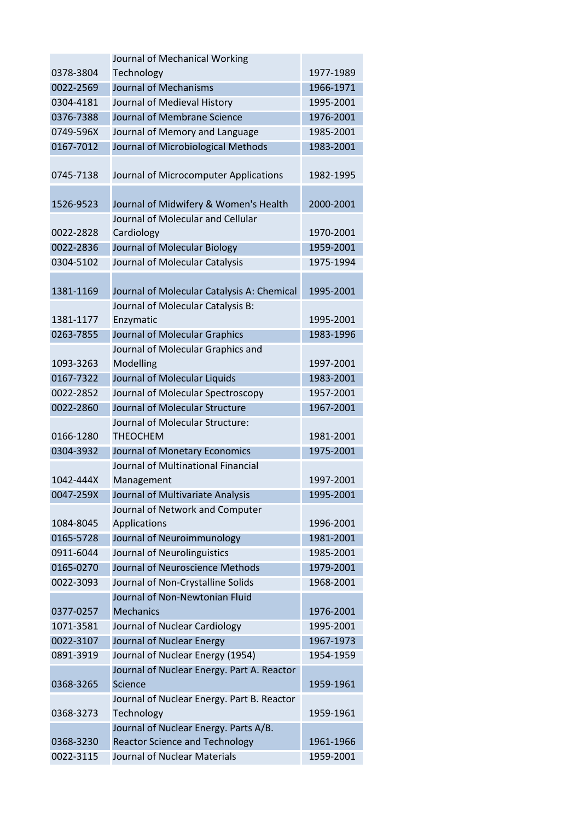|           | Journal of Mechanical Working              |           |
|-----------|--------------------------------------------|-----------|
| 0378-3804 | Technology                                 | 1977-1989 |
| 0022-2569 | Journal of Mechanisms                      | 1966-1971 |
| 0304-4181 | Journal of Medieval History                | 1995-2001 |
| 0376-7388 | Journal of Membrane Science                | 1976-2001 |
| 0749-596X | Journal of Memory and Language             | 1985-2001 |
| 0167-7012 | Journal of Microbiological Methods         | 1983-2001 |
|           |                                            |           |
| 0745-7138 | Journal of Microcomputer Applications      | 1982-1995 |
|           |                                            |           |
| 1526-9523 | Journal of Midwifery & Women's Health      | 2000-2001 |
|           | Journal of Molecular and Cellular          |           |
| 0022-2828 | Cardiology                                 | 1970-2001 |
| 0022-2836 | <b>Journal of Molecular Biology</b>        | 1959-2001 |
| 0304-5102 | Journal of Molecular Catalysis             | 1975-1994 |
|           |                                            |           |
| 1381-1169 | Journal of Molecular Catalysis A: Chemical | 1995-2001 |
|           | Journal of Molecular Catalysis B:          |           |
| 1381-1177 | Enzymatic                                  | 1995-2001 |
| 0263-7855 | Journal of Molecular Graphics              | 1983-1996 |
|           | Journal of Molecular Graphics and          |           |
| 1093-3263 | Modelling                                  | 1997-2001 |
| 0167-7322 | Journal of Molecular Liquids               | 1983-2001 |
| 0022-2852 | Journal of Molecular Spectroscopy          | 1957-2001 |
| 0022-2860 | Journal of Molecular Structure             | 1967-2001 |
|           | Journal of Molecular Structure:            |           |
| 0166-1280 | <b>THEOCHEM</b>                            | 1981-2001 |
| 0304-3932 | Journal of Monetary Economics              | 1975-2001 |
|           | Journal of Multinational Financial         |           |
| 1042-444X | Management                                 | 1997-2001 |
| 0047-259X | Journal of Multivariate Analysis           | 1995-2001 |
|           | Journal of Network and Computer            |           |
| 1084-8045 | Applications                               | 1996-2001 |
| 0165-5728 | Journal of Neuroimmunology                 | 1981-2001 |
| 0911-6044 | Journal of Neurolinguistics                | 1985-2001 |
| 0165-0270 | Journal of Neuroscience Methods            | 1979-2001 |
| 0022-3093 | Journal of Non-Crystalline Solids          | 1968-2001 |
|           | Journal of Non-Newtonian Fluid             |           |
| 0377-0257 | <b>Mechanics</b>                           | 1976-2001 |
| 1071-3581 | Journal of Nuclear Cardiology              | 1995-2001 |
| 0022-3107 | Journal of Nuclear Energy                  | 1967-1973 |
| 0891-3919 | Journal of Nuclear Energy (1954)           | 1954-1959 |
|           | Journal of Nuclear Energy. Part A. Reactor |           |
| 0368-3265 | <b>Science</b>                             | 1959-1961 |
|           | Journal of Nuclear Energy. Part B. Reactor |           |
| 0368-3273 | Technology                                 | 1959-1961 |
|           | Journal of Nuclear Energy. Parts A/B.      |           |
| 0368-3230 | <b>Reactor Science and Technology</b>      | 1961-1966 |
| 0022-3115 | Journal of Nuclear Materials               | 1959-2001 |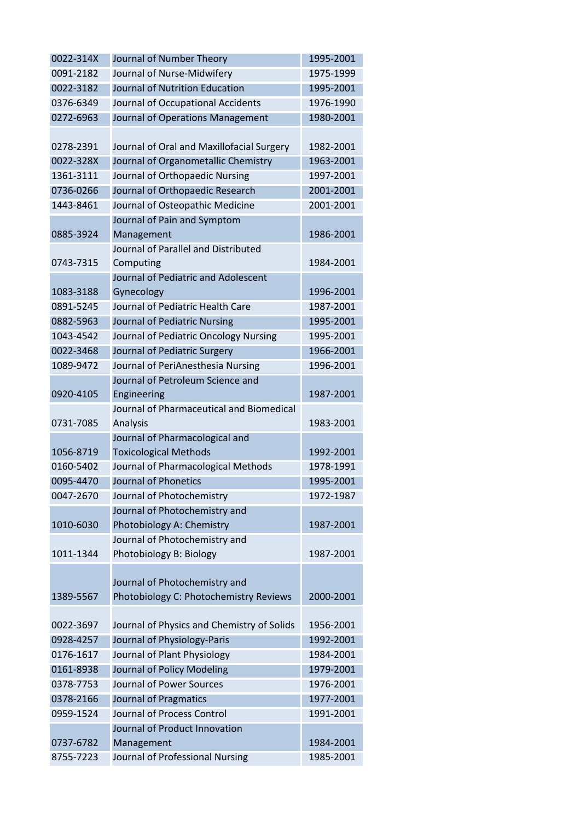| 0022-314X | Journal of Number Theory                   | 1995-2001 |
|-----------|--------------------------------------------|-----------|
| 0091-2182 | Journal of Nurse-Midwifery                 | 1975-1999 |
| 0022-3182 | Journal of Nutrition Education             | 1995-2001 |
| 0376-6349 | Journal of Occupational Accidents          | 1976-1990 |
| 0272-6963 | Journal of Operations Management           | 1980-2001 |
|           |                                            |           |
| 0278-2391 | Journal of Oral and Maxillofacial Surgery  | 1982-2001 |
| 0022-328X | Journal of Organometallic Chemistry        | 1963-2001 |
| 1361-3111 | Journal of Orthopaedic Nursing             | 1997-2001 |
| 0736-0266 | Journal of Orthopaedic Research            | 2001-2001 |
| 1443-8461 | Journal of Osteopathic Medicine            | 2001-2001 |
|           | Journal of Pain and Symptom                |           |
| 0885-3924 | Management                                 | 1986-2001 |
|           | Journal of Parallel and Distributed        |           |
| 0743-7315 | Computing                                  | 1984-2001 |
|           | Journal of Pediatric and Adolescent        |           |
| 1083-3188 | Gynecology                                 | 1996-2001 |
| 0891-5245 | Journal of Pediatric Health Care           | 1987-2001 |
| 0882-5963 | Journal of Pediatric Nursing               | 1995-2001 |
| 1043-4542 | Journal of Pediatric Oncology Nursing      | 1995-2001 |
| 0022-3468 | Journal of Pediatric Surgery               | 1966-2001 |
| 1089-9472 | Journal of PeriAnesthesia Nursing          | 1996-2001 |
|           | Journal of Petroleum Science and           |           |
| 0920-4105 | Engineering                                | 1987-2001 |
|           | Journal of Pharmaceutical and Biomedical   |           |
| 0731-7085 | Analysis                                   | 1983-2001 |
|           | Journal of Pharmacological and             |           |
| 1056-8719 | <b>Toxicological Methods</b>               | 1992-2001 |
| 0160-5402 | Journal of Pharmacological Methods         | 1978-1991 |
| 0095-4470 | Journal of Phonetics                       | 1995-2001 |
| 0047-2670 | Journal of Photochemistry                  | 1972-1987 |
|           | Journal of Photochemistry and              |           |
| 1010-6030 | Photobiology A: Chemistry                  | 1987-2001 |
| 1011-1344 | Journal of Photochemistry and              | 1987-2001 |
|           | Photobiology B: Biology                    |           |
|           | Journal of Photochemistry and              |           |
| 1389-5567 | Photobiology C: Photochemistry Reviews     | 2000-2001 |
|           |                                            |           |
| 0022-3697 | Journal of Physics and Chemistry of Solids | 1956-2001 |
| 0928-4257 | Journal of Physiology-Paris                | 1992-2001 |
| 0176-1617 | Journal of Plant Physiology                | 1984-2001 |
| 0161-8938 | Journal of Policy Modeling                 | 1979-2001 |
| 0378-7753 | Journal of Power Sources                   | 1976-2001 |
| 0378-2166 | Journal of Pragmatics                      | 1977-2001 |
| 0959-1524 | Journal of Process Control                 | 1991-2001 |
|           | Journal of Product Innovation              |           |
| 0737-6782 | Management                                 | 1984-2001 |
| 8755-7223 | Journal of Professional Nursing            | 1985-2001 |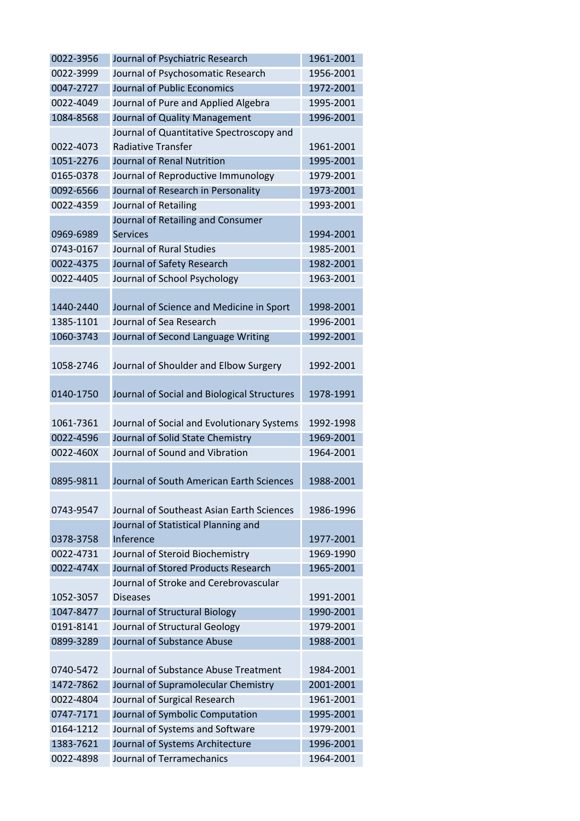| 0022-3956              | Journal of Psychiatric Research                              | 1961-2001              |
|------------------------|--------------------------------------------------------------|------------------------|
| 0022-3999              | Journal of Psychosomatic Research                            | 1956-2001              |
| 0047-2727              | Journal of Public Economics                                  | 1972-2001              |
| 0022-4049              | Journal of Pure and Applied Algebra                          | 1995-2001              |
| 1084-8568              | Journal of Quality Management                                | 1996-2001              |
|                        | Journal of Quantitative Spectroscopy and                     |                        |
| 0022-4073              | <b>Radiative Transfer</b>                                    | 1961-2001              |
| 1051-2276              | Journal of Renal Nutrition                                   | 1995-2001              |
| 0165-0378              | Journal of Reproductive Immunology                           | 1979-2001              |
| 0092-6566              | Journal of Research in Personality                           | 1973-2001              |
| 0022-4359              | Journal of Retailing                                         | 1993-2001              |
|                        | Journal of Retailing and Consumer                            |                        |
| 0969-6989              | <b>Services</b>                                              | 1994-2001              |
| 0743-0167              | Journal of Rural Studies                                     | 1985-2001              |
| 0022-4375              | Journal of Safety Research                                   | 1982-2001              |
| 0022-4405              | Journal of School Psychology                                 | 1963-2001              |
|                        |                                                              |                        |
| 1440-2440              | Journal of Science and Medicine in Sport                     | 1998-2001              |
| 1385-1101              | Journal of Sea Research                                      | 1996-2001              |
| 1060-3743              | Journal of Second Language Writing                           | 1992-2001              |
|                        |                                                              |                        |
| 1058-2746              | Journal of Shoulder and Elbow Surgery                        | 1992-2001              |
|                        |                                                              |                        |
| 0140-1750              | Journal of Social and Biological Structures                  | 1978-1991              |
|                        |                                                              |                        |
|                        |                                                              |                        |
| 1061-7361              | Journal of Social and Evolutionary Systems                   | 1992-1998              |
| 0022-4596              | Journal of Solid State Chemistry                             | 1969-2001              |
| 0022-460X              | Journal of Sound and Vibration                               | 1964-2001              |
|                        |                                                              |                        |
| 0895-9811              | Journal of South American Earth Sciences                     | 1988-2001              |
|                        |                                                              |                        |
| 0743-9547              | Journal of Southeast Asian Earth Sciences                    | 1986-1996              |
|                        | Journal of Statistical Planning and                          |                        |
| 0378-3758              | Inference                                                    | 1977-2001              |
| 0022-4731              | Journal of Steroid Biochemistry                              | 1969-1990              |
| 0022-474X              | Journal of Stored Products Research                          | 1965-2001              |
|                        | Journal of Stroke and Cerebrovascular                        |                        |
| 1052-3057              | <b>Diseases</b>                                              | 1991-2001              |
| 1047-8477              | Journal of Structural Biology                                | 1990-2001              |
| 0191-8141              | Journal of Structural Geology                                | 1979-2001              |
| 0899-3289              | Journal of Substance Abuse                                   | 1988-2001              |
|                        |                                                              |                        |
| 0740-5472              | Journal of Substance Abuse Treatment                         | 1984-2001              |
| 1472-7862              | Journal of Supramolecular Chemistry                          | 2001-2001              |
| 0022-4804              | Journal of Surgical Research                                 | 1961-2001              |
| 0747-7171              | Journal of Symbolic Computation                              | 1995-2001              |
| 0164-1212              | Journal of Systems and Software                              | 1979-2001              |
| 1383-7621<br>0022-4898 | Journal of Systems Architecture<br>Journal of Terramechanics | 1996-2001<br>1964-2001 |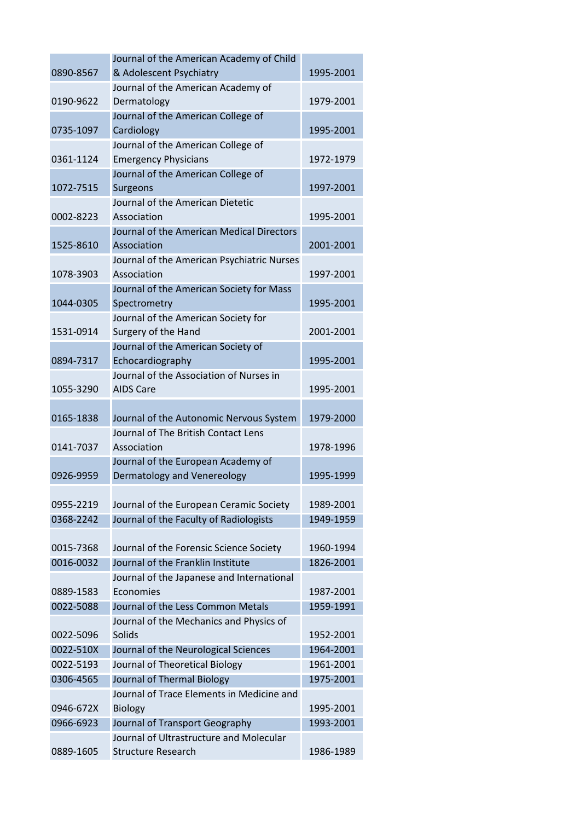|           | Journal of the American Academy of Child   |           |
|-----------|--------------------------------------------|-----------|
| 0890-8567 | & Adolescent Psychiatry                    | 1995-2001 |
|           | Journal of the American Academy of         |           |
| 0190-9622 | Dermatology                                | 1979-2001 |
|           | Journal of the American College of         |           |
| 0735-1097 | Cardiology                                 | 1995-2001 |
|           | Journal of the American College of         |           |
| 0361-1124 | <b>Emergency Physicians</b>                | 1972-1979 |
|           | Journal of the American College of         |           |
| 1072-7515 | Surgeons                                   | 1997-2001 |
|           | Journal of the American Dietetic           |           |
| 0002-8223 | Association                                | 1995-2001 |
|           | Journal of the American Medical Directors  |           |
| 1525-8610 | Association                                | 2001-2001 |
|           | Journal of the American Psychiatric Nurses |           |
| 1078-3903 | Association                                | 1997-2001 |
|           | Journal of the American Society for Mass   |           |
| 1044-0305 | Spectrometry                               | 1995-2001 |
|           | Journal of the American Society for        |           |
| 1531-0914 | Surgery of the Hand                        | 2001-2001 |
|           | Journal of the American Society of         |           |
| 0894-7317 | Echocardiography                           | 1995-2001 |
|           | Journal of the Association of Nurses in    |           |
| 1055-3290 | <b>AIDS Care</b>                           | 1995-2001 |
| 0165-1838 | Journal of the Autonomic Nervous System    | 1979-2000 |
|           | Journal of The British Contact Lens        |           |
| 0141-7037 | Association                                | 1978-1996 |
|           | Journal of the European Academy of         |           |
| 0926-9959 | Dermatology and Venereology                | 1995-1999 |
|           |                                            |           |
| 0955-2219 | Journal of the European Ceramic Society    | 1989-2001 |
| 0368-2242 | Journal of the Faculty of Radiologists     | 1949-1959 |
|           |                                            |           |
| 0015-7368 | Journal of the Forensic Science Society    | 1960-1994 |
| 0016-0032 | Journal of the Franklin Institute          | 1826-2001 |
|           | Journal of the Japanese and International  |           |
| 0889-1583 | Economies                                  | 1987-2001 |
| 0022-5088 | Journal of the Less Common Metals          | 1959-1991 |
|           | Journal of the Mechanics and Physics of    |           |
| 0022-5096 | <b>Solids</b>                              | 1952-2001 |
| 0022-510X | Journal of the Neurological Sciences       | 1964-2001 |
| 0022-5193 | Journal of Theoretical Biology             | 1961-2001 |
| 0306-4565 | Journal of Thermal Biology                 | 1975-2001 |
|           | Journal of Trace Elements in Medicine and  |           |
| 0946-672X | <b>Biology</b>                             | 1995-2001 |
| 0966-6923 | Journal of Transport Geography             | 1993-2001 |
|           | Journal of Ultrastructure and Molecular    |           |
| 0889-1605 | <b>Structure Research</b>                  | 1986-1989 |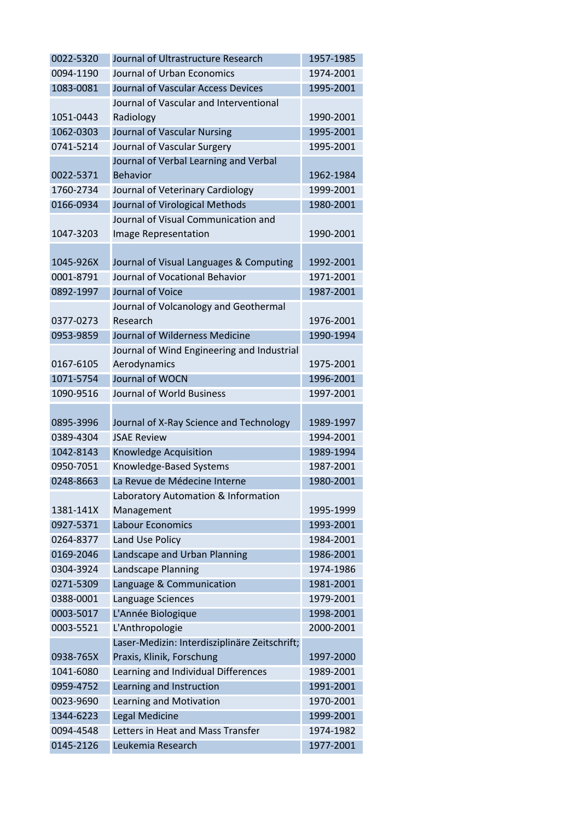| 0022-5320 | Journal of Ultrastructure Research            | 1957-1985 |
|-----------|-----------------------------------------------|-----------|
| 0094-1190 | Journal of Urban Economics                    | 1974-2001 |
| 1083-0081 | Journal of Vascular Access Devices            | 1995-2001 |
|           | Journal of Vascular and Interventional        |           |
| 1051-0443 | Radiology                                     | 1990-2001 |
| 1062-0303 | Journal of Vascular Nursing                   | 1995-2001 |
| 0741-5214 | Journal of Vascular Surgery                   | 1995-2001 |
|           | Journal of Verbal Learning and Verbal         |           |
| 0022-5371 | <b>Behavior</b>                               | 1962-1984 |
| 1760-2734 | Journal of Veterinary Cardiology              | 1999-2001 |
| 0166-0934 | Journal of Virological Methods                | 1980-2001 |
|           | Journal of Visual Communication and           |           |
| 1047-3203 | Image Representation                          | 1990-2001 |
|           |                                               |           |
| 1045-926X | Journal of Visual Languages & Computing       | 1992-2001 |
| 0001-8791 | Journal of Vocational Behavior                | 1971-2001 |
| 0892-1997 | Journal of Voice                              | 1987-2001 |
|           | Journal of Volcanology and Geothermal         |           |
| 0377-0273 | Research                                      | 1976-2001 |
| 0953-9859 | Journal of Wilderness Medicine                | 1990-1994 |
|           | Journal of Wind Engineering and Industrial    |           |
| 0167-6105 | Aerodynamics                                  | 1975-2001 |
| 1071-5754 | Journal of WOCN                               | 1996-2001 |
| 1090-9516 | Journal of World Business                     | 1997-2001 |
|           |                                               |           |
| 0895-3996 | Journal of X-Ray Science and Technology       | 1989-1997 |
| 0389-4304 | <b>JSAE Review</b>                            | 1994-2001 |
| 1042-8143 | <b>Knowledge Acquisition</b>                  | 1989-1994 |
| 0950-7051 | Knowledge-Based Systems                       | 1987-2001 |
| 0248-8663 | La Revue de Médecine Interne                  | 1980-2001 |
|           | Laboratory Automation & Information           |           |
| 1381-141X | Management                                    | 1995-1999 |
| 0927-5371 | <b>Labour Economics</b>                       | 1993-2001 |
| 0264-8377 | Land Use Policy                               | 1984-2001 |
| 0169-2046 | Landscape and Urban Planning                  | 1986-2001 |
| 0304-3924 | Landscape Planning                            | 1974-1986 |
| 0271-5309 | Language & Communication                      | 1981-2001 |
| 0388-0001 | Language Sciences                             | 1979-2001 |
| 0003-5017 |                                               |           |
| 0003-5521 | L'Année Biologique                            | 1998-2001 |
|           | L'Anthropologie                               | 2000-2001 |
|           | Laser-Medizin: Interdisziplinäre Zeitschrift; |           |
| 0938-765X | Praxis, Klinik, Forschung                     | 1997-2000 |
| 1041-6080 | Learning and Individual Differences           | 1989-2001 |
| 0959-4752 | Learning and Instruction                      | 1991-2001 |
| 0023-9690 | Learning and Motivation                       | 1970-2001 |
| 1344-6223 | <b>Legal Medicine</b>                         | 1999-2001 |
| 0094-4548 | Letters in Heat and Mass Transfer             | 1974-1982 |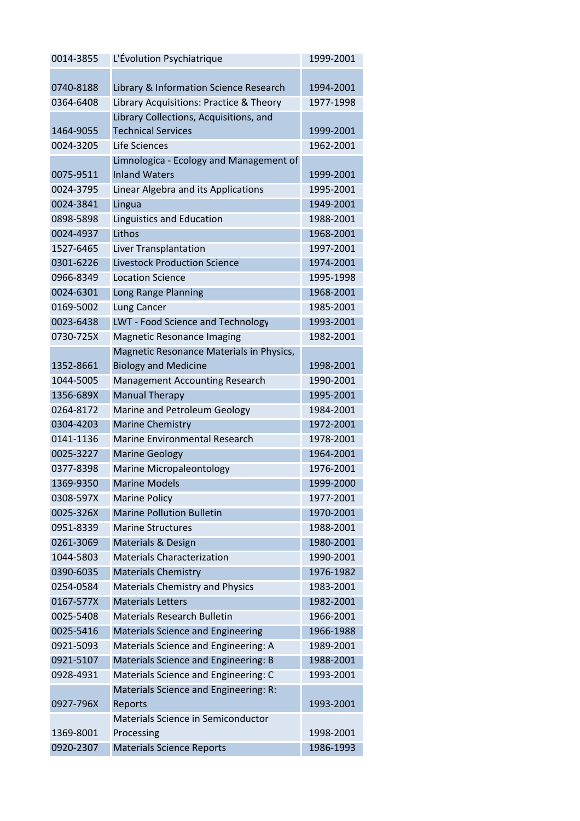| 0014-3855 | L'Évolution Psychiatrique                | 1999-2001 |
|-----------|------------------------------------------|-----------|
|           |                                          |           |
| 0740-8188 | Library & Information Science Research   | 1994-2001 |
| 0364-6408 | Library Acquisitions: Practice & Theory  | 1977-1998 |
|           | Library Collections, Acquisitions, and   |           |
| 1464-9055 | <b>Technical Services</b>                | 1999-2001 |
| 0024-3205 | Life Sciences                            | 1962-2001 |
|           | Limnologica - Ecology and Management of  |           |
| 0075-9511 | <b>Inland Waters</b>                     | 1999-2001 |
| 0024-3795 | Linear Algebra and its Applications      | 1995-2001 |
| 0024-3841 | Lingua                                   | 1949-2001 |
| 0898-5898 | Linguistics and Education                | 1988-2001 |
| 0024-4937 | Lithos                                   | 1968-2001 |
| 1527-6465 | Liver Transplantation                    | 1997-2001 |
| 0301-6226 | <b>Livestock Production Science</b>      | 1974-2001 |
| 0966-8349 | <b>Location Science</b>                  | 1995-1998 |
| 0024-6301 | Long Range Planning                      | 1968-2001 |
| 0169-5002 | Lung Cancer                              | 1985-2001 |
| 0023-6438 | <b>LWT - Food Science and Technology</b> | 1993-2001 |
| 0730-725X | <b>Magnetic Resonance Imaging</b>        | 1982-2001 |
|           | Magnetic Resonance Materials in Physics, |           |
| 1352-8661 | <b>Biology and Medicine</b>              | 1998-2001 |
| 1044-5005 | <b>Management Accounting Research</b>    | 1990-2001 |
| 1356-689X | <b>Manual Therapy</b>                    | 1995-2001 |
| 0264-8172 | Marine and Petroleum Geology             | 1984-2001 |
| 0304-4203 | <b>Marine Chemistry</b>                  | 1972-2001 |
| 0141-1136 | <b>Marine Environmental Research</b>     | 1978-2001 |
| 0025-3227 | <b>Marine Geology</b>                    | 1964-2001 |
| 0377-8398 | Marine Micropaleontology                 | 1976-2001 |
| 1369-9350 | <b>Marine Models</b>                     | 1999-2000 |
| 0308-597X | <b>Marine Policy</b>                     | 1977-2001 |
| 0025-326X | <b>Marine Pollution Bulletin</b>         | 1970-2001 |
| 0951-8339 | <b>Marine Structures</b>                 | 1988-2001 |
| 0261-3069 | <b>Materials &amp; Design</b>            | 1980-2001 |
| 1044-5803 | <b>Materials Characterization</b>        | 1990-2001 |
| 0390-6035 | <b>Materials Chemistry</b>               | 1976-1982 |
| 0254-0584 | <b>Materials Chemistry and Physics</b>   | 1983-2001 |
| 0167-577X | <b>Materials Letters</b>                 | 1982-2001 |
| 0025-5408 | <b>Materials Research Bulletin</b>       | 1966-2001 |
| 0025-5416 | <b>Materials Science and Engineering</b> | 1966-1988 |
| 0921-5093 | Materials Science and Engineering: A     | 1989-2001 |
| 0921-5107 | Materials Science and Engineering: B     | 1988-2001 |
| 0928-4931 | Materials Science and Engineering: C     | 1993-2001 |
|           | Materials Science and Engineering: R:    |           |
| 0927-796X | Reports                                  | 1993-2001 |
|           | Materials Science in Semiconductor       |           |
| 1369-8001 | Processing                               | 1998-2001 |
| 0920-2307 | <b>Materials Science Reports</b>         | 1986-1993 |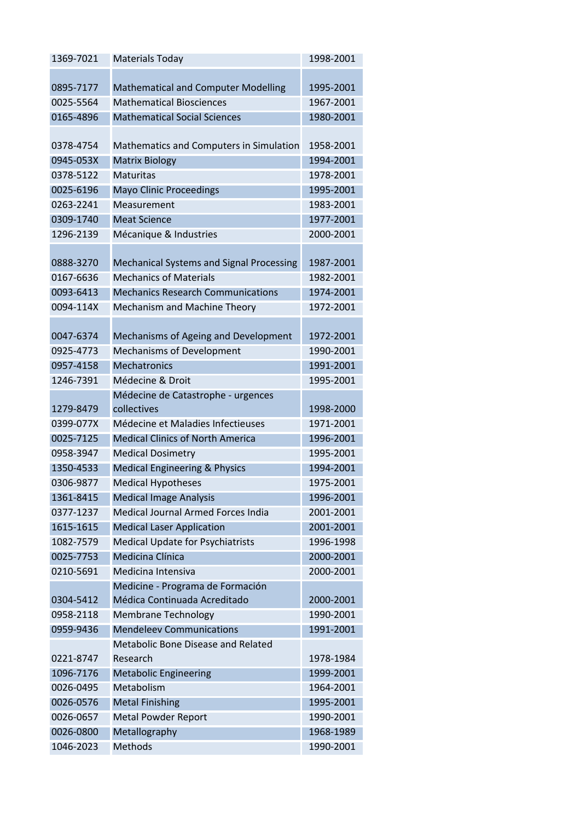| 1369-7021 | <b>Materials Today</b>                          | 1998-2001 |
|-----------|-------------------------------------------------|-----------|
|           |                                                 |           |
| 0895-7177 | <b>Mathematical and Computer Modelling</b>      | 1995-2001 |
| 0025-5564 | <b>Mathematical Biosciences</b>                 | 1967-2001 |
| 0165-4896 | <b>Mathematical Social Sciences</b>             | 1980-2001 |
|           |                                                 |           |
| 0378-4754 | Mathematics and Computers in Simulation         | 1958-2001 |
| 0945-053X | <b>Matrix Biology</b>                           | 1994-2001 |
| 0378-5122 | <b>Maturitas</b>                                | 1978-2001 |
| 0025-6196 | <b>Mayo Clinic Proceedings</b>                  | 1995-2001 |
| 0263-2241 | Measurement                                     | 1983-2001 |
| 0309-1740 | <b>Meat Science</b>                             | 1977-2001 |
| 1296-2139 | Mécanique & Industries                          | 2000-2001 |
|           |                                                 |           |
| 0888-3270 | <b>Mechanical Systems and Signal Processing</b> | 1987-2001 |
| 0167-6636 | <b>Mechanics of Materials</b>                   | 1982-2001 |
| 0093-6413 | <b>Mechanics Research Communications</b>        | 1974-2001 |
| 0094-114X | Mechanism and Machine Theory                    | 1972-2001 |
|           |                                                 |           |
| 0047-6374 | Mechanisms of Ageing and Development            | 1972-2001 |
| 0925-4773 | <b>Mechanisms of Development</b>                | 1990-2001 |
| 0957-4158 | <b>Mechatronics</b>                             | 1991-2001 |
| 1246-7391 | Médecine & Droit                                | 1995-2001 |
|           | Médecine de Catastrophe - urgences              |           |
| 1279-8479 | collectives                                     | 1998-2000 |
| 0399-077X | Médecine et Maladies Infectieuses               | 1971-2001 |
| 0025-7125 | <b>Medical Clinics of North America</b>         | 1996-2001 |
| 0958-3947 | <b>Medical Dosimetry</b>                        | 1995-2001 |
| 1350-4533 | <b>Medical Engineering &amp; Physics</b>        | 1994-2001 |
| 0306-9877 | <b>Medical Hypotheses</b>                       | 1975-2001 |
| 1361-8415 | <b>Medical Image Analysis</b>                   | 1996-2001 |
| 0377-1237 | Medical Journal Armed Forces India              | 2001-2001 |
| 1615-1615 | <b>Medical Laser Application</b>                | 2001-2001 |
| 1082-7579 | <b>Medical Update for Psychiatrists</b>         | 1996-1998 |
| 0025-7753 | Medicina Clínica                                | 2000-2001 |
| 0210-5691 | Medicina Intensiva                              | 2000-2001 |
|           | Medicine - Programa de Formación                |           |
| 0304-5412 | Médica Continuada Acreditado                    | 2000-2001 |
| 0958-2118 | <b>Membrane Technology</b>                      | 1990-2001 |
| 0959-9436 | <b>Mendeleev Communications</b>                 | 1991-2001 |
|           | Metabolic Bone Disease and Related              |           |
| 0221-8747 | Research                                        | 1978-1984 |
| 1096-7176 | <b>Metabolic Engineering</b>                    | 1999-2001 |
| 0026-0495 | Metabolism                                      | 1964-2001 |
| 0026-0576 | <b>Metal Finishing</b>                          | 1995-2001 |
| 0026-0657 | <b>Metal Powder Report</b>                      | 1990-2001 |
| 0026-0800 | Metallography                                   | 1968-1989 |
| 1046-2023 | Methods                                         | 1990-2001 |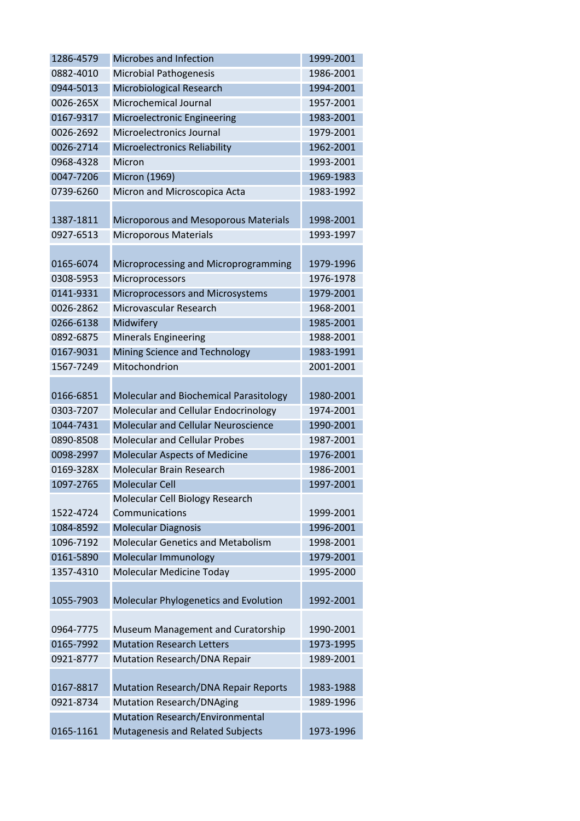| 1286-4579 | Microbes and Infection                      | 1999-2001 |
|-----------|---------------------------------------------|-----------|
| 0882-4010 | <b>Microbial Pathogenesis</b>               | 1986-2001 |
| 0944-5013 | Microbiological Research                    | 1994-2001 |
| 0026-265X | Microchemical Journal                       | 1957-2001 |
| 0167-9317 | Microelectronic Engineering                 | 1983-2001 |
| 0026-2692 | Microelectronics Journal                    | 1979-2001 |
| 0026-2714 | <b>Microelectronics Reliability</b>         | 1962-2001 |
| 0968-4328 | Micron                                      | 1993-2001 |
| 0047-7206 | Micron (1969)                               | 1969-1983 |
| 0739-6260 | Micron and Microscopica Acta                | 1983-1992 |
|           |                                             |           |
| 1387-1811 | Microporous and Mesoporous Materials        | 1998-2001 |
| 0927-6513 | <b>Microporous Materials</b>                | 1993-1997 |
|           |                                             |           |
| 0165-6074 | Microprocessing and Microprogramming        | 1979-1996 |
| 0308-5953 | Microprocessors                             | 1976-1978 |
| 0141-9331 | Microprocessors and Microsystems            | 1979-2001 |
| 0026-2862 | Microvascular Research                      | 1968-2001 |
| 0266-6138 | Midwifery                                   | 1985-2001 |
| 0892-6875 | <b>Minerals Engineering</b>                 | 1988-2001 |
| 0167-9031 | Mining Science and Technology               | 1983-1991 |
| 1567-7249 | Mitochondrion                               | 2001-2001 |
|           |                                             |           |
| 0166-6851 | Molecular and Biochemical Parasitology      | 1980-2001 |
| 0303-7207 | Molecular and Cellular Endocrinology        | 1974-2001 |
| 1044-7431 | <b>Molecular and Cellular Neuroscience</b>  | 1990-2001 |
| 0890-8508 | <b>Molecular and Cellular Probes</b>        | 1987-2001 |
| 0098-2997 | <b>Molecular Aspects of Medicine</b>        | 1976-2001 |
| 0169-328X | Molecular Brain Research                    | 1986-2001 |
| 1097-2765 | <b>Molecular Cell</b>                       | 1997-2001 |
|           | Molecular Cell Biology Research             |           |
| 1522-4724 | Communications                              | 1999-2001 |
| 1084-8592 | <b>Molecular Diagnosis</b>                  | 1996-2001 |
| 1096-7192 | <b>Molecular Genetics and Metabolism</b>    | 1998-2001 |
| 0161-5890 | Molecular Immunology                        | 1979-2001 |
| 1357-4310 | Molecular Medicine Today                    | 1995-2000 |
|           |                                             |           |
| 1055-7903 | Molecular Phylogenetics and Evolution       | 1992-2001 |
|           |                                             |           |
| 0964-7775 | Museum Management and Curatorship           | 1990-2001 |
| 0165-7992 | <b>Mutation Research Letters</b>            | 1973-1995 |
| 0921-8777 | Mutation Research/DNA Repair                | 1989-2001 |
|           |                                             |           |
| 0167-8817 | <b>Mutation Research/DNA Repair Reports</b> | 1983-1988 |
| 0921-8734 | <b>Mutation Research/DNAging</b>            | 1989-1996 |
|           | <b>Mutation Research/Environmental</b>      |           |
| 0165-1161 | Mutagenesis and Related Subjects            | 1973-1996 |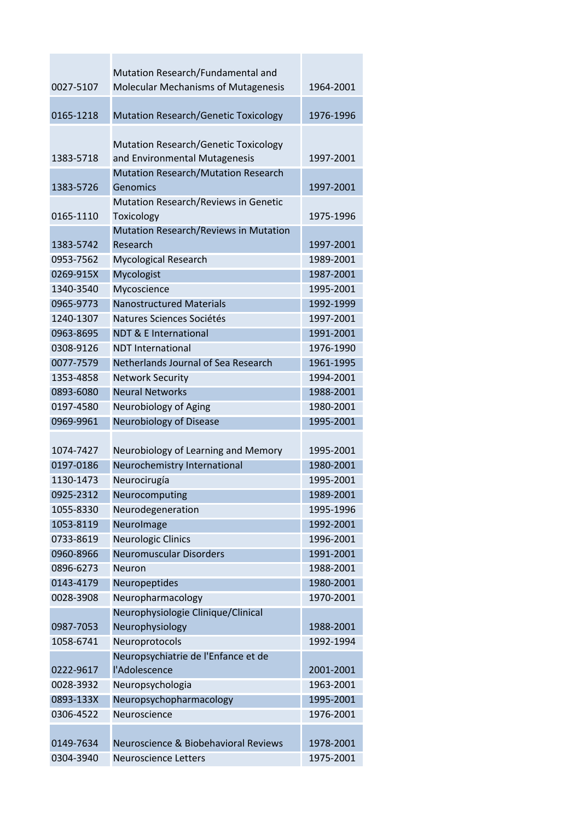| 0027-5107 | Mutation Research/Fundamental and<br><b>Molecular Mechanisms of Mutagenesis</b>                                            | 1964-2001 |
|-----------|----------------------------------------------------------------------------------------------------------------------------|-----------|
| 0165-1218 | <b>Mutation Research/Genetic Toxicology</b>                                                                                | 1976-1996 |
| 1383-5718 | <b>Mutation Research/Genetic Toxicology</b><br>and Environmental Mutagenesis<br><b>Mutation Research/Mutation Research</b> | 1997-2001 |
| 1383-5726 | Genomics                                                                                                                   | 1997-2001 |
| 0165-1110 | Mutation Research/Reviews in Genetic<br>Toxicology                                                                         | 1975-1996 |
| 1383-5742 | Mutation Research/Reviews in Mutation<br>Research                                                                          | 1997-2001 |
| 0953-7562 | <b>Mycological Research</b>                                                                                                | 1989-2001 |
| 0269-915X | Mycologist                                                                                                                 | 1987-2001 |
| 1340-3540 | Mycoscience                                                                                                                | 1995-2001 |
| 0965-9773 | <b>Nanostructured Materials</b>                                                                                            | 1992-1999 |
| 1240-1307 | Natures Sciences Sociétés                                                                                                  | 1997-2001 |
| 0963-8695 | <b>NDT &amp; E International</b>                                                                                           | 1991-2001 |
| 0308-9126 | <b>NDT</b> International                                                                                                   | 1976-1990 |
| 0077-7579 | Netherlands Journal of Sea Research                                                                                        | 1961-1995 |
| 1353-4858 | <b>Network Security</b>                                                                                                    | 1994-2001 |
| 0893-6080 | <b>Neural Networks</b>                                                                                                     | 1988-2001 |
| 0197-4580 | Neurobiology of Aging                                                                                                      | 1980-2001 |
| 0969-9961 | Neurobiology of Disease                                                                                                    | 1995-2001 |
|           |                                                                                                                            |           |
| 1074-7427 | Neurobiology of Learning and Memory                                                                                        | 1995-2001 |
| 0197-0186 | Neurochemistry International                                                                                               | 1980-2001 |
| 1130-1473 | Neurocirugía                                                                                                               | 1995-2001 |
| 0925-2312 | Neurocomputing                                                                                                             | 1989-2001 |
| 1055-8330 | Neurodegeneration                                                                                                          | 1995-1996 |
| 1053-8119 | Neurolmage                                                                                                                 | 1992-2001 |
| 0733-8619 | <b>Neurologic Clinics</b>                                                                                                  | 1996-2001 |
| 0960-8966 | <b>Neuromuscular Disorders</b>                                                                                             | 1991-2001 |
| 0896-6273 | <b>Neuron</b>                                                                                                              | 1988-2001 |
| 0143-4179 | Neuropeptides                                                                                                              | 1980-2001 |
| 0028-3908 | Neuropharmacology                                                                                                          | 1970-2001 |
|           | Neurophysiologie Clinique/Clinical                                                                                         |           |
| 0987-7053 | Neurophysiology                                                                                                            | 1988-2001 |
| 1058-6741 | Neuroprotocols                                                                                                             | 1992-1994 |
|           | Neuropsychiatrie de l'Enfance et de                                                                                        |           |
| 0222-9617 | l'Adolescence                                                                                                              | 2001-2001 |
| 0028-3932 | Neuropsychologia                                                                                                           | 1963-2001 |
| 0893-133X | Neuropsychopharmacology                                                                                                    | 1995-2001 |
| 0306-4522 | Neuroscience                                                                                                               | 1976-2001 |
|           |                                                                                                                            |           |
| 0149-7634 | Neuroscience & Biobehavioral Reviews                                                                                       | 1978-2001 |
| 0304-3940 | <b>Neuroscience Letters</b>                                                                                                | 1975-2001 |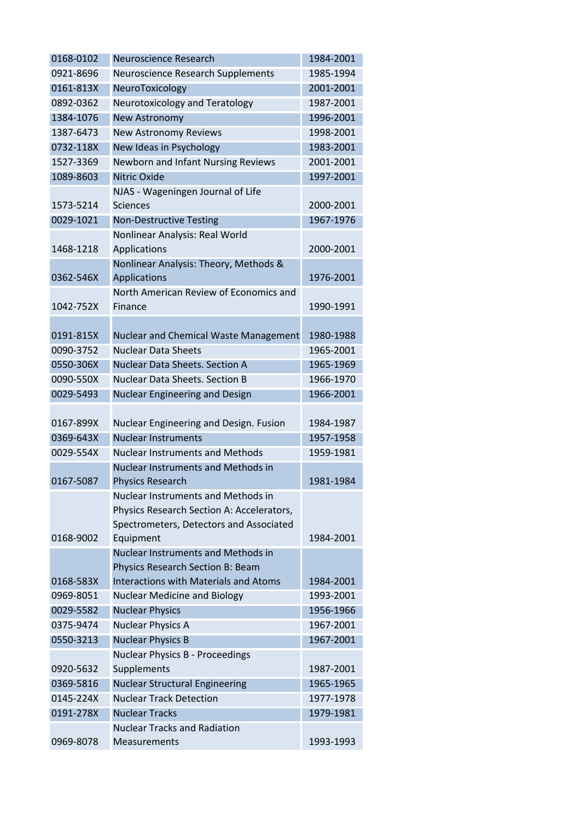| 0168-0102 | Neuroscience Research                        | 1984-2001 |
|-----------|----------------------------------------------|-----------|
| 0921-8696 | Neuroscience Research Supplements            | 1985-1994 |
| 0161-813X | NeuroToxicology                              | 2001-2001 |
| 0892-0362 | Neurotoxicology and Teratology               | 1987-2001 |
| 1384-1076 | New Astronomy                                | 1996-2001 |
| 1387-6473 | <b>New Astronomy Reviews</b>                 | 1998-2001 |
| 0732-118X | New Ideas in Psychology                      | 1983-2001 |
| 1527-3369 | Newborn and Infant Nursing Reviews           | 2001-2001 |
| 1089-8603 | <b>Nitric Oxide</b>                          | 1997-2001 |
|           | NJAS - Wageningen Journal of Life            |           |
| 1573-5214 | <b>Sciences</b>                              | 2000-2001 |
| 0029-1021 | <b>Non-Destructive Testing</b>               | 1967-1976 |
|           | Nonlinear Analysis: Real World               |           |
| 1468-1218 | Applications                                 | 2000-2001 |
|           | Nonlinear Analysis: Theory, Methods &        |           |
| 0362-546X | Applications                                 | 1976-2001 |
|           | North American Review of Economics and       |           |
| 1042-752X | Finance                                      | 1990-1991 |
|           |                                              |           |
| 0191-815X | Nuclear and Chemical Waste Management        | 1980-1988 |
| 0090-3752 | <b>Nuclear Data Sheets</b>                   | 1965-2001 |
| 0550-306X | <b>Nuclear Data Sheets. Section A</b>        | 1965-1969 |
| 0090-550X | <b>Nuclear Data Sheets. Section B</b>        | 1966-1970 |
| 0029-5493 | Nuclear Engineering and Design               | 1966-2001 |
|           |                                              |           |
| 0167-899X | Nuclear Engineering and Design. Fusion       | 1984-1987 |
| 0369-643X | <b>Nuclear Instruments</b>                   | 1957-1958 |
| 0029-554X | <b>Nuclear Instruments and Methods</b>       | 1959-1981 |
|           | <b>Nuclear Instruments and Methods in</b>    |           |
| 0167-5087 | <b>Physics Research</b>                      | 1981-1984 |
|           | <b>Nuclear Instruments and Methods in</b>    |           |
|           | Physics Research Section A: Accelerators,    |           |
|           | Spectrometers, Detectors and Associated      |           |
| 0168-9002 | Equipment                                    | 1984-2001 |
|           | <b>Nuclear Instruments and Methods in</b>    |           |
|           | Physics Research Section B: Beam             |           |
| 0168-583X | <b>Interactions with Materials and Atoms</b> | 1984-2001 |
| 0969-8051 | <b>Nuclear Medicine and Biology</b>          | 1993-2001 |
| 0029-5582 | <b>Nuclear Physics</b>                       | 1956-1966 |
| 0375-9474 | <b>Nuclear Physics A</b>                     | 1967-2001 |
| 0550-3213 | <b>Nuclear Physics B</b>                     | 1967-2001 |
|           | <b>Nuclear Physics B - Proceedings</b>       |           |
| 0920-5632 | Supplements                                  | 1987-2001 |
| 0369-5816 | <b>Nuclear Structural Engineering</b>        | 1965-1965 |
| 0145-224X | <b>Nuclear Track Detection</b>               | 1977-1978 |
| 0191-278X | <b>Nuclear Tracks</b>                        | 1979-1981 |
|           | <b>Nuclear Tracks and Radiation</b>          |           |
| 0969-8078 | Measurements                                 | 1993-1993 |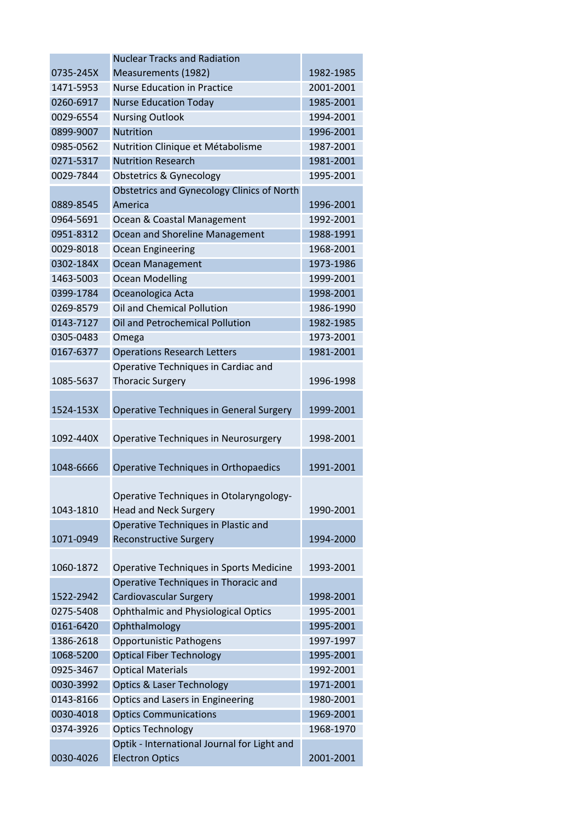|           | <b>Nuclear Tracks and Radiation</b>                                                                            |           |
|-----------|----------------------------------------------------------------------------------------------------------------|-----------|
| 0735-245X | Measurements (1982)                                                                                            | 1982-1985 |
| 1471-5953 | <b>Nurse Education in Practice</b>                                                                             | 2001-2001 |
| 0260-6917 | <b>Nurse Education Today</b>                                                                                   | 1985-2001 |
| 0029-6554 | <b>Nursing Outlook</b>                                                                                         | 1994-2001 |
| 0899-9007 | <b>Nutrition</b>                                                                                               | 1996-2001 |
| 0985-0562 | Nutrition Clinique et Métabolisme                                                                              | 1987-2001 |
| 0271-5317 | <b>Nutrition Research</b>                                                                                      | 1981-2001 |
| 0029-7844 | <b>Obstetrics &amp; Gynecology</b>                                                                             | 1995-2001 |
|           | <b>Obstetrics and Gynecology Clinics of North</b>                                                              |           |
| 0889-8545 | America                                                                                                        | 1996-2001 |
| 0964-5691 | Ocean & Coastal Management                                                                                     | 1992-2001 |
| 0951-8312 | Ocean and Shoreline Management                                                                                 | 1988-1991 |
| 0029-8018 | <b>Ocean Engineering</b>                                                                                       | 1968-2001 |
| 0302-184X | <b>Ocean Management</b>                                                                                        | 1973-1986 |
| 1463-5003 | <b>Ocean Modelling</b>                                                                                         | 1999-2001 |
| 0399-1784 | Oceanologica Acta                                                                                              | 1998-2001 |
| 0269-8579 | Oil and Chemical Pollution                                                                                     | 1986-1990 |
| 0143-7127 | Oil and Petrochemical Pollution                                                                                | 1982-1985 |
| 0305-0483 | Omega                                                                                                          | 1973-2001 |
| 0167-6377 | <b>Operations Research Letters</b>                                                                             | 1981-2001 |
|           | Operative Techniques in Cardiac and                                                                            |           |
| 1085-5637 | <b>Thoracic Surgery</b>                                                                                        | 1996-1998 |
| 1524-153X | <b>Operative Techniques in General Surgery</b>                                                                 | 1999-2001 |
| 1092-440X | Operative Techniques in Neurosurgery                                                                           | 1998-2001 |
| 1048-6666 | Operative Techniques in Orthopaedics                                                                           | 1991-2001 |
| 1043-1810 | Operative Techniques in Otolaryngology-<br><b>Head and Neck Surgery</b><br>Operative Techniques in Plastic and | 1990-2001 |
| 1071-0949 | <b>Reconstructive Surgery</b>                                                                                  | 1994-2000 |
| 1060-1872 | Operative Techniques in Sports Medicine                                                                        | 1993-2001 |
|           | Operative Techniques in Thoracic and                                                                           |           |
| 1522-2942 | <b>Cardiovascular Surgery</b>                                                                                  | 1998-2001 |
| 0275-5408 | <b>Ophthalmic and Physiological Optics</b>                                                                     | 1995-2001 |
| 0161-6420 | Ophthalmology                                                                                                  | 1995-2001 |
| 1386-2618 | <b>Opportunistic Pathogens</b>                                                                                 | 1997-1997 |
| 1068-5200 | <b>Optical Fiber Technology</b>                                                                                | 1995-2001 |
| 0925-3467 | <b>Optical Materials</b>                                                                                       | 1992-2001 |
| 0030-3992 | <b>Optics &amp; Laser Technology</b>                                                                           | 1971-2001 |
| 0143-8166 | Optics and Lasers in Engineering                                                                               | 1980-2001 |
| 0030-4018 | <b>Optics Communications</b>                                                                                   | 1969-2001 |
| 0374-3926 | <b>Optics Technology</b>                                                                                       | 1968-1970 |
| 0030-4026 | Optik - International Journal for Light and<br><b>Electron Optics</b>                                          | 2001-2001 |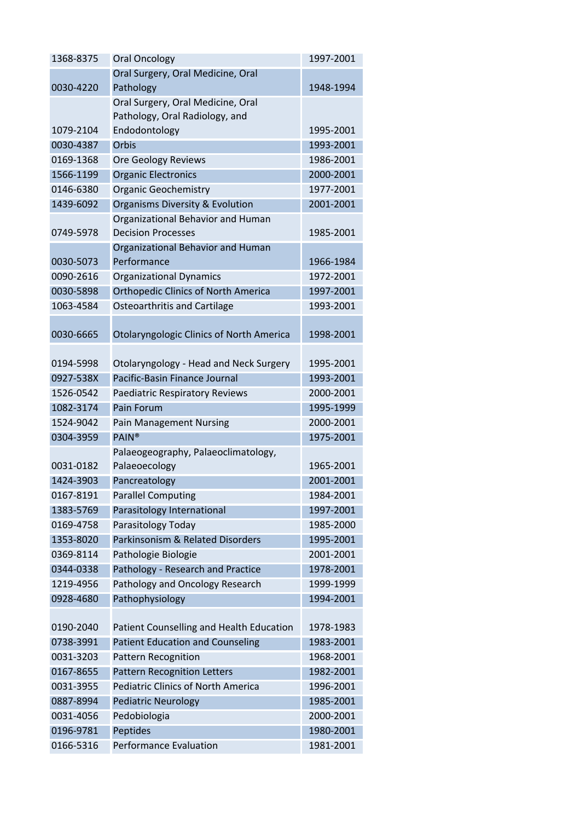| 1368-8375 | <b>Oral Oncology</b>                            | 1997-2001 |
|-----------|-------------------------------------------------|-----------|
|           | Oral Surgery, Oral Medicine, Oral               |           |
| 0030-4220 | Pathology                                       | 1948-1994 |
|           | Oral Surgery, Oral Medicine, Oral               |           |
|           | Pathology, Oral Radiology, and                  |           |
| 1079-2104 | Endodontology                                   | 1995-2001 |
| 0030-4387 | Orbis                                           | 1993-2001 |
| 0169-1368 | Ore Geology Reviews                             | 1986-2001 |
| 1566-1199 | <b>Organic Electronics</b>                      | 2000-2001 |
| 0146-6380 | <b>Organic Geochemistry</b>                     | 1977-2001 |
| 1439-6092 | Organisms Diversity & Evolution                 | 2001-2001 |
|           | Organizational Behavior and Human               |           |
| 0749-5978 | <b>Decision Processes</b>                       | 1985-2001 |
|           | Organizational Behavior and Human               |           |
| 0030-5073 | Performance                                     | 1966-1984 |
| 0090-2616 | <b>Organizational Dynamics</b>                  | 1972-2001 |
| 0030-5898 | <b>Orthopedic Clinics of North America</b>      | 1997-2001 |
| 1063-4584 | Osteoarthritis and Cartilage                    | 1993-2001 |
|           |                                                 |           |
| 0030-6665 | <b>Otolaryngologic Clinics of North America</b> | 1998-2001 |
|           |                                                 |           |
| 0194-5998 | Otolaryngology - Head and Neck Surgery          | 1995-2001 |
| 0927-538X | Pacific-Basin Finance Journal                   | 1993-2001 |
| 1526-0542 | Paediatric Respiratory Reviews                  | 2000-2001 |
| 1082-3174 | Pain Forum                                      | 1995-1999 |
| 1524-9042 | <b>Pain Management Nursing</b>                  | 2000-2001 |
| 0304-3959 | <b>PAIN®</b>                                    | 1975-2001 |
|           | Palaeogeography, Palaeoclimatology,             |           |
| 0031-0182 | Palaeoecology                                   | 1965-2001 |
| 1424-3903 | Pancreatology                                   | 2001-2001 |
| 0167-8191 | <b>Parallel Computing</b>                       | 1984-2001 |
| 1383-5769 | Parasitology International                      | 1997-2001 |
| 0169-4758 | Parasitology Today                              | 1985-2000 |
| 1353-8020 | Parkinsonism & Related Disorders                | 1995-2001 |
| 0369-8114 | Pathologie Biologie                             | 2001-2001 |
| 0344-0338 | Pathology - Research and Practice               | 1978-2001 |
| 1219-4956 | Pathology and Oncology Research                 | 1999-1999 |
| 0928-4680 | Pathophysiology                                 | 1994-2001 |
|           |                                                 |           |
| 0190-2040 | Patient Counselling and Health Education        | 1978-1983 |
| 0738-3991 | <b>Patient Education and Counseling</b>         | 1983-2001 |
| 0031-3203 | <b>Pattern Recognition</b>                      | 1968-2001 |
| 0167-8655 | <b>Pattern Recognition Letters</b>              | 1982-2001 |
| 0031-3955 | <b>Pediatric Clinics of North America</b>       | 1996-2001 |
| 0887-8994 | <b>Pediatric Neurology</b>                      | 1985-2001 |
| 0031-4056 | Pedobiologia                                    | 2000-2001 |
| 0196-9781 | Peptides                                        | 1980-2001 |
| 0166-5316 | <b>Performance Evaluation</b>                   | 1981-2001 |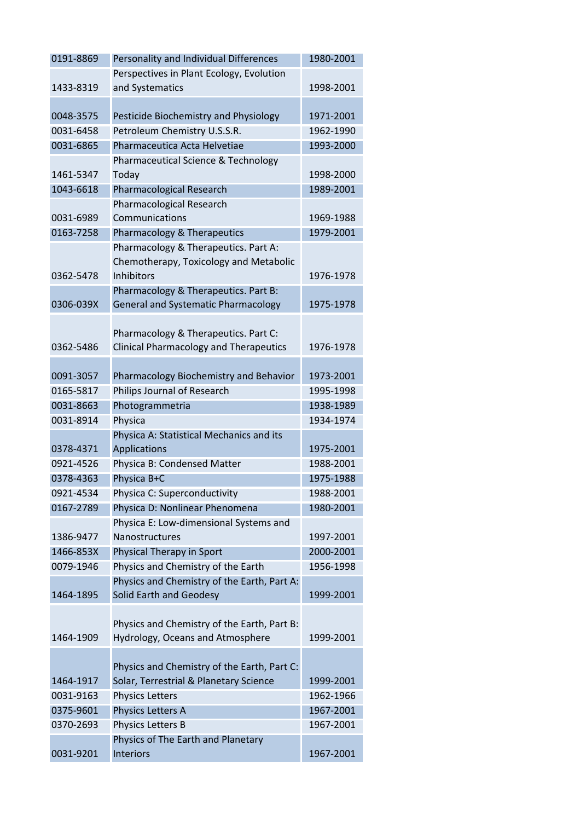| Perspectives in Plant Ecology, Evolution<br>1433-8319<br>1998-2001<br>and Systematics<br>0048-3575<br>Pesticide Biochemistry and Physiology<br>1971-2001<br>Petroleum Chemistry U.S.S.R.<br>0031-6458<br>1962-1990<br>Pharmaceutica Acta Helvetiae<br>1993-2000<br>0031-6865<br>Pharmaceutical Science & Technology<br>1461-5347<br>1998-2000<br>Today |           |
|--------------------------------------------------------------------------------------------------------------------------------------------------------------------------------------------------------------------------------------------------------------------------------------------------------------------------------------------------------|-----------|
|                                                                                                                                                                                                                                                                                                                                                        |           |
|                                                                                                                                                                                                                                                                                                                                                        |           |
|                                                                                                                                                                                                                                                                                                                                                        |           |
|                                                                                                                                                                                                                                                                                                                                                        |           |
|                                                                                                                                                                                                                                                                                                                                                        |           |
|                                                                                                                                                                                                                                                                                                                                                        |           |
|                                                                                                                                                                                                                                                                                                                                                        |           |
|                                                                                                                                                                                                                                                                                                                                                        |           |
| 1043-6618<br><b>Pharmacological Research</b><br>1989-2001                                                                                                                                                                                                                                                                                              |           |
| Pharmacological Research                                                                                                                                                                                                                                                                                                                               |           |
| Communications<br>0031-6989<br>1969-1988                                                                                                                                                                                                                                                                                                               |           |
| 0163-7258<br>1979-2001<br>Pharmacology & Therapeutics                                                                                                                                                                                                                                                                                                  |           |
| Pharmacology & Therapeutics. Part A:                                                                                                                                                                                                                                                                                                                   |           |
| Chemotherapy, Toxicology and Metabolic                                                                                                                                                                                                                                                                                                                 |           |
| 0362-5478<br><b>Inhibitors</b><br>1976-1978                                                                                                                                                                                                                                                                                                            |           |
| Pharmacology & Therapeutics. Part B:                                                                                                                                                                                                                                                                                                                   |           |
| <b>General and Systematic Pharmacology</b><br>1975-1978<br>0306-039X                                                                                                                                                                                                                                                                                   |           |
|                                                                                                                                                                                                                                                                                                                                                        |           |
| Pharmacology & Therapeutics. Part C:                                                                                                                                                                                                                                                                                                                   |           |
| 0362-5486<br><b>Clinical Pharmacology and Therapeutics</b><br>1976-1978                                                                                                                                                                                                                                                                                |           |
|                                                                                                                                                                                                                                                                                                                                                        |           |
| Pharmacology Biochemistry and Behavior<br>0091-3057<br>1973-2001                                                                                                                                                                                                                                                                                       |           |
| Philips Journal of Research<br>0165-5817<br>1995-1998                                                                                                                                                                                                                                                                                                  |           |
| Photogrammetria<br>0031-8663<br>1938-1989                                                                                                                                                                                                                                                                                                              |           |
| 0031-8914<br>Physica<br>1934-1974                                                                                                                                                                                                                                                                                                                      |           |
| Physica A: Statistical Mechanics and its<br>Applications<br>1975-2001<br>0378-4371                                                                                                                                                                                                                                                                     |           |
| Physica B: Condensed Matter<br>0921-4526<br>1988-2001                                                                                                                                                                                                                                                                                                  |           |
| Physica B+C<br>0378-4363<br>1975-1988                                                                                                                                                                                                                                                                                                                  |           |
| 0921-4534<br>Physica C: Superconductivity<br>1988-2001                                                                                                                                                                                                                                                                                                 |           |
| 0167-2789<br>Physica D: Nonlinear Phenomena<br>1980-2001                                                                                                                                                                                                                                                                                               |           |
| Physica E: Low-dimensional Systems and                                                                                                                                                                                                                                                                                                                 |           |
| Nanostructures<br>1386-9477<br>1997-2001                                                                                                                                                                                                                                                                                                               |           |
| Physical Therapy in Sport<br>1466-853X<br>2000-2001                                                                                                                                                                                                                                                                                                    |           |
| Physics and Chemistry of the Earth<br>0079-1946<br>1956-1998                                                                                                                                                                                                                                                                                           |           |
| Physics and Chemistry of the Earth, Part A:                                                                                                                                                                                                                                                                                                            |           |
| Solid Earth and Geodesy<br>1464-1895<br>1999-2001                                                                                                                                                                                                                                                                                                      |           |
|                                                                                                                                                                                                                                                                                                                                                        |           |
| Physics and Chemistry of the Earth, Part B:                                                                                                                                                                                                                                                                                                            |           |
| Hydrology, Oceans and Atmosphere<br>1464-1909<br>1999-2001                                                                                                                                                                                                                                                                                             |           |
|                                                                                                                                                                                                                                                                                                                                                        |           |
| Physics and Chemistry of the Earth, Part C:                                                                                                                                                                                                                                                                                                            |           |
| Solar, Terrestrial & Planetary Science<br>1464-1917<br>1999-2001                                                                                                                                                                                                                                                                                       |           |
| 0031-9163<br><b>Physics Letters</b><br>1962-1966                                                                                                                                                                                                                                                                                                       |           |
| 0375-9601<br>Physics Letters A<br>1967-2001                                                                                                                                                                                                                                                                                                            |           |
| 0370-2693<br>Physics Letters B<br>1967-2001                                                                                                                                                                                                                                                                                                            |           |
| Physics of The Earth and Planetary                                                                                                                                                                                                                                                                                                                     |           |
|                                                                                                                                                                                                                                                                                                                                                        | 1967-2001 |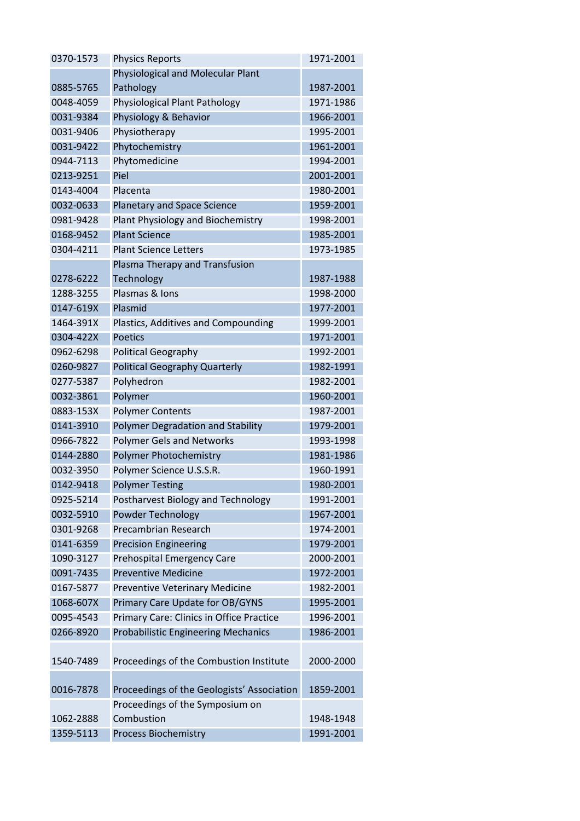| 0370-1573 | <b>Physics Reports</b>                     | 1971-2001 |
|-----------|--------------------------------------------|-----------|
|           | Physiological and Molecular Plant          |           |
| 0885-5765 | Pathology                                  | 1987-2001 |
| 0048-4059 | Physiological Plant Pathology              | 1971-1986 |
| 0031-9384 | Physiology & Behavior                      | 1966-2001 |
| 0031-9406 | Physiotherapy                              | 1995-2001 |
| 0031-9422 | Phytochemistry                             | 1961-2001 |
| 0944-7113 | Phytomedicine                              | 1994-2001 |
| 0213-9251 | Piel                                       | 2001-2001 |
| 0143-4004 | Placenta                                   | 1980-2001 |
| 0032-0633 | <b>Planetary and Space Science</b>         | 1959-2001 |
| 0981-9428 | Plant Physiology and Biochemistry          | 1998-2001 |
| 0168-9452 | <b>Plant Science</b>                       | 1985-2001 |
| 0304-4211 | <b>Plant Science Letters</b>               | 1973-1985 |
|           | Plasma Therapy and Transfusion             |           |
| 0278-6222 | Technology                                 | 1987-1988 |
| 1288-3255 | Plasmas & Ions                             | 1998-2000 |
| 0147-619X | Plasmid                                    | 1977-2001 |
| 1464-391X | Plastics, Additives and Compounding        | 1999-2001 |
| 0304-422X | <b>Poetics</b>                             | 1971-2001 |
| 0962-6298 | <b>Political Geography</b>                 | 1992-2001 |
| 0260-9827 | <b>Political Geography Quarterly</b>       | 1982-1991 |
| 0277-5387 | Polyhedron                                 | 1982-2001 |
| 0032-3861 | Polymer                                    | 1960-2001 |
| 0883-153X | <b>Polymer Contents</b>                    | 1987-2001 |
| 0141-3910 | Polymer Degradation and Stability          | 1979-2001 |
| 0966-7822 | <b>Polymer Gels and Networks</b>           | 1993-1998 |
| 0144-2880 | Polymer Photochemistry                     | 1981-1986 |
| 0032-3950 | Polymer Science U.S.S.R.                   | 1960-1991 |
| 0142-9418 | <b>Polymer Testing</b>                     | 1980-2001 |
| 0925-5214 | Postharvest Biology and Technology         | 1991-2001 |
| 0032-5910 | Powder Technology                          | 1967-2001 |
| 0301-9268 | Precambrian Research                       | 1974-2001 |
| 0141-6359 | <b>Precision Engineering</b>               | 1979-2001 |
| 1090-3127 | <b>Prehospital Emergency Care</b>          | 2000-2001 |
| 0091-7435 | <b>Preventive Medicine</b>                 | 1972-2001 |
| 0167-5877 | Preventive Veterinary Medicine             | 1982-2001 |
| 1068-607X | Primary Care Update for OB/GYNS            | 1995-2001 |
| 0095-4543 | Primary Care: Clinics in Office Practice   | 1996-2001 |
| 0266-8920 | <b>Probabilistic Engineering Mechanics</b> | 1986-2001 |
| 1540-7489 | Proceedings of the Combustion Institute    | 2000-2000 |
|           |                                            |           |
| 0016-7878 | Proceedings of the Geologists' Association | 1859-2001 |
|           | Proceedings of the Symposium on            |           |
| 1062-2888 | Combustion                                 | 1948-1948 |
| 1359-5113 | <b>Process Biochemistry</b>                | 1991-2001 |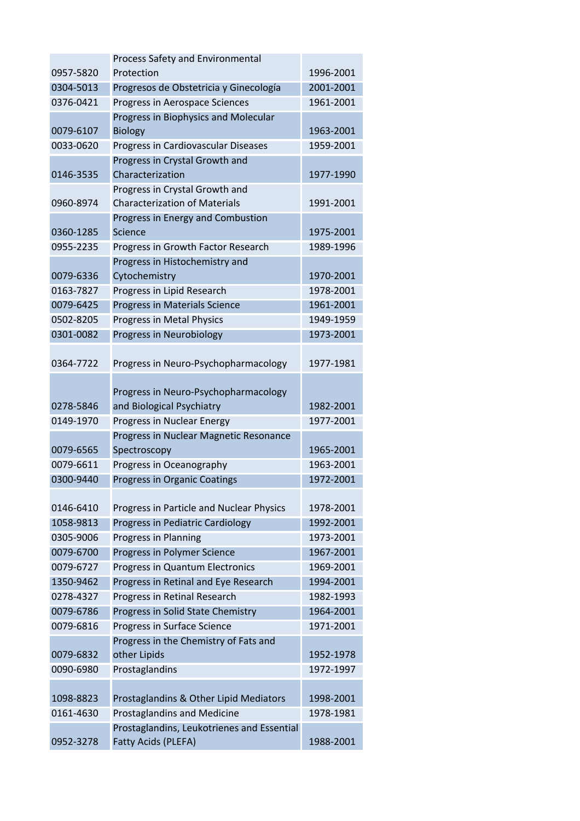|           | <b>Process Safety and Environmental</b>    |           |
|-----------|--------------------------------------------|-----------|
| 0957-5820 | Protection                                 | 1996-2001 |
| 0304-5013 | Progresos de Obstetricia y Ginecología     | 2001-2001 |
| 0376-0421 | Progress in Aerospace Sciences             | 1961-2001 |
|           | Progress in Biophysics and Molecular       |           |
| 0079-6107 | <b>Biology</b>                             | 1963-2001 |
| 0033-0620 | Progress in Cardiovascular Diseases        | 1959-2001 |
|           | Progress in Crystal Growth and             |           |
| 0146-3535 | Characterization                           | 1977-1990 |
|           | Progress in Crystal Growth and             |           |
| 0960-8974 | <b>Characterization of Materials</b>       | 1991-2001 |
|           | Progress in Energy and Combustion          |           |
| 0360-1285 | Science                                    | 1975-2001 |
| 0955-2235 | Progress in Growth Factor Research         | 1989-1996 |
|           | Progress in Histochemistry and             |           |
| 0079-6336 | Cytochemistry                              | 1970-2001 |
| 0163-7827 | Progress in Lipid Research                 | 1978-2001 |
| 0079-6425 | Progress in Materials Science              | 1961-2001 |
| 0502-8205 | Progress in Metal Physics                  | 1949-1959 |
| 0301-0082 | Progress in Neurobiology                   | 1973-2001 |
|           |                                            |           |
| 0364-7722 | Progress in Neuro-Psychopharmacology       | 1977-1981 |
|           |                                            |           |
|           | Progress in Neuro-Psychopharmacology       |           |
| 0278-5846 | and Biological Psychiatry                  | 1982-2001 |
| 0149-1970 | Progress in Nuclear Energy                 | 1977-2001 |
|           | Progress in Nuclear Magnetic Resonance     |           |
| 0079-6565 | Spectroscopy                               | 1965-2001 |
| 0079-6611 | Progress in Oceanography                   | 1963-2001 |
| 0300-9440 | <b>Progress in Organic Coatings</b>        | 1972-2001 |
|           |                                            |           |
| 0146-6410 | Progress in Particle and Nuclear Physics   | 1978-2001 |
| 1058-9813 | Progress in Pediatric Cardiology           | 1992-2001 |
| 0305-9006 | Progress in Planning                       | 1973-2001 |
| 0079-6700 | Progress in Polymer Science                | 1967-2001 |
| 0079-6727 | Progress in Quantum Electronics            | 1969-2001 |
| 1350-9462 | Progress in Retinal and Eye Research       | 1994-2001 |
| 0278-4327 | Progress in Retinal Research               | 1982-1993 |
| 0079-6786 | Progress in Solid State Chemistry          | 1964-2001 |
| 0079-6816 | Progress in Surface Science                | 1971-2001 |
|           | Progress in the Chemistry of Fats and      |           |
| 0079-6832 | other Lipids                               | 1952-1978 |
| 0090-6980 | Prostaglandins                             | 1972-1997 |
|           |                                            |           |
| 1098-8823 | Prostaglandins & Other Lipid Mediators     | 1998-2001 |
| 0161-4630 | <b>Prostaglandins and Medicine</b>         | 1978-1981 |
|           | Prostaglandins, Leukotrienes and Essential |           |
| 0952-3278 | Fatty Acids (PLEFA)                        | 1988-2001 |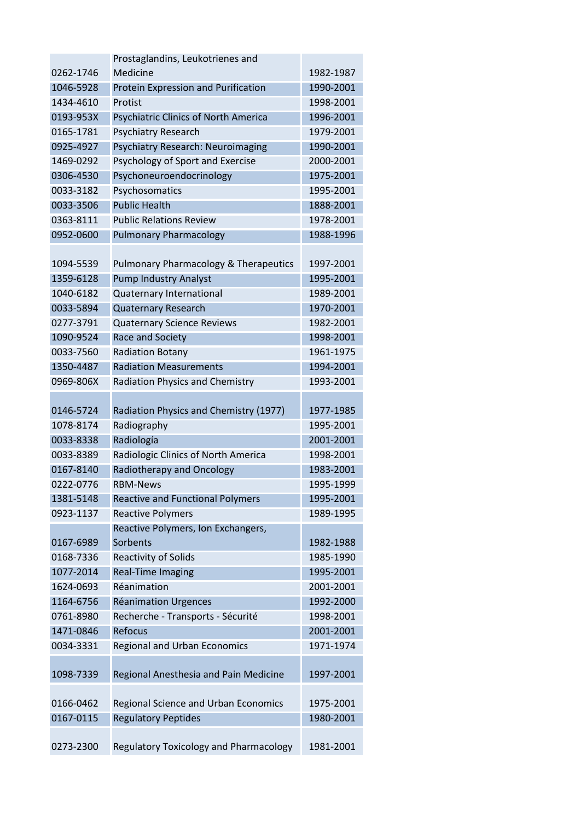|           | Prostaglandins, Leukotrienes and                 |           |
|-----------|--------------------------------------------------|-----------|
| 0262-1746 | Medicine                                         | 1982-1987 |
| 1046-5928 | Protein Expression and Purification              | 1990-2001 |
| 1434-4610 | Protist                                          | 1998-2001 |
| 0193-953X | <b>Psychiatric Clinics of North America</b>      | 1996-2001 |
| 0165-1781 | Psychiatry Research                              | 1979-2001 |
| 0925-4927 | Psychiatry Research: Neuroimaging                | 1990-2001 |
| 1469-0292 | Psychology of Sport and Exercise                 | 2000-2001 |
| 0306-4530 | Psychoneuroendocrinology                         | 1975-2001 |
| 0033-3182 | Psychosomatics                                   | 1995-2001 |
| 0033-3506 | <b>Public Health</b>                             | 1888-2001 |
| 0363-8111 | <b>Public Relations Review</b>                   | 1978-2001 |
| 0952-0600 | <b>Pulmonary Pharmacology</b>                    | 1988-1996 |
|           |                                                  |           |
| 1094-5539 | <b>Pulmonary Pharmacology &amp; Therapeutics</b> | 1997-2001 |
| 1359-6128 | <b>Pump Industry Analyst</b>                     | 1995-2001 |
| 1040-6182 | Quaternary International                         | 1989-2001 |
| 0033-5894 | <b>Quaternary Research</b>                       | 1970-2001 |
| 0277-3791 | <b>Quaternary Science Reviews</b>                | 1982-2001 |
| 1090-9524 | Race and Society                                 | 1998-2001 |
| 0033-7560 | <b>Radiation Botany</b>                          | 1961-1975 |
| 1350-4487 | <b>Radiation Measurements</b>                    | 1994-2001 |
| 0969-806X | <b>Radiation Physics and Chemistry</b>           | 1993-2001 |
|           |                                                  |           |
| 0146-5724 | Radiation Physics and Chemistry (1977)           | 1977-1985 |
| 1078-8174 | Radiography                                      | 1995-2001 |
| 0033-8338 | Radiología                                       | 2001-2001 |
| 0033-8389 | Radiologic Clinics of North America              | 1998-2001 |
| 0167-8140 | <b>Radiotherapy and Oncology</b>                 | 1983-2001 |
| 0222-0776 | <b>RBM-News</b>                                  | 1995-1999 |
| 1381-5148 | <b>Reactive and Functional Polymers</b>          | 1995-2001 |
| 0923-1137 | <b>Reactive Polymers</b>                         | 1989-1995 |
|           | Reactive Polymers, Ion Exchangers,               |           |
| 0167-6989 | Sorbents                                         | 1982-1988 |
| 0168-7336 | <b>Reactivity of Solids</b>                      | 1985-1990 |
| 1077-2014 | <b>Real-Time Imaging</b>                         | 1995-2001 |
| 1624-0693 | Réanimation                                      | 2001-2001 |
| 1164-6756 | <b>Réanimation Urgences</b>                      | 1992-2000 |
| 0761-8980 | Recherche - Transports - Sécurité                | 1998-2001 |
| 1471-0846 | Refocus                                          | 2001-2001 |
| 0034-3331 | <b>Regional and Urban Economics</b>              | 1971-1974 |
|           |                                                  |           |
| 1098-7339 | Regional Anesthesia and Pain Medicine            | 1997-2001 |
|           |                                                  |           |
| 0166-0462 | Regional Science and Urban Economics             | 1975-2001 |
| 0167-0115 | <b>Regulatory Peptides</b>                       | 1980-2001 |
|           |                                                  |           |
| 0273-2300 | <b>Regulatory Toxicology and Pharmacology</b>    | 1981-2001 |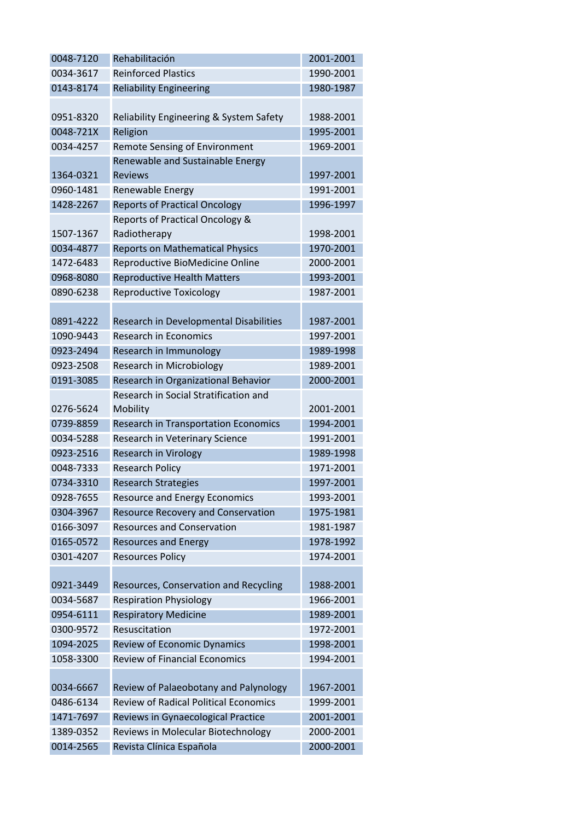| 0048-7120 | Rehabilitación                               | 2001-2001 |
|-----------|----------------------------------------------|-----------|
| 0034-3617 | <b>Reinforced Plastics</b>                   | 1990-2001 |
| 0143-8174 | <b>Reliability Engineering</b>               | 1980-1987 |
|           |                                              |           |
| 0951-8320 | Reliability Engineering & System Safety      | 1988-2001 |
| 0048-721X | Religion                                     | 1995-2001 |
| 0034-4257 | Remote Sensing of Environment                | 1969-2001 |
|           | Renewable and Sustainable Energy             |           |
| 1364-0321 | <b>Reviews</b>                               | 1997-2001 |
| 0960-1481 | Renewable Energy                             | 1991-2001 |
| 1428-2267 | <b>Reports of Practical Oncology</b>         | 1996-1997 |
|           | Reports of Practical Oncology &              |           |
| 1507-1367 | Radiotherapy                                 | 1998-2001 |
| 0034-4877 | <b>Reports on Mathematical Physics</b>       | 1970-2001 |
| 1472-6483 | Reproductive BioMedicine Online              | 2000-2001 |
| 0968-8080 | <b>Reproductive Health Matters</b>           | 1993-2001 |
| 0890-6238 | <b>Reproductive Toxicology</b>               | 1987-2001 |
|           |                                              |           |
| 0891-4222 | Research in Developmental Disabilities       | 1987-2001 |
| 1090-9443 | <b>Research in Economics</b>                 | 1997-2001 |
| 0923-2494 | Research in Immunology                       | 1989-1998 |
| 0923-2508 | Research in Microbiology                     | 1989-2001 |
| 0191-3085 | Research in Organizational Behavior          | 2000-2001 |
|           | Research in Social Stratification and        |           |
| 0276-5624 | Mobility                                     | 2001-2001 |
| 0739-8859 | <b>Research in Transportation Economics</b>  | 1994-2001 |
| 0034-5288 | Research in Veterinary Science               | 1991-2001 |
| 0923-2516 | <b>Research in Virology</b>                  | 1989-1998 |
| 0048-7333 | <b>Research Policy</b>                       | 1971-2001 |
| 0734-3310 | <b>Research Strategies</b>                   | 1997-2001 |
| 0928-7655 | <b>Resource and Energy Economics</b>         | 1993-2001 |
| 0304-3967 | <b>Resource Recovery and Conservation</b>    | 1975-1981 |
| 0166-3097 | <b>Resources and Conservation</b>            | 1981-1987 |
| 0165-0572 | <b>Resources and Energy</b>                  | 1978-1992 |
| 0301-4207 | <b>Resources Policy</b>                      | 1974-2001 |
|           |                                              |           |
| 0921-3449 | Resources, Conservation and Recycling        | 1988-2001 |
| 0034-5687 | <b>Respiration Physiology</b>                | 1966-2001 |
| 0954-6111 | <b>Respiratory Medicine</b>                  | 1989-2001 |
| 0300-9572 | Resuscitation                                | 1972-2001 |
| 1094-2025 | Review of Economic Dynamics                  | 1998-2001 |
| 1058-3300 | <b>Review of Financial Economics</b>         | 1994-2001 |
|           |                                              |           |
| 0034-6667 | Review of Palaeobotany and Palynology        | 1967-2001 |
| 0486-6134 | <b>Review of Radical Political Economics</b> | 1999-2001 |
| 1471-7697 | Reviews in Gynaecological Practice           | 2001-2001 |
| 1389-0352 | Reviews in Molecular Biotechnology           | 2000-2001 |
| 0014-2565 | Revista Clínica Española                     | 2000-2001 |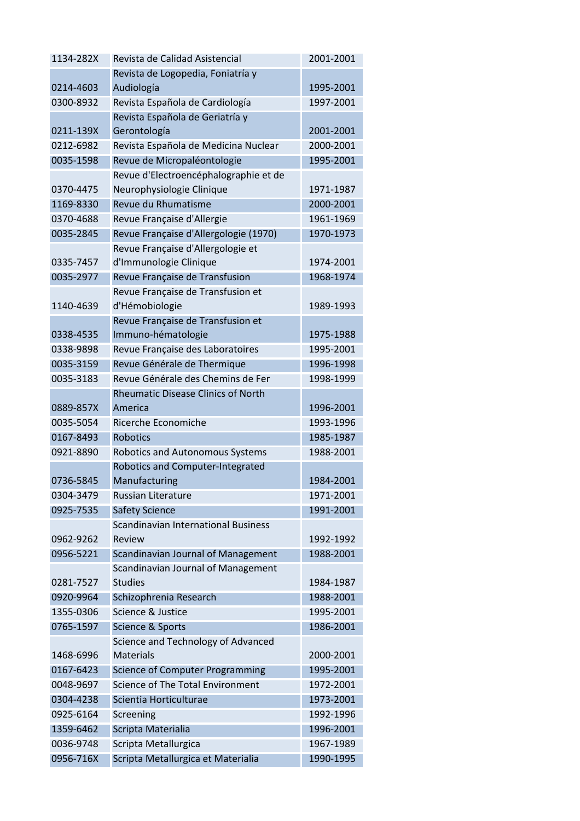| 1134-282X              | Revista de Calidad Asistencial                         | 2001-2001              |
|------------------------|--------------------------------------------------------|------------------------|
|                        | Revista de Logopedia, Foniatría y                      |                        |
| 0214-4603              | Audiología                                             | 1995-2001              |
| 0300-8932              | Revista Española de Cardiología                        | 1997-2001              |
|                        | Revista Española de Geriatría y                        |                        |
| 0211-139X              | Gerontología                                           | 2001-2001              |
| 0212-6982              | Revista Española de Medicina Nuclear                   | 2000-2001              |
| 0035-1598              | Revue de Micropaléontologie                            | 1995-2001              |
|                        | Revue d'Electroencéphalographie et de                  |                        |
| 0370-4475              | Neurophysiologie Clinique                              | 1971-1987              |
| 1169-8330              | Revue du Rhumatisme                                    | 2000-2001              |
| 0370-4688              | Revue Française d'Allergie                             | 1961-1969              |
| 0035-2845              | Revue Française d'Allergologie (1970)                  | 1970-1973              |
|                        | Revue Française d'Allergologie et                      |                        |
| 0335-7457              | d'Immunologie Clinique                                 | 1974-2001              |
| 0035-2977              | Revue Française de Transfusion                         | 1968-1974              |
|                        | Revue Française de Transfusion et                      |                        |
| 1140-4639              | d'Hémobiologie                                         | 1989-1993              |
|                        | Revue Française de Transfusion et                      |                        |
| 0338-4535              | Immuno-hématologie                                     | 1975-1988              |
| 0338-9898              | Revue Française des Laboratoires                       | 1995-2001              |
| 0035-3159              | Revue Générale de Thermique                            | 1996-1998              |
| 0035-3183              | Revue Générale des Chemins de Fer                      | 1998-1999              |
|                        | <b>Rheumatic Disease Clinics of North</b>              |                        |
| 0889-857X              | America                                                | 1996-2001              |
| 0035-5054              | Ricerche Economiche                                    | 1993-1996              |
| 0167-8493              | <b>Robotics</b>                                        | 1985-1987              |
| 0921-8890              | <b>Robotics and Autonomous Systems</b>                 | 1988-2001              |
|                        | Robotics and Computer-Integrated                       |                        |
| 0736-5845              | Manufacturing                                          | 1984-2001<br>1971-2001 |
| 0304-3479              | Russian Literature                                     |                        |
| 0925-7535              | <b>Safety Science</b>                                  | 1991-2001              |
|                        | Scandinavian International Business                    |                        |
| 0962-9262              | Review                                                 | 1992-1992              |
| 0956-5221              | Scandinavian Journal of Management                     | 1988-2001              |
|                        | Scandinavian Journal of Management                     | 1984-1987              |
| 0281-7527<br>0920-9964 | <b>Studies</b>                                         |                        |
| 1355-0306              | Schizophrenia Research<br>Science & Justice            | 1988-2001<br>1995-2001 |
|                        |                                                        |                        |
| 0765-1597              | Science & Sports                                       | 1986-2001              |
|                        | Science and Technology of Advanced<br><b>Materials</b> |                        |
| 1468-6996<br>0167-6423 | <b>Science of Computer Programming</b>                 | 2000-2001<br>1995-2001 |
|                        | Science of The Total Environment                       | 1972-2001              |
| 0048-9697              |                                                        |                        |
| 0304-4238              | Scientia Horticulturae                                 | 1973-2001              |
| 0925-6164              | Screening                                              | 1992-1996              |
| 1359-6462              | Scripta Materialia                                     | 1996-2001              |
| 0036-9748              | Scripta Metallurgica                                   | 1967-1989              |
| 0956-716X              | Scripta Metallurgica et Materialia                     | 1990-1995              |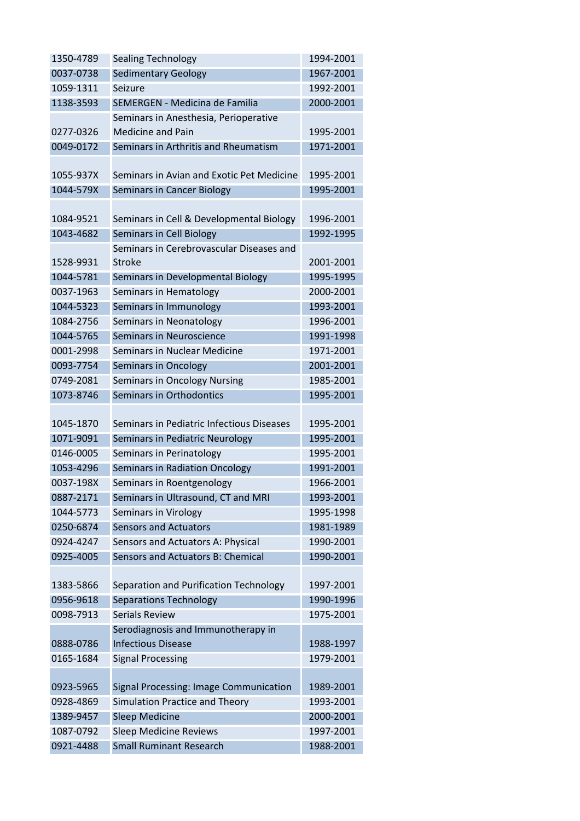| 1350-4789 | <b>Sealing Technology</b>                 | 1994-2001 |
|-----------|-------------------------------------------|-----------|
| 0037-0738 | <b>Sedimentary Geology</b>                | 1967-2001 |
| 1059-1311 | Seizure                                   | 1992-2001 |
| 1138-3593 | SEMERGEN - Medicina de Familia            | 2000-2001 |
|           | Seminars in Anesthesia, Perioperative     |           |
| 0277-0326 | <b>Medicine and Pain</b>                  | 1995-2001 |
| 0049-0172 | Seminars in Arthritis and Rheumatism      | 1971-2001 |
|           |                                           |           |
| 1055-937X | Seminars in Avian and Exotic Pet Medicine | 1995-2001 |
| 1044-579X | Seminars in Cancer Biology                | 1995-2001 |
|           |                                           |           |
| 1084-9521 | Seminars in Cell & Developmental Biology  | 1996-2001 |
| 1043-4682 | <b>Seminars in Cell Biology</b>           | 1992-1995 |
|           | Seminars in Cerebrovascular Diseases and  |           |
| 1528-9931 | <b>Stroke</b>                             | 2001-2001 |
| 1044-5781 | Seminars in Developmental Biology         | 1995-1995 |
| 0037-1963 | Seminars in Hematology                    | 2000-2001 |
| 1044-5323 | Seminars in Immunology                    | 1993-2001 |
| 1084-2756 | Seminars in Neonatology                   | 1996-2001 |
| 1044-5765 | Seminars in Neuroscience                  | 1991-1998 |
| 0001-2998 | Seminars in Nuclear Medicine              | 1971-2001 |
| 0093-7754 | Seminars in Oncology                      | 2001-2001 |
| 0749-2081 | Seminars in Oncology Nursing              | 1985-2001 |
| 1073-8746 | Seminars in Orthodontics                  | 1995-2001 |
|           |                                           |           |
| 1045-1870 | Seminars in Pediatric Infectious Diseases | 1995-2001 |
| 1071-9091 | Seminars in Pediatric Neurology           | 1995-2001 |
| 0146-0005 | Seminars in Perinatology                  | 1995-2001 |
| 1053-4296 | Seminars in Radiation Oncology            | 1991-2001 |
| 0037-198X | Seminars in Roentgenology                 | 1966-2001 |
| 0887-2171 | Seminars in Ultrasound, CT and MRI        | 1993-2001 |
| 1044-5773 | <b>Seminars in Virology</b>               | 1995-1998 |
| 0250-6874 | <b>Sensors and Actuators</b>              | 1981-1989 |
| 0924-4247 | Sensors and Actuators A: Physical         | 1990-2001 |
| 0925-4005 | Sensors and Actuators B: Chemical         | 1990-2001 |
|           |                                           |           |
| 1383-5866 | Separation and Purification Technology    | 1997-2001 |
| 0956-9618 | <b>Separations Technology</b>             | 1990-1996 |
| 0098-7913 | <b>Serials Review</b>                     | 1975-2001 |
|           | Serodiagnosis and Immunotherapy in        |           |
| 0888-0786 | <b>Infectious Disease</b>                 | 1988-1997 |
| 0165-1684 | <b>Signal Processing</b>                  | 1979-2001 |
|           |                                           |           |
| 0923-5965 | Signal Processing: Image Communication    | 1989-2001 |
| 0928-4869 | Simulation Practice and Theory            | 1993-2001 |
| 1389-9457 | <b>Sleep Medicine</b>                     | 2000-2001 |
| 1087-0792 | <b>Sleep Medicine Reviews</b>             | 1997-2001 |
| 0921-4488 | <b>Small Ruminant Research</b>            | 1988-2001 |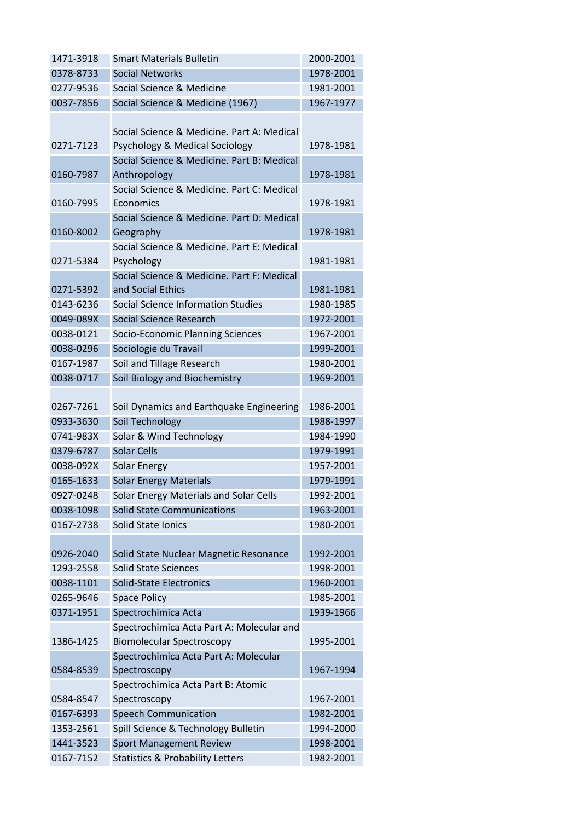| 1471-3918 | <b>Smart Materials Bulletin</b>                          | 2000-2001 |
|-----------|----------------------------------------------------------|-----------|
| 0378-8733 | <b>Social Networks</b>                                   | 1978-2001 |
| 0277-9536 | Social Science & Medicine                                | 1981-2001 |
| 0037-7856 | Social Science & Medicine (1967)                         | 1967-1977 |
|           |                                                          |           |
|           | Social Science & Medicine. Part A: Medical               |           |
| 0271-7123 | Psychology & Medical Sociology                           | 1978-1981 |
|           | Social Science & Medicine. Part B: Medical               |           |
| 0160-7987 | Anthropology                                             | 1978-1981 |
|           | Social Science & Medicine, Part C: Medical               |           |
| 0160-7995 | Economics                                                | 1978-1981 |
|           | Social Science & Medicine. Part D: Medical               |           |
| 0160-8002 | Geography                                                | 1978-1981 |
| 0271-5384 | Social Science & Medicine. Part E: Medical<br>Psychology | 1981-1981 |
|           | Social Science & Medicine. Part F: Medical               |           |
| 0271-5392 | and Social Ethics                                        | 1981-1981 |
| 0143-6236 | Social Science Information Studies                       | 1980-1985 |
| 0049-089X | Social Science Research                                  | 1972-2001 |
| 0038-0121 | Socio-Economic Planning Sciences                         | 1967-2001 |
| 0038-0296 | Sociologie du Travail                                    | 1999-2001 |
| 0167-1987 | Soil and Tillage Research                                | 1980-2001 |
| 0038-0717 | Soil Biology and Biochemistry                            | 1969-2001 |
|           |                                                          |           |
| 0267-7261 | Soil Dynamics and Earthquake Engineering                 | 1986-2001 |
| 0933-3630 | Soil Technology                                          | 1988-1997 |
| 0741-983X | Solar & Wind Technology                                  | 1984-1990 |
| 0379-6787 | <b>Solar Cells</b>                                       | 1979-1991 |
| 0038-092X | <b>Solar Energy</b>                                      | 1957-2001 |
| 0165-1633 | <b>Solar Energy Materials</b>                            | 1979-1991 |
| 0927-0248 | Solar Energy Materials and Solar Cells                   | 1992-2001 |
| 0038-1098 | <b>Solid State Communications</b>                        | 1963-2001 |
| 0167-2738 | Solid State Ionics                                       | 1980-2001 |
|           |                                                          |           |
| 0926-2040 | Solid State Nuclear Magnetic Resonance                   | 1992-2001 |
| 1293-2558 | <b>Solid State Sciences</b>                              | 1998-2001 |
| 0038-1101 | <b>Solid-State Electronics</b>                           | 1960-2001 |
| 0265-9646 | <b>Space Policy</b>                                      | 1985-2001 |
| 0371-1951 | Spectrochimica Acta                                      | 1939-1966 |
|           | Spectrochimica Acta Part A: Molecular and                |           |
| 1386-1425 | <b>Biomolecular Spectroscopy</b>                         | 1995-2001 |
|           | Spectrochimica Acta Part A: Molecular                    |           |
| 0584-8539 | Spectroscopy                                             | 1967-1994 |
|           | Spectrochimica Acta Part B: Atomic                       |           |
| 0584-8547 | Spectroscopy                                             | 1967-2001 |
| 0167-6393 | <b>Speech Communication</b>                              | 1982-2001 |
| 1353-2561 | Spill Science & Technology Bulletin                      | 1994-2000 |
| 1441-3523 | <b>Sport Management Review</b>                           | 1998-2001 |
| 0167-7152 | <b>Statistics &amp; Probability Letters</b>              | 1982-2001 |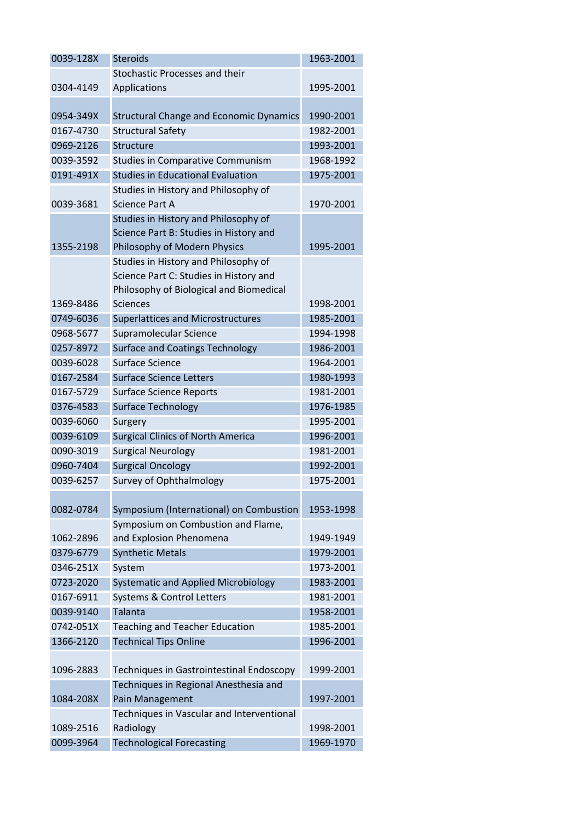| 0039-128X | <b>Steroids</b>                                | 1963-2001 |
|-----------|------------------------------------------------|-----------|
|           | Stochastic Processes and their                 |           |
| 0304-4149 | Applications                                   | 1995-2001 |
|           |                                                |           |
| 0954-349X | <b>Structural Change and Economic Dynamics</b> | 1990-2001 |
| 0167-4730 | <b>Structural Safety</b>                       | 1982-2001 |
| 0969-2126 | Structure                                      | 1993-2001 |
| 0039-3592 | <b>Studies in Comparative Communism</b>        | 1968-1992 |
| 0191-491X | <b>Studies in Educational Evaluation</b>       | 1975-2001 |
|           | Studies in History and Philosophy of           |           |
| 0039-3681 | <b>Science Part A</b>                          | 1970-2001 |
|           | Studies in History and Philosophy of           |           |
|           | Science Part B: Studies in History and         |           |
| 1355-2198 | Philosophy of Modern Physics                   | 1995-2001 |
|           | Studies in History and Philosophy of           |           |
|           | Science Part C: Studies in History and         |           |
|           | Philosophy of Biological and Biomedical        |           |
| 1369-8486 | <b>Sciences</b>                                | 1998-2001 |
| 0749-6036 | <b>Superlattices and Microstructures</b>       | 1985-2001 |
| 0968-5677 | Supramolecular Science                         | 1994-1998 |
| 0257-8972 | <b>Surface and Coatings Technology</b>         | 1986-2001 |
| 0039-6028 | Surface Science                                | 1964-2001 |
| 0167-2584 | <b>Surface Science Letters</b>                 | 1980-1993 |
| 0167-5729 | <b>Surface Science Reports</b>                 | 1981-2001 |
| 0376-4583 | <b>Surface Technology</b>                      | 1976-1985 |
| 0039-6060 | Surgery                                        | 1995-2001 |
| 0039-6109 | <b>Surgical Clinics of North America</b>       | 1996-2001 |
| 0090-3019 | <b>Surgical Neurology</b>                      | 1981-2001 |
| 0960-7404 | <b>Surgical Oncology</b>                       | 1992-2001 |
| 0039-6257 | <b>Survey of Ophthalmology</b>                 | 1975-2001 |
|           |                                                |           |
| 0082-0784 | Symposium (International) on Combustion        | 1953-1998 |
|           | Symposium on Combustion and Flame,             |           |
| 1062-2896 | and Explosion Phenomena                        | 1949-1949 |
| 0379-6779 | <b>Synthetic Metals</b>                        | 1979-2001 |
| 0346-251X | System                                         | 1973-2001 |
| 0723-2020 | Systematic and Applied Microbiology            | 1983-2001 |
| 0167-6911 | <b>Systems &amp; Control Letters</b>           | 1981-2001 |
| 0039-9140 | Talanta                                        | 1958-2001 |
| 0742-051X | <b>Teaching and Teacher Education</b>          | 1985-2001 |
| 1366-2120 | <b>Technical Tips Online</b>                   | 1996-2001 |
|           |                                                |           |
| 1096-2883 | Techniques in Gastrointestinal Endoscopy       | 1999-2001 |
|           | Techniques in Regional Anesthesia and          |           |
| 1084-208X | Pain Management                                | 1997-2001 |
|           | Techniques in Vascular and Interventional      |           |
| 1089-2516 | Radiology                                      | 1998-2001 |
| 0099-3964 | <b>Technological Forecasting</b>               | 1969-1970 |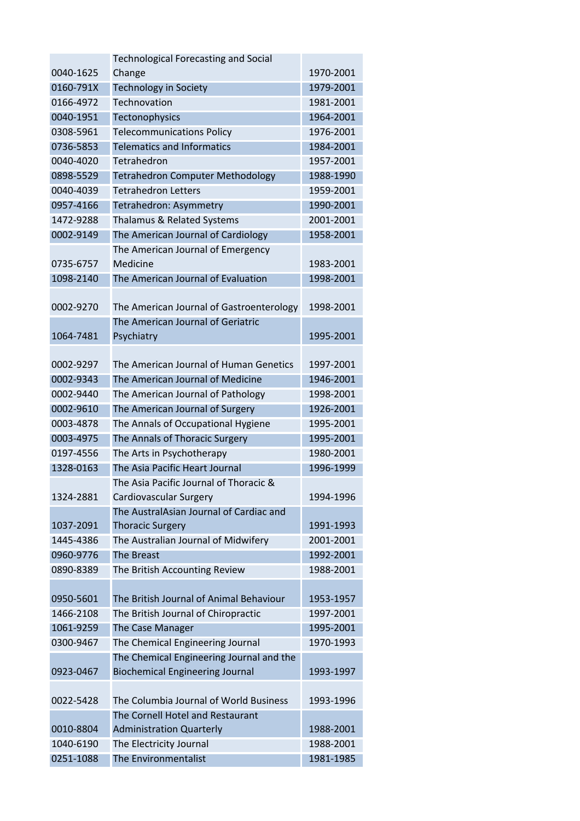|           | <b>Technological Forecasting and Social</b>                       |           |
|-----------|-------------------------------------------------------------------|-----------|
| 0040-1625 | Change                                                            | 1970-2001 |
| 0160-791X | <b>Technology in Society</b>                                      | 1979-2001 |
| 0166-4972 | Technovation                                                      | 1981-2001 |
| 0040-1951 | Tectonophysics                                                    | 1964-2001 |
| 0308-5961 | <b>Telecommunications Policy</b>                                  | 1976-2001 |
| 0736-5853 | <b>Telematics and Informatics</b>                                 | 1984-2001 |
| 0040-4020 | Tetrahedron                                                       | 1957-2001 |
| 0898-5529 | <b>Tetrahedron Computer Methodology</b>                           | 1988-1990 |
| 0040-4039 | <b>Tetrahedron Letters</b>                                        | 1959-2001 |
| 0957-4166 | Tetrahedron: Asymmetry                                            | 1990-2001 |
| 1472-9288 | Thalamus & Related Systems                                        | 2001-2001 |
| 0002-9149 | The American Journal of Cardiology                                | 1958-2001 |
|           | The American Journal of Emergency                                 |           |
| 0735-6757 | Medicine                                                          | 1983-2001 |
| 1098-2140 | The American Journal of Evaluation                                | 1998-2001 |
|           |                                                                   |           |
| 0002-9270 | The American Journal of Gastroenterology                          | 1998-2001 |
|           | The American Journal of Geriatric                                 |           |
| 1064-7481 | Psychiatry                                                        | 1995-2001 |
|           |                                                                   |           |
| 0002-9297 | The American Journal of Human Genetics                            | 1997-2001 |
| 0002-9343 | The American Journal of Medicine                                  | 1946-2001 |
| 0002-9440 | The American Journal of Pathology                                 | 1998-2001 |
| 0002-9610 | The American Journal of Surgery                                   | 1926-2001 |
| 0003-4878 | The Annals of Occupational Hygiene                                | 1995-2001 |
| 0003-4975 | The Annals of Thoracic Surgery                                    | 1995-2001 |
| 0197-4556 | The Arts in Psychotherapy                                         | 1980-2001 |
| 1328-0163 | The Asia Pacific Heart Journal                                    | 1996-1999 |
|           | The Asia Pacific Journal of Thoracic &                            |           |
| 1324-2881 |                                                                   | 1994-1996 |
|           | Cardiovascular Surgery<br>The AustralAsian Journal of Cardiac and |           |
| 1037-2091 | <b>Thoracic Surgery</b>                                           | 1991-1993 |
| 1445-4386 |                                                                   | 2001-2001 |
|           | The Australian Journal of Midwifery<br><b>The Breast</b>          | 1992-2001 |
| 0960-9776 |                                                                   | 1988-2001 |
| 0890-8389 | The British Accounting Review                                     |           |
| 0950-5601 | The British Journal of Animal Behaviour                           | 1953-1957 |
| 1466-2108 |                                                                   | 1997-2001 |
|           | The British Journal of Chiropractic                               |           |
| 1061-9259 | The Case Manager                                                  | 1995-2001 |
| 0300-9467 | The Chemical Engineering Journal                                  | 1970-1993 |
|           | The Chemical Engineering Journal and the                          |           |
| 0923-0467 | <b>Biochemical Engineering Journal</b>                            | 1993-1997 |
|           |                                                                   |           |
| 0022-5428 | The Columbia Journal of World Business                            | 1993-1996 |
| 0010-8804 | The Cornell Hotel and Restaurant                                  | 1988-2001 |
|           | <b>Administration Quarterly</b>                                   |           |
| 1040-6190 | The Electricity Journal                                           | 1988-2001 |
| 0251-1088 | The Environmentalist                                              | 1981-1985 |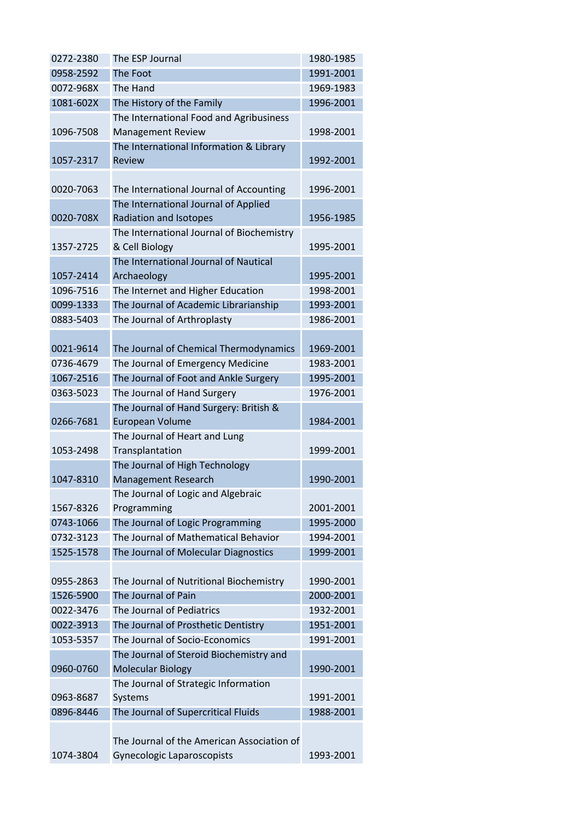| 0272-2380 | The ESP Journal                                                     | 1980-1985 |
|-----------|---------------------------------------------------------------------|-----------|
| 0958-2592 | The Foot                                                            | 1991-2001 |
| 0072-968X | The Hand                                                            | 1969-1983 |
| 1081-602X | The History of the Family                                           | 1996-2001 |
|           | The International Food and Agribusiness                             |           |
| 1096-7508 | <b>Management Review</b>                                            | 1998-2001 |
|           | The International Information & Library                             |           |
| 1057-2317 | Review                                                              | 1992-2001 |
|           |                                                                     |           |
| 0020-7063 | The International Journal of Accounting                             | 1996-2001 |
|           | The International Journal of Applied                                |           |
| 0020-708X | Radiation and Isotopes                                              | 1956-1985 |
|           | The International Journal of Biochemistry                           |           |
| 1357-2725 | & Cell Biology<br>The International Journal of Nautical             | 1995-2001 |
| 1057-2414 | Archaeology                                                         | 1995-2001 |
| 1096-7516 | The Internet and Higher Education                                   | 1998-2001 |
| 0099-1333 | The Journal of Academic Librarianship                               | 1993-2001 |
| 0883-5403 | The Journal of Arthroplasty                                         | 1986-2001 |
|           |                                                                     |           |
| 0021-9614 | The Journal of Chemical Thermodynamics                              | 1969-2001 |
| 0736-4679 | The Journal of Emergency Medicine                                   | 1983-2001 |
| 1067-2516 | The Journal of Foot and Ankle Surgery                               | 1995-2001 |
| 0363-5023 | The Journal of Hand Surgery                                         | 1976-2001 |
|           | The Journal of Hand Surgery: British &                              |           |
| 0266-7681 | European Volume                                                     | 1984-2001 |
|           | The Journal of Heart and Lung                                       |           |
| 1053-2498 | Transplantation                                                     | 1999-2001 |
|           | The Journal of High Technology                                      |           |
| 1047-8310 | Management Research                                                 | 1990-2001 |
|           | The Journal of Logic and Algebraic                                  |           |
| 1567-8326 | Programming                                                         | 2001-2001 |
| 0743-1066 | The Journal of Logic Programming                                    | 1995-2000 |
| 0732-3123 | The Journal of Mathematical Behavior                                | 1994-2001 |
| 1525-1578 | The Journal of Molecular Diagnostics                                | 1999-2001 |
|           |                                                                     |           |
| 0955-2863 | The Journal of Nutritional Biochemistry                             | 1990-2001 |
| 1526-5900 | The Journal of Pain                                                 | 2000-2001 |
| 0022-3476 | The Journal of Pediatrics                                           | 1932-2001 |
| 0022-3913 | The Journal of Prosthetic Dentistry                                 | 1951-2001 |
| 1053-5357 | The Journal of Socio-Economics                                      | 1991-2001 |
| 0960-0760 | The Journal of Steroid Biochemistry and<br><b>Molecular Biology</b> | 1990-2001 |
|           | The Journal of Strategic Information                                |           |
| 0963-8687 | Systems                                                             | 1991-2001 |
| 0896-8446 | The Journal of Supercritical Fluids                                 | 1988-2001 |
|           |                                                                     |           |
|           | The Journal of the American Association of                          |           |
| 1074-3804 | Gynecologic Laparoscopists                                          | 1993-2001 |
|           |                                                                     |           |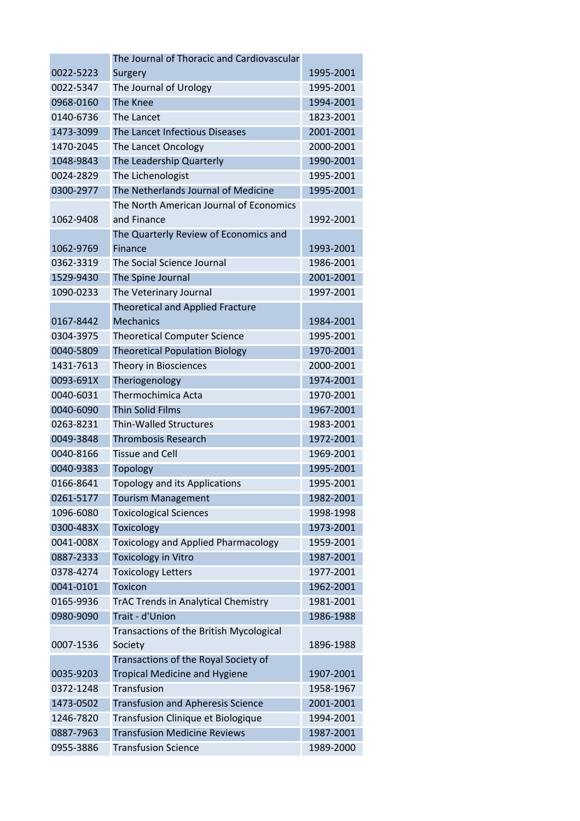|           | The Journal of Thoracic and Cardiovascular |           |
|-----------|--------------------------------------------|-----------|
| 0022-5223 | Surgery                                    | 1995-2001 |
| 0022-5347 | The Journal of Urology                     | 1995-2001 |
| 0968-0160 | The Knee                                   | 1994-2001 |
| 0140-6736 | The Lancet                                 | 1823-2001 |
| 1473-3099 | The Lancet Infectious Diseases             | 2001-2001 |
| 1470-2045 | The Lancet Oncology                        | 2000-2001 |
| 1048-9843 | The Leadership Quarterly                   | 1990-2001 |
| 0024-2829 | The Lichenologist                          | 1995-2001 |
| 0300-2977 | The Netherlands Journal of Medicine        | 1995-2001 |
|           | The North American Journal of Economics    |           |
| 1062-9408 | and Finance                                | 1992-2001 |
|           | The Quarterly Review of Economics and      |           |
| 1062-9769 | Finance                                    | 1993-2001 |
| 0362-3319 | The Social Science Journal                 | 1986-2001 |
| 1529-9430 | The Spine Journal                          | 2001-2001 |
| 1090-0233 | The Veterinary Journal                     | 1997-2001 |
|           | <b>Theoretical and Applied Fracture</b>    |           |
| 0167-8442 | <b>Mechanics</b>                           | 1984-2001 |
| 0304-3975 | <b>Theoretical Computer Science</b>        | 1995-2001 |
| 0040-5809 | <b>Theoretical Population Biology</b>      | 1970-2001 |
| 1431-7613 | Theory in Biosciences                      | 2000-2001 |
| 0093-691X | Theriogenology                             | 1974-2001 |
| 0040-6031 | Thermochimica Acta                         | 1970-2001 |
| 0040-6090 | <b>Thin Solid Films</b>                    | 1967-2001 |
| 0263-8231 | <b>Thin-Walled Structures</b>              | 1983-2001 |
| 0049-3848 | <b>Thrombosis Research</b>                 | 1972-2001 |
| 0040-8166 | <b>Tissue and Cell</b>                     | 1969-2001 |
| 0040-9383 | Topology                                   | 1995-2001 |
| 0166-8641 | <b>Topology and its Applications</b>       | 1995-2001 |
| 0261-5177 | <b>Tourism Management</b>                  | 1982-2001 |
| 1096-6080 | <b>Toxicological Sciences</b>              | 1998-1998 |
| 0300-483X | Toxicology                                 | 1973-2001 |
| 0041-008X | <b>Toxicology and Applied Pharmacology</b> | 1959-2001 |
| 0887-2333 | <b>Toxicology in Vitro</b>                 | 1987-2001 |
| 0378-4274 | <b>Toxicology Letters</b>                  | 1977-2001 |
| 0041-0101 | <b>Toxicon</b>                             | 1962-2001 |
| 0165-9936 | <b>TrAC Trends in Analytical Chemistry</b> | 1981-2001 |
| 0980-9090 | Trait - d'Union                            | 1986-1988 |
|           | Transactions of the British Mycological    |           |
| 0007-1536 | Society                                    | 1896-1988 |
|           | Transactions of the Royal Society of       |           |
| 0035-9203 | <b>Tropical Medicine and Hygiene</b>       | 1907-2001 |
| 0372-1248 | Transfusion                                | 1958-1967 |
| 1473-0502 | <b>Transfusion and Apheresis Science</b>   | 2001-2001 |
| 1246-7820 | Transfusion Clinique et Biologique         | 1994-2001 |
| 0887-7963 | <b>Transfusion Medicine Reviews</b>        | 1987-2001 |
| 0955-3886 | <b>Transfusion Science</b>                 | 1989-2000 |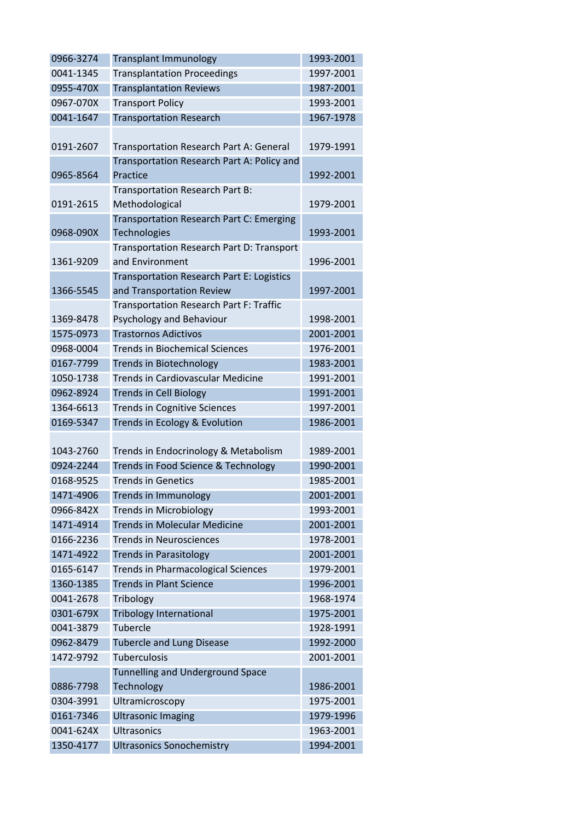| 0966-3274 | <b>Transplant Immunology</b>                     | 1993-2001 |
|-----------|--------------------------------------------------|-----------|
| 0041-1345 | <b>Transplantation Proceedings</b>               | 1997-2001 |
| 0955-470X | <b>Transplantation Reviews</b>                   | 1987-2001 |
| 0967-070X | <b>Transport Policy</b>                          | 1993-2001 |
| 0041-1647 | <b>Transportation Research</b>                   | 1967-1978 |
|           |                                                  |           |
| 0191-2607 | Transportation Research Part A: General          | 1979-1991 |
|           | Transportation Research Part A: Policy and       |           |
| 0965-8564 | Practice                                         | 1992-2001 |
|           | Transportation Research Part B:                  |           |
| 0191-2615 | Methodological                                   | 1979-2001 |
|           | Transportation Research Part C: Emerging         |           |
| 0968-090X | <b>Technologies</b>                              | 1993-2001 |
|           | Transportation Research Part D: Transport        |           |
| 1361-9209 | and Environment                                  | 1996-2001 |
|           | <b>Transportation Research Part E: Logistics</b> |           |
| 1366-5545 | and Transportation Review                        | 1997-2001 |
|           | <b>Transportation Research Part F: Traffic</b>   |           |
| 1369-8478 | Psychology and Behaviour                         | 1998-2001 |
| 1575-0973 | <b>Trastornos Adictivos</b>                      | 2001-2001 |
| 0968-0004 | <b>Trends in Biochemical Sciences</b>            | 1976-2001 |
| 0167-7799 | <b>Trends in Biotechnology</b>                   | 1983-2001 |
| 1050-1738 | <b>Trends in Cardiovascular Medicine</b>         | 1991-2001 |
| 0962-8924 | <b>Trends in Cell Biology</b>                    | 1991-2001 |
| 1364-6613 | <b>Trends in Cognitive Sciences</b>              | 1997-2001 |
| 0169-5347 | Trends in Ecology & Evolution                    | 1986-2001 |
|           |                                                  |           |
| 1043-2760 | Trends in Endocrinology & Metabolism             | 1989-2001 |
| 0924-2244 | Trends in Food Science & Technology              | 1990-2001 |
| 0168-9525 | <b>Trends in Genetics</b>                        | 1985-2001 |
| 1471-4906 | Trends in Immunology                             | 2001-2001 |
| 0966-842X | <b>Trends in Microbiology</b>                    | 1993-2001 |
| 1471-4914 | <b>Trends in Molecular Medicine</b>              | 2001-2001 |
| 0166-2236 | <b>Trends in Neurosciences</b>                   | 1978-2001 |
| 1471-4922 | <b>Trends in Parasitology</b>                    | 2001-2001 |
| 0165-6147 | <b>Trends in Pharmacological Sciences</b>        | 1979-2001 |
| 1360-1385 | <b>Trends in Plant Science</b>                   | 1996-2001 |
| 0041-2678 | Tribology                                        | 1968-1974 |
| 0301-679X | <b>Tribology International</b>                   | 1975-2001 |
| 0041-3879 | Tubercle                                         | 1928-1991 |
| 0962-8479 | <b>Tubercle and Lung Disease</b>                 | 1992-2000 |
| 1472-9792 | <b>Tuberculosis</b>                              | 2001-2001 |
|           | <b>Tunnelling and Underground Space</b>          |           |
| 0886-7798 | Technology                                       | 1986-2001 |
| 0304-3991 | Ultramicroscopy                                  | 1975-2001 |
| 0161-7346 | <b>Ultrasonic Imaging</b>                        | 1979-1996 |
| 0041-624X | <b>Ultrasonics</b>                               | 1963-2001 |
| 1350-4177 | <b>Ultrasonics Sonochemistry</b>                 | 1994-2001 |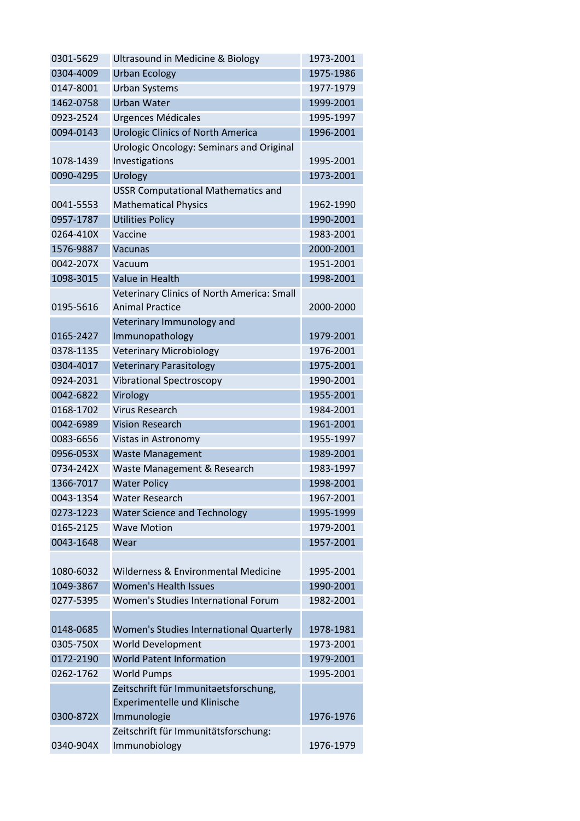| 0301-5629 | Ultrasound in Medicine & Biology           | 1973-2001 |
|-----------|--------------------------------------------|-----------|
| 0304-4009 | <b>Urban Ecology</b>                       | 1975-1986 |
| 0147-8001 | <b>Urban Systems</b>                       | 1977-1979 |
| 1462-0758 | <b>Urban Water</b>                         | 1999-2001 |
| 0923-2524 | <b>Urgences Médicales</b>                  | 1995-1997 |
| 0094-0143 | <b>Urologic Clinics of North America</b>   | 1996-2001 |
|           | Urologic Oncology: Seminars and Original   |           |
| 1078-1439 | Investigations                             | 1995-2001 |
| 0090-4295 | Urology                                    | 1973-2001 |
|           | <b>USSR Computational Mathematics and</b>  |           |
| 0041-5553 | <b>Mathematical Physics</b>                | 1962-1990 |
| 0957-1787 | <b>Utilities Policy</b>                    | 1990-2001 |
| 0264-410X | Vaccine                                    | 1983-2001 |
| 1576-9887 | <b>Vacunas</b>                             | 2000-2001 |
| 0042-207X | Vacuum                                     | 1951-2001 |
| 1098-3015 | Value in Health                            | 1998-2001 |
|           | Veterinary Clinics of North America: Small |           |
| 0195-5616 | <b>Animal Practice</b>                     | 2000-2000 |
|           | Veterinary Immunology and                  |           |
| 0165-2427 | Immunopathology                            | 1979-2001 |
| 0378-1135 | <b>Veterinary Microbiology</b>             | 1976-2001 |
| 0304-4017 | <b>Veterinary Parasitology</b>             | 1975-2001 |
| 0924-2031 | <b>Vibrational Spectroscopy</b>            | 1990-2001 |
| 0042-6822 | Virology                                   | 1955-2001 |
| 0168-1702 | <b>Virus Research</b>                      | 1984-2001 |
| 0042-6989 | <b>Vision Research</b>                     | 1961-2001 |
| 0083-6656 | Vistas in Astronomy                        | 1955-1997 |
| 0956-053X | <b>Waste Management</b>                    | 1989-2001 |
| 0734-242X | Waste Management & Research                | 1983-1997 |
| 1366-7017 | <b>Water Policy</b>                        | 1998-2001 |
| 0043-1354 | <b>Water Research</b>                      | 1967-2001 |
| 0273-1223 | <b>Water Science and Technology</b>        | 1995-1999 |
| 0165-2125 | <b>Wave Motion</b>                         | 1979-2001 |
| 0043-1648 | Wear                                       | 1957-2001 |
|           |                                            |           |
| 1080-6032 | Wilderness & Environmental Medicine        | 1995-2001 |
| 1049-3867 | <b>Women's Health Issues</b>               | 1990-2001 |
| 0277-5395 | Women's Studies International Forum        | 1982-2001 |
|           |                                            |           |
| 0148-0685 | Women's Studies International Quarterly    | 1978-1981 |
| 0305-750X | World Development                          | 1973-2001 |
| 0172-2190 | <b>World Patent Information</b>            | 1979-2001 |
| 0262-1762 | <b>World Pumps</b>                         | 1995-2001 |
|           | Zeitschrift für Immunitaetsforschung,      |           |
|           | Experimentelle und Klinische               |           |
| 0300-872X | Immunologie                                | 1976-1976 |
|           | Zeitschrift für Immunitätsforschung:       |           |
| 0340-904X | Immunobiology                              | 1976-1979 |